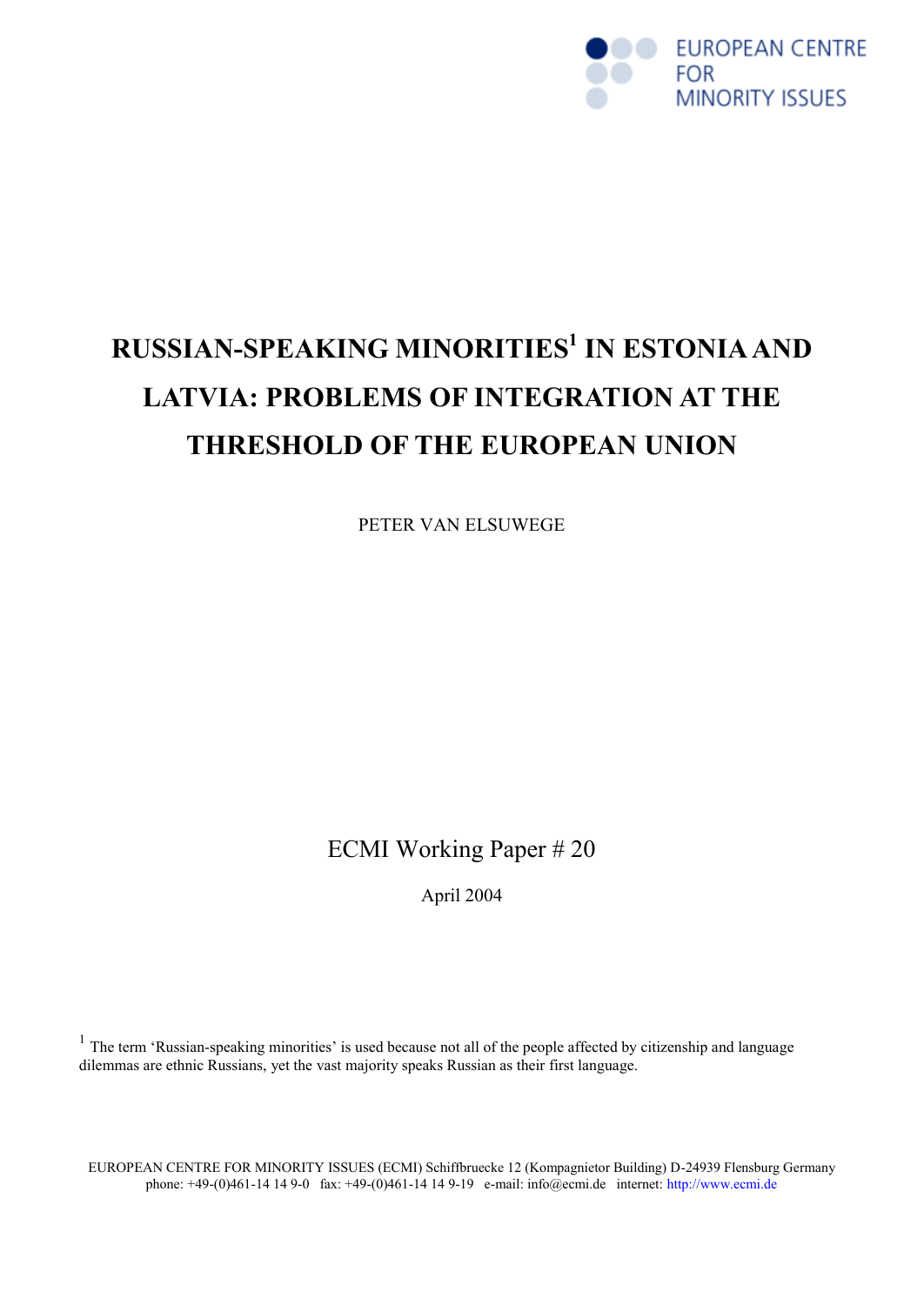

# **RUSSIAN-SPEAKING MINORITIES<sup>1</sup> IN ESTONIA AND LATVIA: PROBLEMS OF INTEGRATION AT THE THRESHOLD OF THE EUROPEAN UNION**

PETER VAN ELSUWEGE

ECMI Working Paper # 20

April 2004

<sup>1</sup> The term 'Russian-speaking minorities' is used because not all of the people affected by citizenship and language dilemmas are ethnic Russians, yet the vast majority speaks Russian as their first language.

EUROPEAN CENTRE FOR MINORITY ISSUES (ECMI) Schiffbruecke 12 (Kompagnietor Building) D-24939 Flensburg Germany phone: +49-(0)461-14 14 9-0 fax: +49-(0)461-14 14 9-19 e-mail: info@ecmi.de internet: http://www.ecmi.de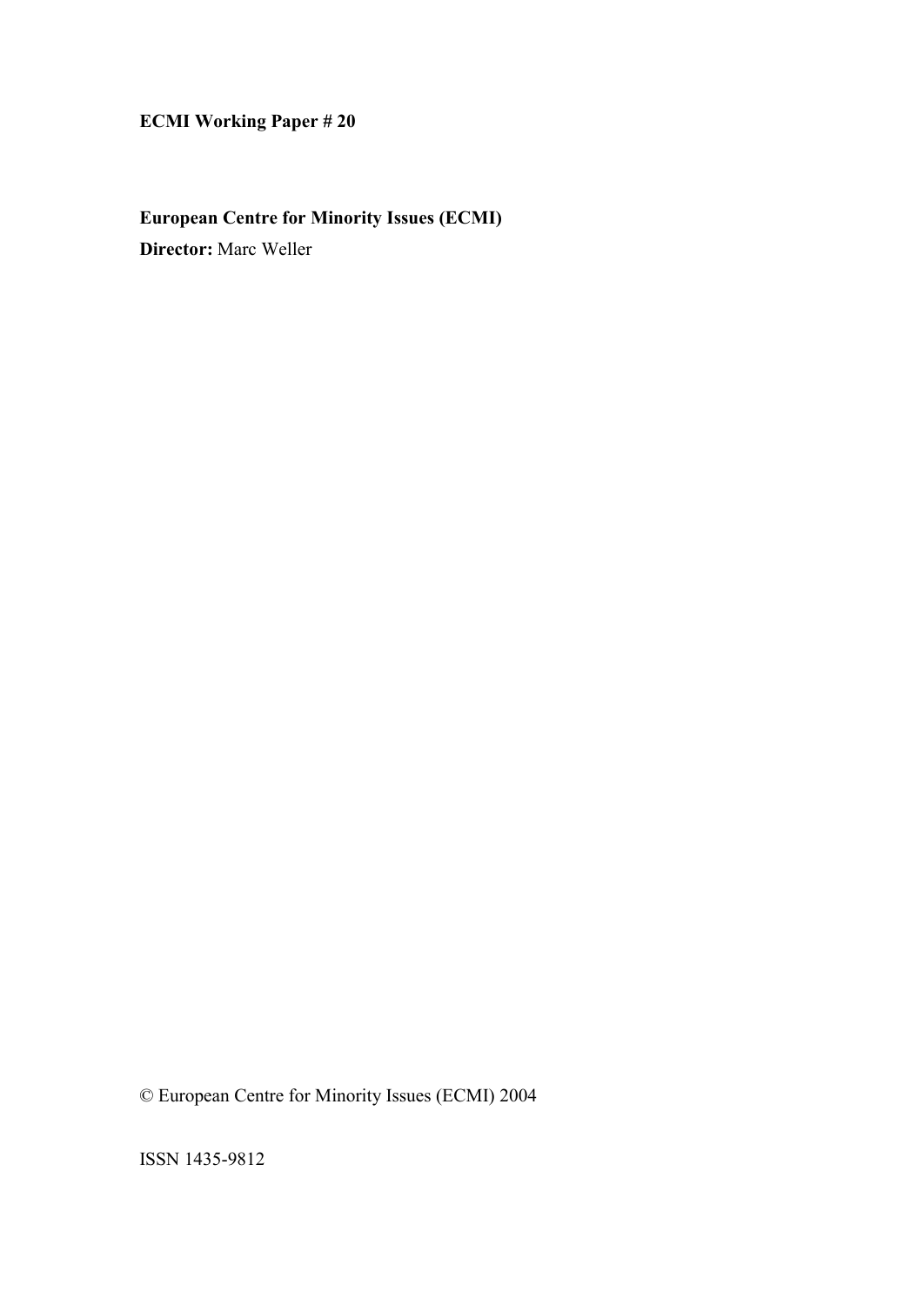# **ECMI Working Paper # 20**

# **European Centre for Minority Issues (ECMI)**

**Director:** Marc Weller

© European Centre for Minority Issues (ECMI) 2004

ISSN 1435-9812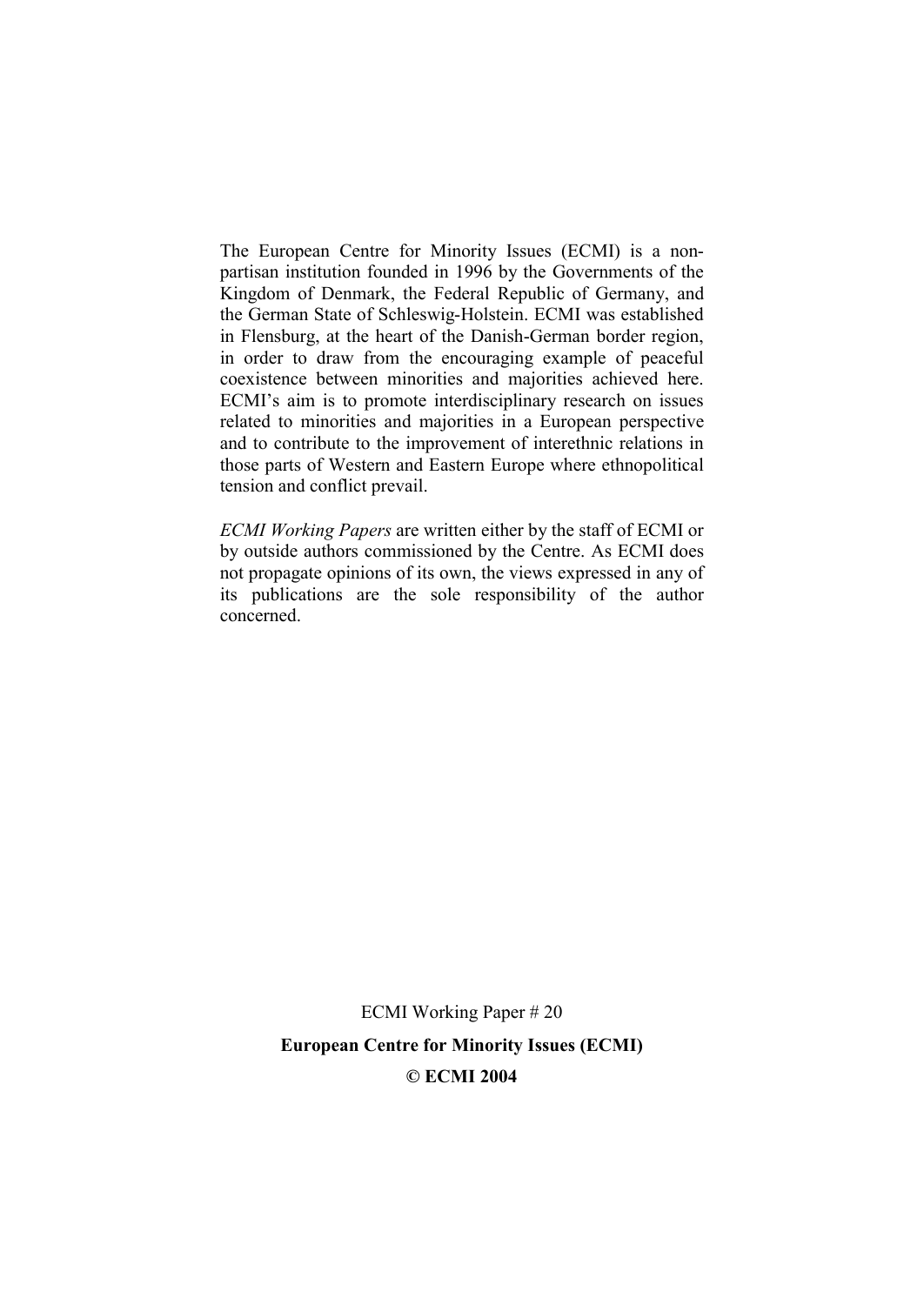The European Centre for Minority Issues (ECMI) is a nonpartisan institution founded in 1996 by the Governments of the Kingdom of Denmark, the Federal Republic of Germany, and the German State of Schleswig-Holstein. ECMI was established in Flensburg, at the heart of the Danish-German border region, in order to draw from the encouraging example of peaceful coexistence between minorities and majorities achieved here. ECMI's aim is to promote interdisciplinary research on issues related to minorities and majorities in a European perspective and to contribute to the improvement of interethnic relations in those parts of Western and Eastern Europe where ethnopolitical tension and conflict prevail.

*ECMI Working Papers* are written either by the staff of ECMI or by outside authors commissioned by the Centre. As ECMI does not propagate opinions of its own, the views expressed in any of its publications are the sole responsibility of the author concerned.

> ECMI Working Paper # 20 **European Centre for Minority Issues (ECMI) © ECMI 2004**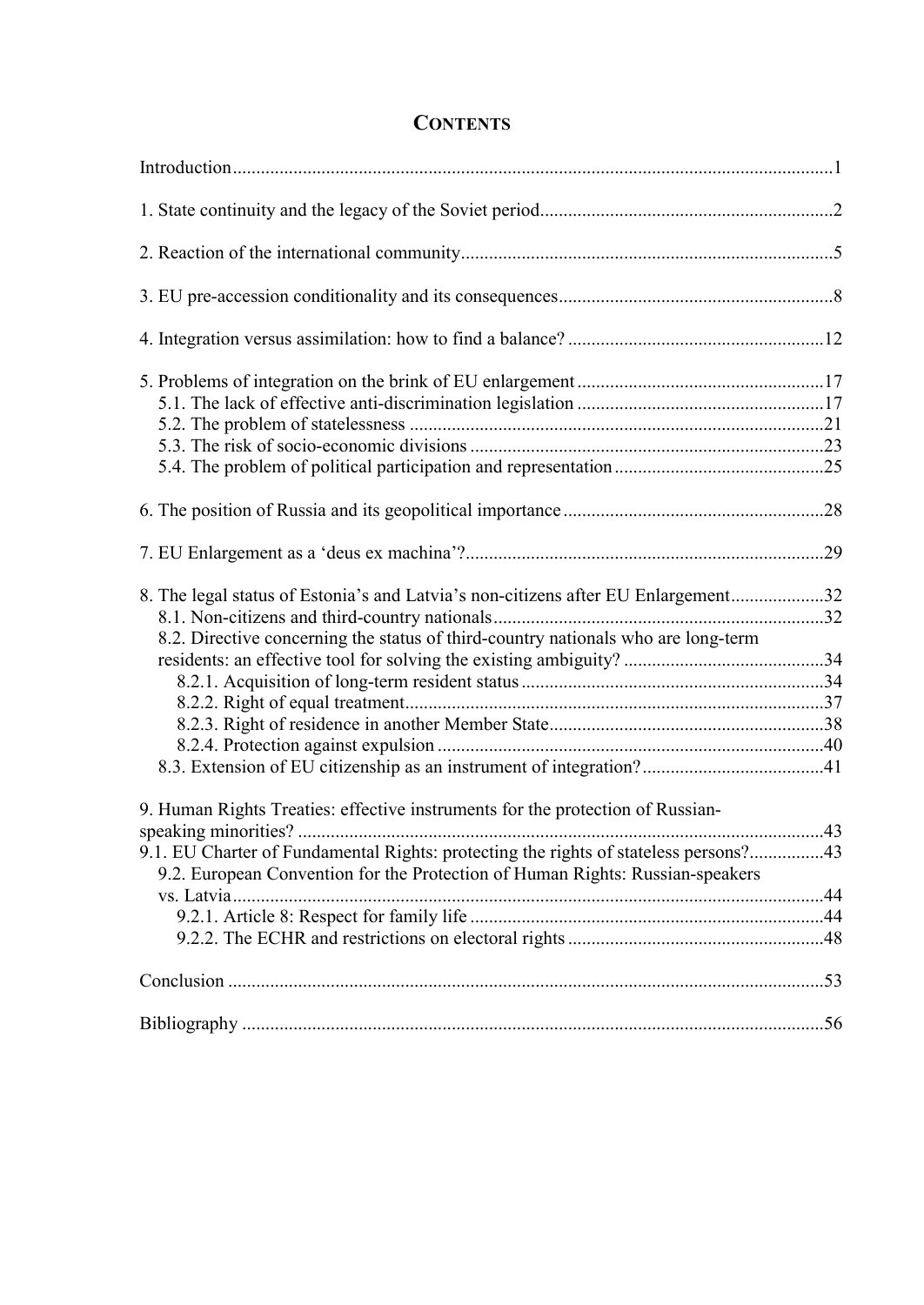# **CONTENTS**

| 8. The legal status of Estonia's and Latvia's non-citizens after EU Enlargement32<br>8.2. Directive concerning the status of third-country nationals who are long-term |  |
|------------------------------------------------------------------------------------------------------------------------------------------------------------------------|--|
|                                                                                                                                                                        |  |
| 9. Human Rights Treaties: effective instruments for the protection of Russian-<br>9.1. EU Charter of Fundamental Rights: protecting the rights of stateless persons?43 |  |
| 9.2. European Convention for the Protection of Human Rights: Russian-speakers                                                                                          |  |
|                                                                                                                                                                        |  |
|                                                                                                                                                                        |  |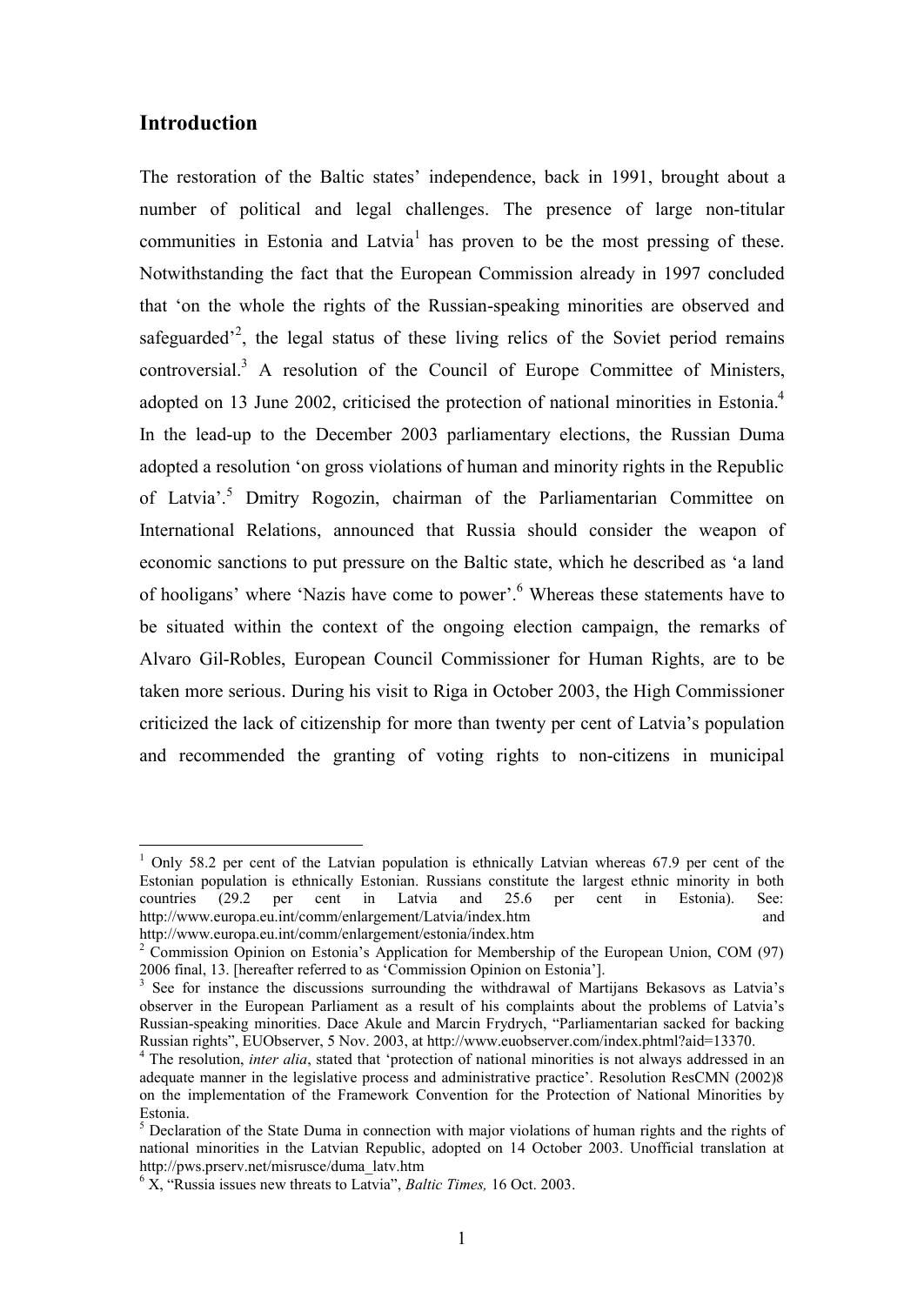# **Introduction**

 $\overline{a}$ 

The restoration of the Baltic states' independence, back in 1991, brought about a number of political and legal challenges. The presence of large non-titular communities in Estonia and Latvia<sup>1</sup> has proven to be the most pressing of these. Notwithstanding the fact that the European Commission already in 1997 concluded that 'on the whole the rights of the Russian-speaking minorities are observed and safeguarded<sup> $2$ </sup>, the legal status of these living relics of the Soviet period remains controversial.<sup>3</sup> A resolution of the Council of Europe Committee of Ministers, adopted on 13 June 2002, criticised the protection of national minorities in Estonia.<sup>4</sup> In the lead-up to the December 2003 parliamentary elections, the Russian Duma adopted a resolution 'on gross violations of human and minority rights in the Republic of Latvia'.<sup>5</sup> Dmitry Rogozin, chairman of the Parliamentarian Committee on International Relations, announced that Russia should consider the weapon of economic sanctions to put pressure on the Baltic state, which he described as 'a land of hooligans' where 'Nazis have come to power'.<sup>6</sup> Whereas these statements have to be situated within the context of the ongoing election campaign, the remarks of Alvaro Gil-Robles, European Council Commissioner for Human Rights, are to be taken more serious. During his visit to Riga in October 2003, the High Commissioner criticized the lack of citizenship for more than twenty per cent of Latvia's population and recommended the granting of voting rights to non-citizens in municipal

 $1$  Only 58.2 per cent of the Latvian population is ethnically Latvian whereas 67.9 per cent of the Estonian population is ethnically Estonian. Russians constitute the largest ethnic minority in both countries (29.2 per cent in Latvia and 25.6 per cent in Estonia). See: countries (29.2 per cent in Latvia and 25.6 per cent in Estonia). See: http://www.europa.eu.int/comm/enlargement/Latvia/index.htm and http://www.europa.eu.int/comm/enlargement/estonia/index.htm

 $2 \text{ Commission Opinion on Estonia's Application for Membership of the European Union, COM (97).}$ 2006 final, 13. [hereafter referred to as 'Commission Opinion on Estonia'].

<sup>&</sup>lt;sup>3</sup> See for instance the discussions surrounding the withdrawal of Martijans Bekasovs as Latvia's observer in the European Parliament as a result of his complaints about the problems of Latvia's Russian-speaking minorities. Dace Akule and Marcin Frydrych, "Parliamentarian sacked for backing Russian rights", EUObserver, 5 Nov. 2003, at http://www.euobserver.com/index.phtml?aid=13370.

<sup>4</sup> The resolution, *inter alia*, stated that 'protection of national minorities is not always addressed in an adequate manner in the legislative process and administrative practice'. Resolution ResCMN (2002)8 on the implementation of the Framework Convention for the Protection of National Minorities by Estonia.

<sup>&</sup>lt;sup>5</sup> Declaration of the State Duma in connection with major violations of human rights and the rights of national minorities in the Latvian Republic, adopted on 14 October 2003. Unofficial translation at http://pws.prserv.net/misrusce/duma\_latv.htm

 $6 \text{ X}$ , "Russia issues new threats to Latvia", *Baltic Times*, 16 Oct. 2003.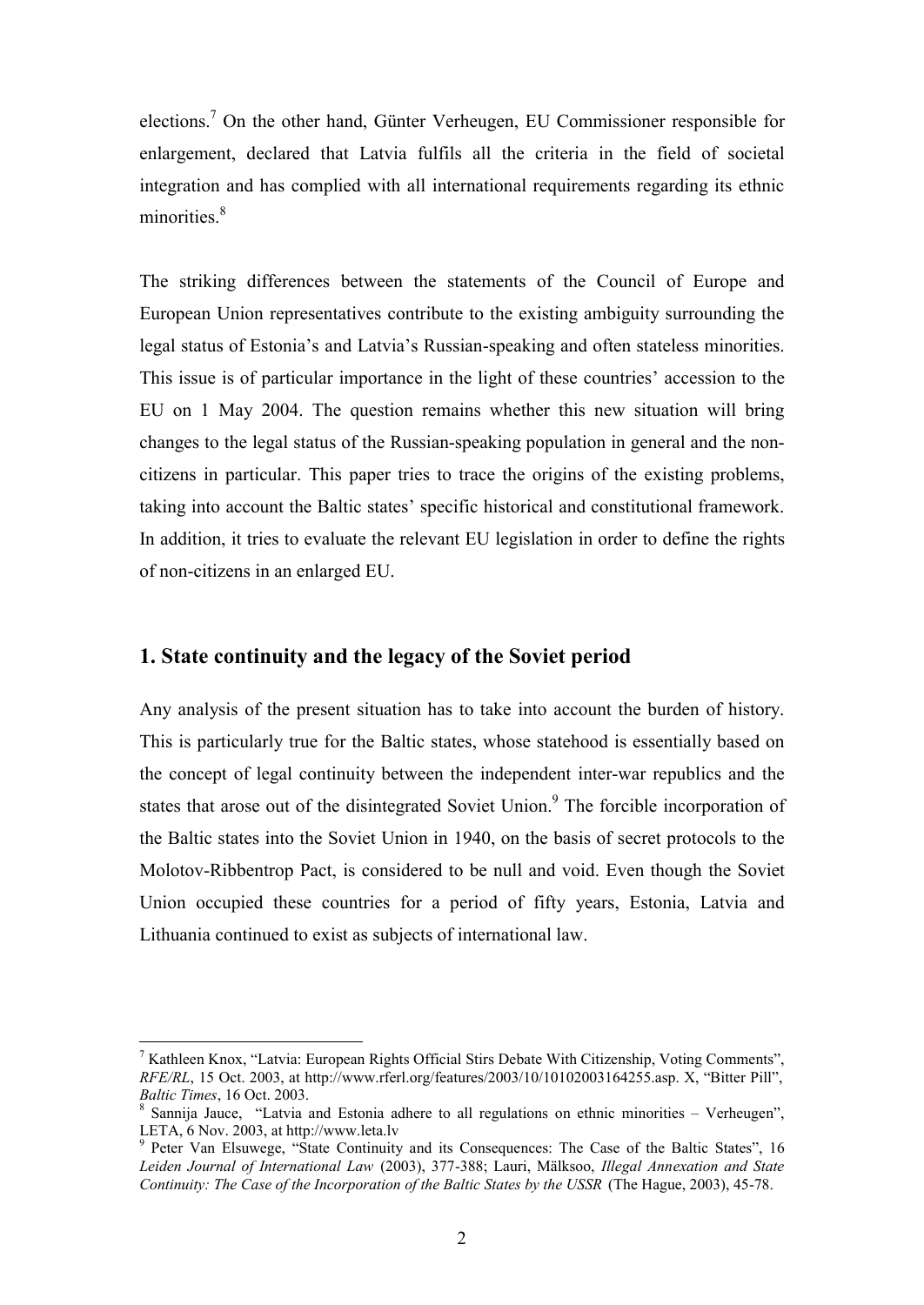elections.<sup>7</sup> On the other hand, Günter Verheugen, EU Commissioner responsible for enlargement, declared that Latvia fulfils all the criteria in the field of societal integration and has complied with all international requirements regarding its ethnic minorities<sup>8</sup>

The striking differences between the statements of the Council of Europe and European Union representatives contribute to the existing ambiguity surrounding the legal status of Estonia's and Latvia's Russian-speaking and often stateless minorities. This issue is of particular importance in the light of these countries' accession to the EU on 1 May 2004. The question remains whether this new situation will bring changes to the legal status of the Russian-speaking population in general and the noncitizens in particular. This paper tries to trace the origins of the existing problems, taking into account the Baltic states' specific historical and constitutional framework. In addition, it tries to evaluate the relevant EU legislation in order to define the rights of non-citizens in an enlarged EU.

# **1. State continuity and the legacy of the Soviet period**

 $\overline{a}$ 

Any analysis of the present situation has to take into account the burden of history. This is particularly true for the Baltic states, whose statehood is essentially based on the concept of legal continuity between the independent inter-war republics and the states that arose out of the disintegrated Soviet Union.<sup>9</sup> The forcible incorporation of the Baltic states into the Soviet Union in 1940, on the basis of secret protocols to the Molotov-Ribbentrop Pact, is considered to be null and void. Even though the Soviet Union occupied these countries for a period of fifty years, Estonia, Latvia and Lithuania continued to exist as subjects of international law.

<sup>&</sup>lt;sup>7</sup> Kathleen Knox, "Latvia: European Rights Official Stirs Debate With Citizenship, Voting Comments", *RFE/RL*, 15 Oct. 2003, at http://www.rferl.org/features/2003/10/10102003164255.asp. X, "Bitter Pill", *Baltic Times*, 16 Oct. 2003.

<sup>&</sup>lt;sup>8</sup> Sannija Jauce, "Latvia and Estonia adhere to all regulations on ethnic minorities – Verheugen", LETA, 6 Nov. 2003, at http://www.leta.lv

<sup>&</sup>lt;sup>9</sup> Peter Van Elsuwege, "State Continuity and its Consequences: The Case of the Baltic States", 16 *Leiden Journal of International Law* (2003), 377-388; Lauri, Mälksoo, *Illegal Annexation and State Continuity: The Case of the Incorporation of the Baltic States by the USSR* (The Hague, 2003), 45-78.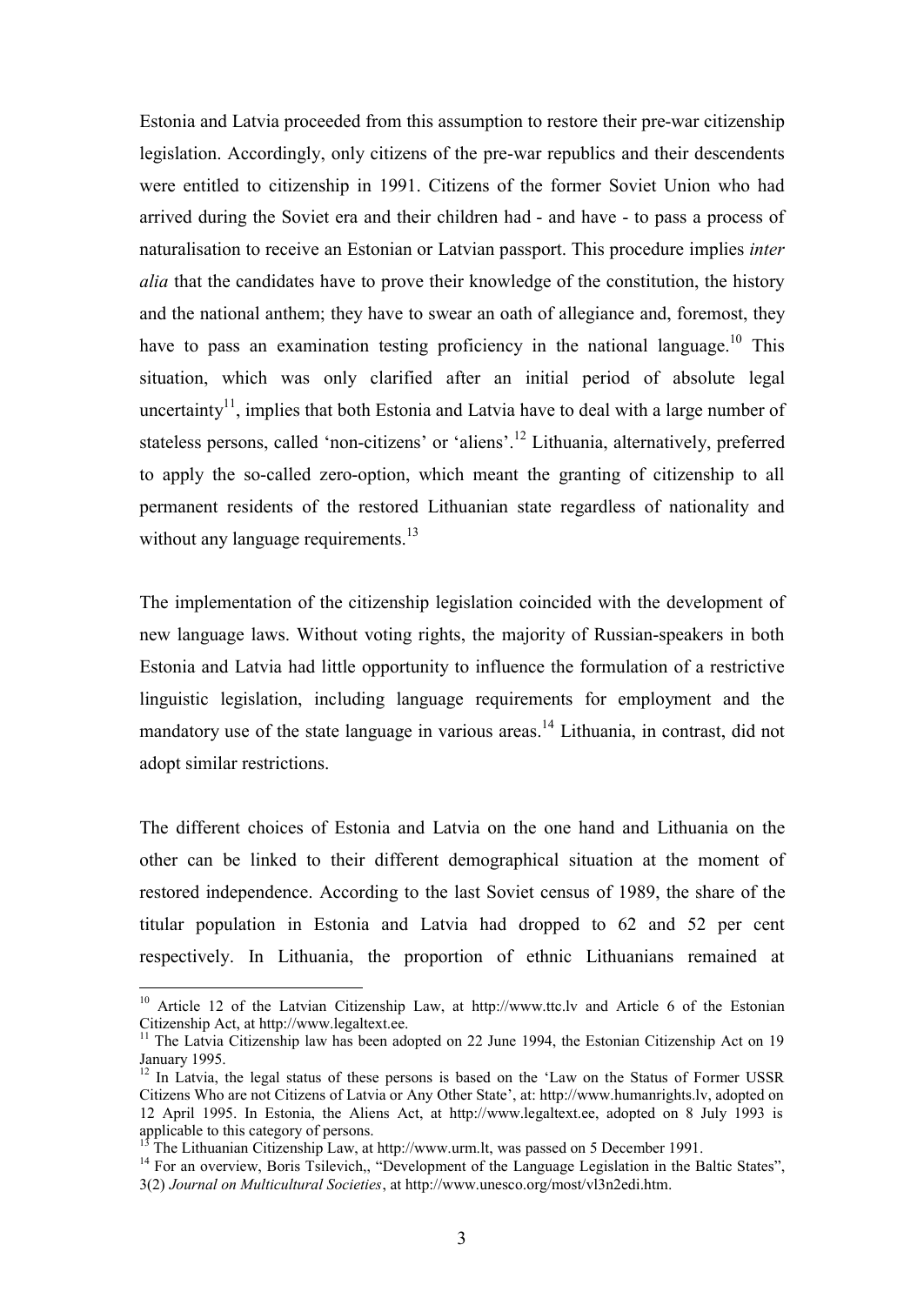Estonia and Latvia proceeded from this assumption to restore their pre-war citizenship legislation. Accordingly, only citizens of the pre-war republics and their descendents were entitled to citizenship in 1991. Citizens of the former Soviet Union who had arrived during the Soviet era and their children had - and have - to pass a process of naturalisation to receive an Estonian or Latvian passport. This procedure implies *inter alia* that the candidates have to prove their knowledge of the constitution, the history and the national anthem; they have to swear an oath of allegiance and, foremost, they have to pass an examination testing proficiency in the national language.<sup>10</sup> This situation, which was only clarified after an initial period of absolute legal uncertainty<sup>11</sup>, implies that both Estonia and Latvia have to deal with a large number of stateless persons, called 'non-citizens' or 'aliens'.<sup>12</sup> Lithuania, alternatively, preferred to apply the so-called zero-option, which meant the granting of citizenship to all permanent residents of the restored Lithuanian state regardless of nationality and without any language requirements.<sup>13</sup>

The implementation of the citizenship legislation coincided with the development of new language laws. Without voting rights, the majority of Russian-speakers in both Estonia and Latvia had little opportunity to influence the formulation of a restrictive linguistic legislation, including language requirements for employment and the mandatory use of the state language in various areas.<sup>14</sup> Lithuania, in contrast, did not adopt similar restrictions.

The different choices of Estonia and Latvia on the one hand and Lithuania on the other can be linked to their different demographical situation at the moment of restored independence. According to the last Soviet census of 1989, the share of the titular population in Estonia and Latvia had dropped to 62 and 52 per cent respectively. In Lithuania, the proportion of ethnic Lithuanians remained at

<sup>&</sup>lt;sup>10</sup> Article 12 of the Latvian Citizenship Law, at http://www.ttc.lv and Article 6 of the Estonian Citizenship Act, at http://www.legaltext.ee.

<sup>&</sup>lt;sup>11</sup> The Latvia Citizenship law has been adopted on 22 June 1994, the Estonian Citizenship Act on 19 January 1995.

 $12$  In Latvia, the legal status of these persons is based on the 'Law on the Status of Former USSR Citizens Who are not Citizens of Latvia or Any Other State', at: http://www.humanrights.lv, adopted on 12 April 1995. In Estonia, the Aliens Act, at http://www.legaltext.ee, adopted on 8 July 1993 is applicable to this category of persons.

<sup>1&</sup>lt;br>The Lithuanian Citizenship Law, at http://www.urm.lt, was passed on 5 December 1991.

<sup>&</sup>lt;sup>14</sup> For an overview, Boris Tsilevich,, "Development of the Language Legislation in the Baltic States", 3(2) *Journal on Multicultural Societies*, at http://www.unesco.org/most/vl3n2edi.htm.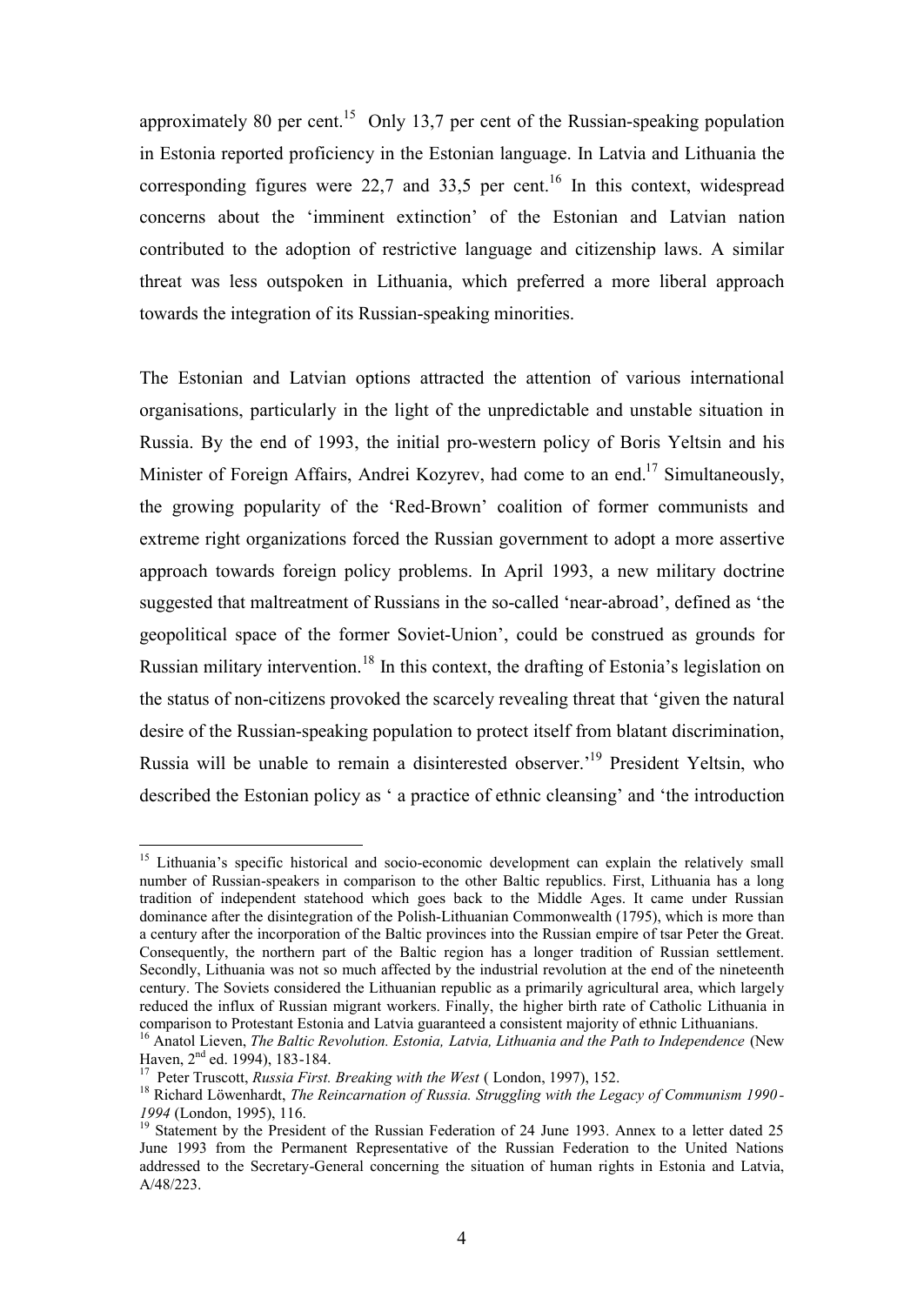approximately 80 per cent.<sup>15</sup> Only 13,7 per cent of the Russian-speaking population in Estonia reported proficiency in the Estonian language. In Latvia and Lithuania the corresponding figures were 22,7 and 33,5 per cent.<sup>16</sup> In this context, widespread concerns about the 'imminent extinction' of the Estonian and Latvian nation contributed to the adoption of restrictive language and citizenship laws. A similar threat was less outspoken in Lithuania, which preferred a more liberal approach towards the integration of its Russian-speaking minorities.

The Estonian and Latvian options attracted the attention of various international organisations, particularly in the light of the unpredictable and unstable situation in Russia. By the end of 1993, the initial pro-western policy of Boris Yeltsin and his Minister of Foreign Affairs, Andrei Kozyrev, had come to an end.<sup>17</sup> Simultaneously, the growing popularity of the 'Red-Brown' coalition of former communists and extreme right organizations forced the Russian government to adopt a more assertive approach towards foreign policy problems. In April 1993, a new military doctrine suggested that maltreatment of Russians in the so-called 'near-abroad', defined as 'the geopolitical space of the former Soviet-Union', could be construed as grounds for Russian military intervention.<sup>18</sup> In this context, the drafting of Estonia's legislation on the status of non-citizens provoked the scarcely revealing threat that 'given the natural desire of the Russian-speaking population to protect itself from blatant discrimination, Russia will be unable to remain a disinterested observer.'<sup>19</sup> President Yeltsin, who described the Estonian policy as ' a practice of ethnic cleansing' and 'the introduction

 $\overline{a}$ <sup>15</sup> Lithuania's specific historical and socio-economic development can explain the relatively small number of Russian-speakers in comparison to the other Baltic republics. First, Lithuania has a long tradition of independent statehood which goes back to the Middle Ages. It came under Russian dominance after the disintegration of the Polish-Lithuanian Commonwealth (1795), which is more than a century after the incorporation of the Baltic provinces into the Russian empire of tsar Peter the Great. Consequently, the northern part of the Baltic region has a longer tradition of Russian settlement. Secondly, Lithuania was not so much affected by the industrial revolution at the end of the nineteenth century. The Soviets considered the Lithuanian republic as a primarily agricultural area, which largely reduced the influx of Russian migrant workers. Finally, the higher birth rate of Catholic Lithuania in comparison to Protestant Estonia and Latvia guaranteed a consistent majority of ethnic Lithuanians.

<sup>16</sup> Anatol Lieven, *The Baltic Revolution. Estonia, Latvia, Lithuania and the Path to Independence* (New Haven, 2<sup>nd</sup> ed. 1994), 183-184.

<sup>&</sup>lt;sup>17</sup> Peter Truscott, *Russia First. Breaking with the West* (London, 1997), 152.

<sup>18</sup> Richard Löwenhardt, *The Reincarnation of Russia. Struggling with the Legacy of Communism 1990 - 1994* (London, 1995), 116.

<sup>&</sup>lt;sup>19</sup> Statement by the President of the Russian Federation of 24 June 1993. Annex to a letter dated 25 June 1993 from the Permanent Representative of the Russian Federation to the United Nations addressed to the Secretary-General concerning the situation of human rights in Estonia and Latvia, A/48/223.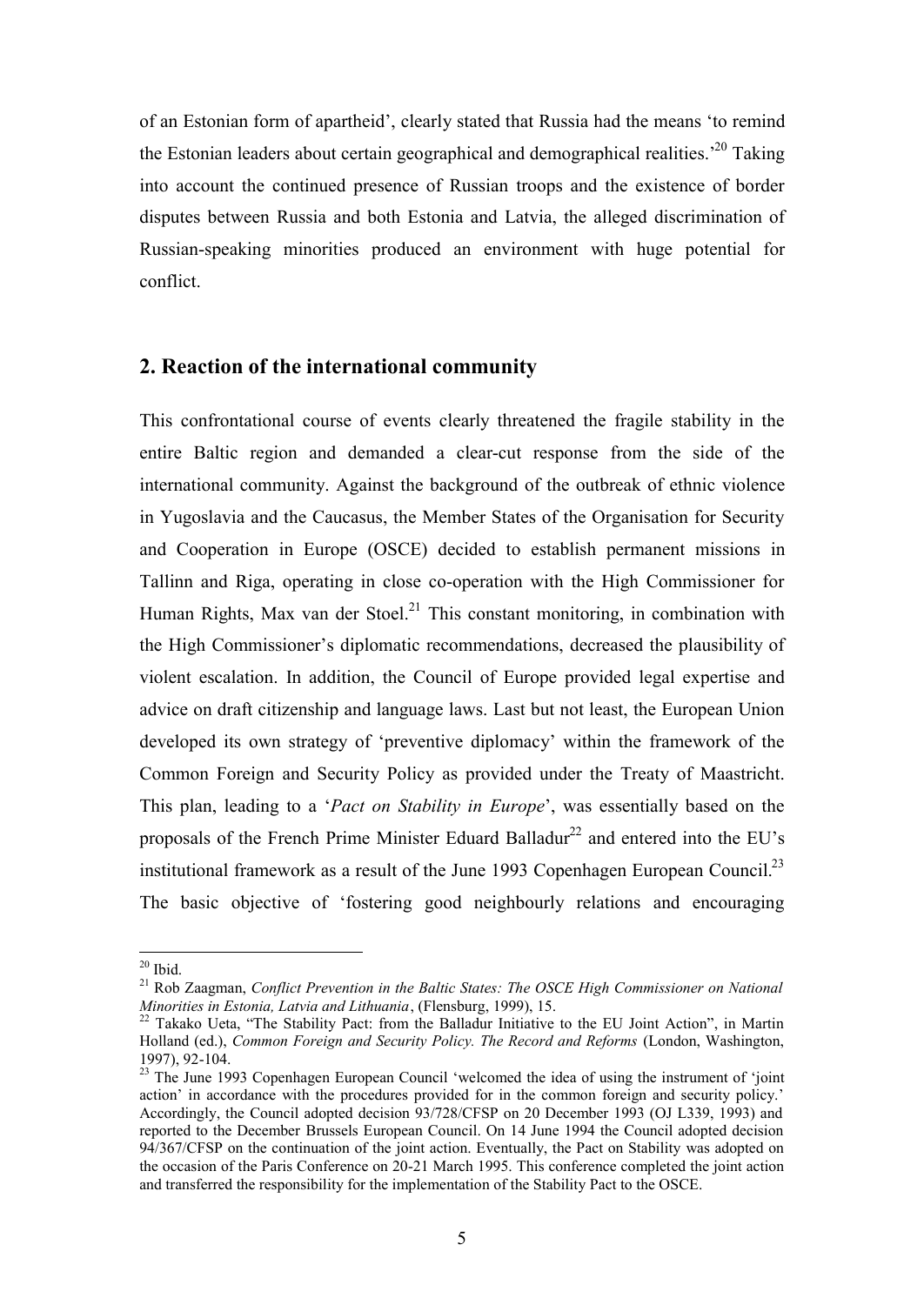of an Estonian form of apartheid', clearly stated that Russia had the means 'to remind the Estonian leaders about certain geographical and demographical realities.<sup> $20$ </sup> Taking into account the continued presence of Russian troops and the existence of border disputes between Russia and both Estonia and Latvia, the alleged discrimination of Russian-speaking minorities produced an environment with huge potential for conflict.

# **2. Reaction of the international community**

This confrontational course of events clearly threatened the fragile stability in the entire Baltic region and demanded a clear-cut response from the side of the international community. Against the background of the outbreak of ethnic violence in Yugoslavia and the Caucasus, the Member States of the Organisation for Security and Cooperation in Europe (OSCE) decided to establish permanent missions in Tallinn and Riga, operating in close co-operation with the High Commissioner for Human Rights, Max van der Stoel.<sup>21</sup> This constant monitoring, in combination with the High Commissioner's diplomatic recommendations, decreased the plausibility of violent escalation. In addition, the Council of Europe provided legal expertise and advice on draft citizenship and language laws. Last but not least, the European Union developed its own strategy of 'preventive diplomacy' within the framework of the Common Foreign and Security Policy as provided under the Treaty of Maastricht. This plan, leading to a '*Pact on Stability in Europe*', was essentially based on the proposals of the French Prime Minister Eduard Balladur<sup>22</sup> and entered into the EU's institutional framework as a result of the June 1993 Copenhagen European Council.<sup>23</sup> The basic objective of 'fostering good neighbourly relations and encouraging

 $20$  Ibid.

<sup>21</sup> Rob Zaagman, *Conflict Prevention in the Baltic States: The OSCE High Commissioner on National Minorities in Estonia, Latvia and Lithuania*, (Flensburg, 1999), 15.

 $22$  Takako Ueta, "The Stability Pact: from the Balladur Initiative to the EU Joint Action", in Martin Holland (ed.), *Common Foreign and Security Policy. The Record and Reforms* (London, Washington, 1997), 92-104.

<sup>&</sup>lt;sup>23</sup> The June 1993 Copenhagen European Council 'welcomed the idea of using the instrument of 'joint action' in accordance with the procedures provided for in the common foreign and security policy.' Accordingly, the Council adopted decision 93/728/CFSP on 20 December 1993 (OJ L339, 1993) and reported to the December Brussels European Council. On 14 June 1994 the Council adopted decision 94/367/CFSP on the continuation of the joint action. Eventually, the Pact on Stability was adopted on the occasion of the Paris Conference on 20-21 March 1995. This conference completed the joint action and transferred the responsibility for the implementation of the Stability Pact to the OSCE.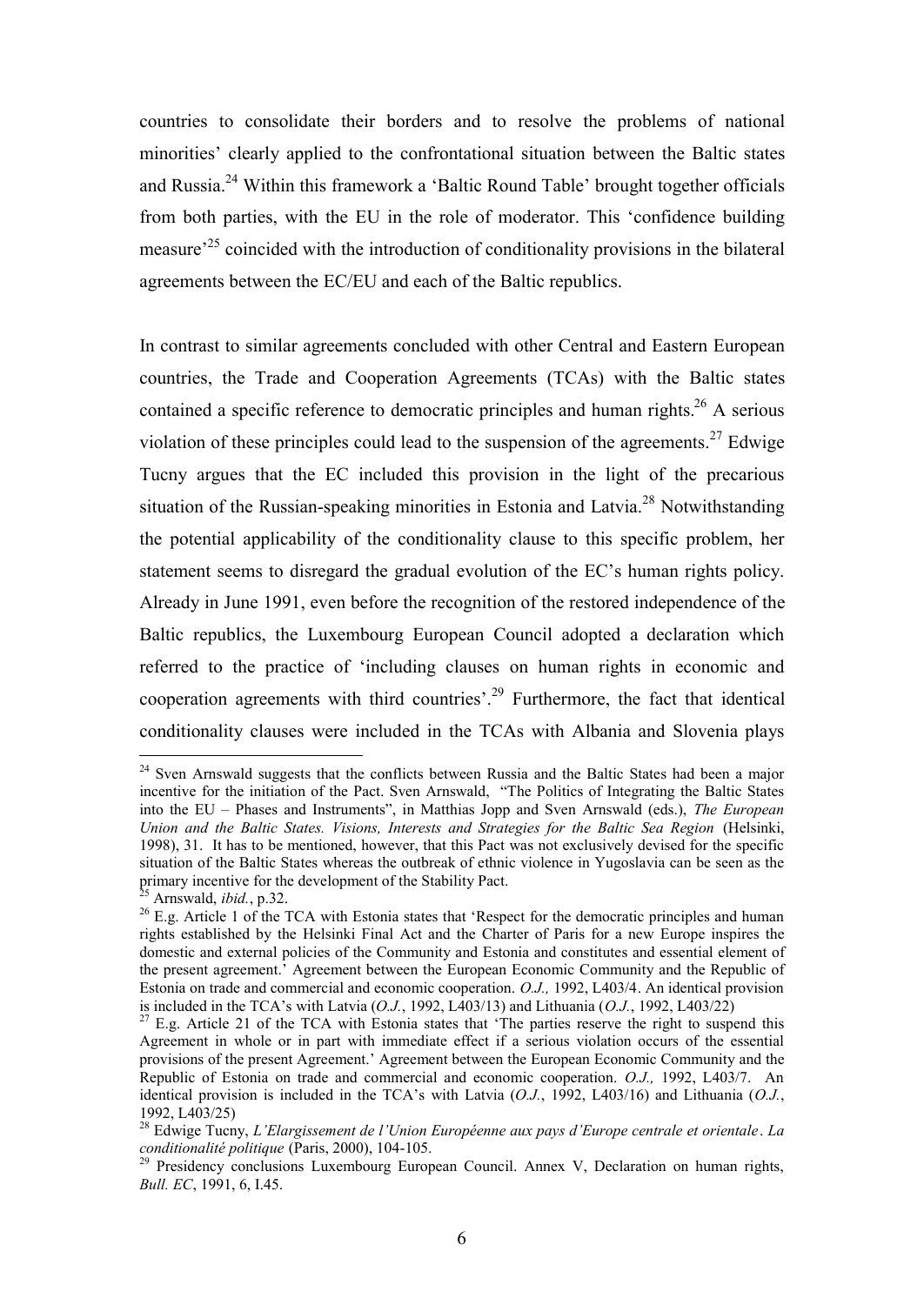countries to consolidate their borders and to resolve the problems of national minorities' clearly applied to the confrontational situation between the Baltic states and Russia.<sup>24</sup> Within this framework a 'Baltic Round Table' brought together officials from both parties, with the EU in the role of moderator. This 'confidence building measure<sup>25</sup> coincided with the introduction of conditionality provisions in the bilateral agreements between the EC/EU and each of the Baltic republics.

In contrast to similar agreements concluded with other Central and Eastern European countries, the Trade and Cooperation Agreements (TCAs) with the Baltic states contained a specific reference to democratic principles and human rights.<sup>26</sup> A serious violation of these principles could lead to the suspension of the agreements.<sup>27</sup> Edwige Tucny argues that the EC included this provision in the light of the precarious situation of the Russian-speaking minorities in Estonia and Latvia.<sup>28</sup> Notwithstanding the potential applicability of the conditionality clause to this specific problem, her statement seems to disregard the gradual evolution of the EC's human rights policy. Already in June 1991, even before the recognition of the restored independence of the Baltic republics, the Luxembourg European Council adopted a declaration which referred to the practice of 'including clauses on human rights in economic and cooperation agreements with third countries'.<sup>29</sup> Furthermore, the fact that identical conditionality clauses were included in the TCAs with Albania and Slovenia plays

<sup>&</sup>lt;sup>24</sup> Sven Arnswald suggests that the conflicts between Russia and the Baltic States had been a major incentive for the initiation of the Pact. Sven Arnswald, "The Politics of Integrating the Baltic States into the EU – Phases and Instruments", in Matthias Jopp and Sven Arnswald (eds.), *The European Union and the Baltic States. Visions, Interests and Strategies for the Baltic Sea Region* (Helsinki, 1998), 31. It has to be mentioned, however, that this Pact was not exclusively devised for the specific situation of the Baltic States whereas the outbreak of ethnic violence in Yugoslavia can be seen as the primary incentive for the development of the Stability Pact.

 $\delta$  Arnswald, *ibid.*, p.32.

<sup>&</sup>lt;sup>26</sup> E.g. Article 1 of the TCA with Estonia states that 'Respect for the democratic principles and human rights established by the Helsinki Final Act and the Charter of Paris for a new Europe inspires the domestic and external policies of the Community and Estonia and constitutes and essential element of the present agreement.' Agreement between the European Economic Community and the Republic of Estonia on trade and commercial and economic cooperation. *O.J.,* 1992, L403/4. An identical provision is included in the TCA's with Latvia  $(O.J., 1992, L403/13)$  and Lithuania  $(O.J., 1992, L403/22)$ <br><sup>27</sup> E.g. Article 21 of the TCA

E.g. Article 21 of the TCA with Estonia states that 'The parties reserve the right to suspend this Agreement in whole or in part with immediate effect if a serious violation occurs of the essential provisions of the present Agreement.' Agreement between the European Economic Community and the Republic of Estonia on trade and commercial and economic cooperation. *O.J.,* 1992, L403/7. An identical provision is included in the TCA's with Latvia (*O.J.*, 1992, L403/16) and Lithuania (*O.J.*, 1992, L403/25)

<sup>28</sup> Edwige Tucny, *L'Elargissement de l'Union Européenne aux pays d'Europe centrale et orientale*. *La conditionalité politique* (Paris, 2000), 104-105.

<sup>&</sup>lt;sup>29</sup> Presidency conclusions Luxembourg European Council. Annex V, Declaration on human rights, *Bull. EC*, 1991, 6, I.45.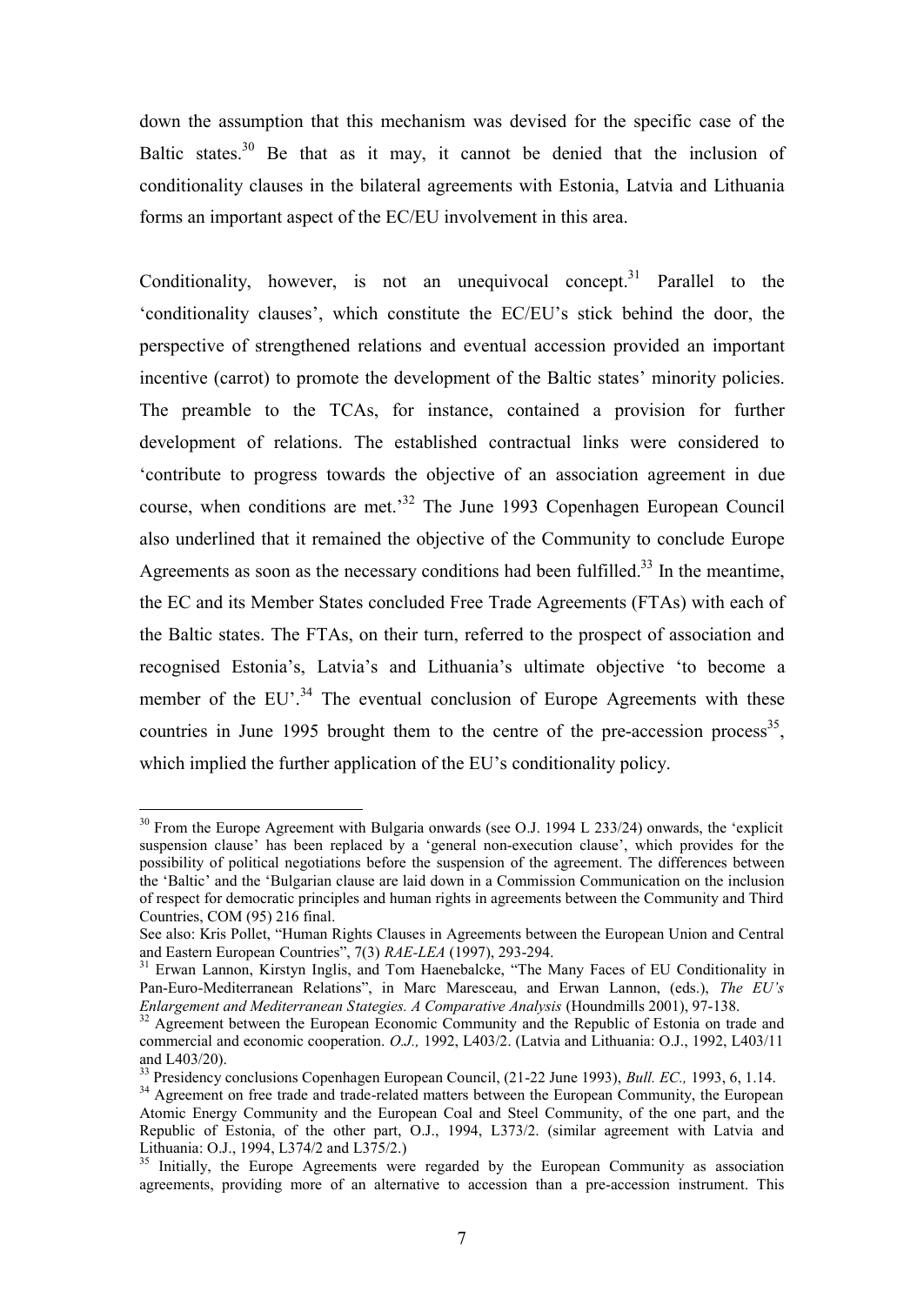down the assumption that this mechanism was devised for the specific case of the Baltic states.<sup>30</sup> Be that as it may, it cannot be denied that the inclusion of conditionality clauses in the bilateral agreements with Estonia, Latvia and Lithuania forms an important aspect of the EC/EU involvement in this area.

Conditionality, however, is not an unequivocal concept.<sup>31</sup> Parallel to the 'conditionality clauses', which constitute the EC/EU's stick behind the door, the perspective of strengthened relations and eventual accession provided an important incentive (carrot) to promote the development of the Baltic states' minority policies. The preamble to the TCAs, for instance, contained a provision for further development of relations. The established contractual links were considered to 'contribute to progress towards the objective of an association agreement in due course, when conditions are met.'<sup>32</sup> The June 1993 Copenhagen European Council also underlined that it remained the objective of the Community to conclude Europe Agreements as soon as the necessary conditions had been fulfilled.<sup>33</sup> In the meantime, the EC and its Member States concluded Free Trade Agreements (FTAs) with each of the Baltic states. The FTAs, on their turn, referred to the prospect of association and recognised Estonia's, Latvia's and Lithuania's ultimate objective 'to become a member of the EU'.<sup>34</sup> The eventual conclusion of Europe Agreements with these countries in June 1995 brought them to the centre of the pre-accession process<sup>35</sup>, which implied the further application of the EU's conditionality policy.

 $30$  From the Europe Agreement with Bulgaria onwards (see O.J. 1994 L 233/24) onwards, the 'explicit suspension clause' has been replaced by a 'general non-execution clause', which provides for the possibility of political negotiations before the suspension of the agreement. The differences between the 'Baltic' and the 'Bulgarian clause are laid down in a Commission Communication on the inclusion of respect for democratic principles and human rights in agreements between the Community and Third Countries, COM (95) 216 final.

See also: Kris Pollet, "Human Rights Clauses in Agreements between the European Union and Central and Eastern European Countries", 7(3) *RAE-LEA* (1997), 293-294.

<sup>&</sup>lt;sup>31</sup> Erwan Lannon, Kirstyn Inglis, and Tom Haenebalcke, "The Many Faces of EU Conditionality in Pan-Euro-Mediterranean Relations", in Marc Maresceau, and Erwan Lannon, (eds.), *The EU's Enlargement and Mediterranean Stategies. A Comparative Analysis* (Houndmills 2001), 97-138.

<sup>&</sup>lt;sup>32</sup> Agreement between the European Economic Community and the Republic of Estonia on trade and commercial and economic cooperation. *O.J.,* 1992, L403/2. (Latvia and Lithuania: O.J., 1992, L403/11 and L403/20).

<sup>33</sup> Presidency conclusions Copenhagen European Council, (21-22 June 1993), *Bull. EC.,* 1993, 6, 1.14.

<sup>&</sup>lt;sup>34</sup> Agreement on free trade and trade-related matters between the European Community, the European Atomic Energy Community and the European Coal and Steel Community, of the one part, and the Republic of Estonia, of the other part, O.J., 1994, L373/2. (similar agreement with Latvia and Lithuania: O.J., 1994, L374/2 and L375/2.)

<sup>&</sup>lt;sup>35</sup> Initially, the Europe Agreements were regarded by the European Community as association agreements, providing more of an alternative to accession than a pre-accession instrument. This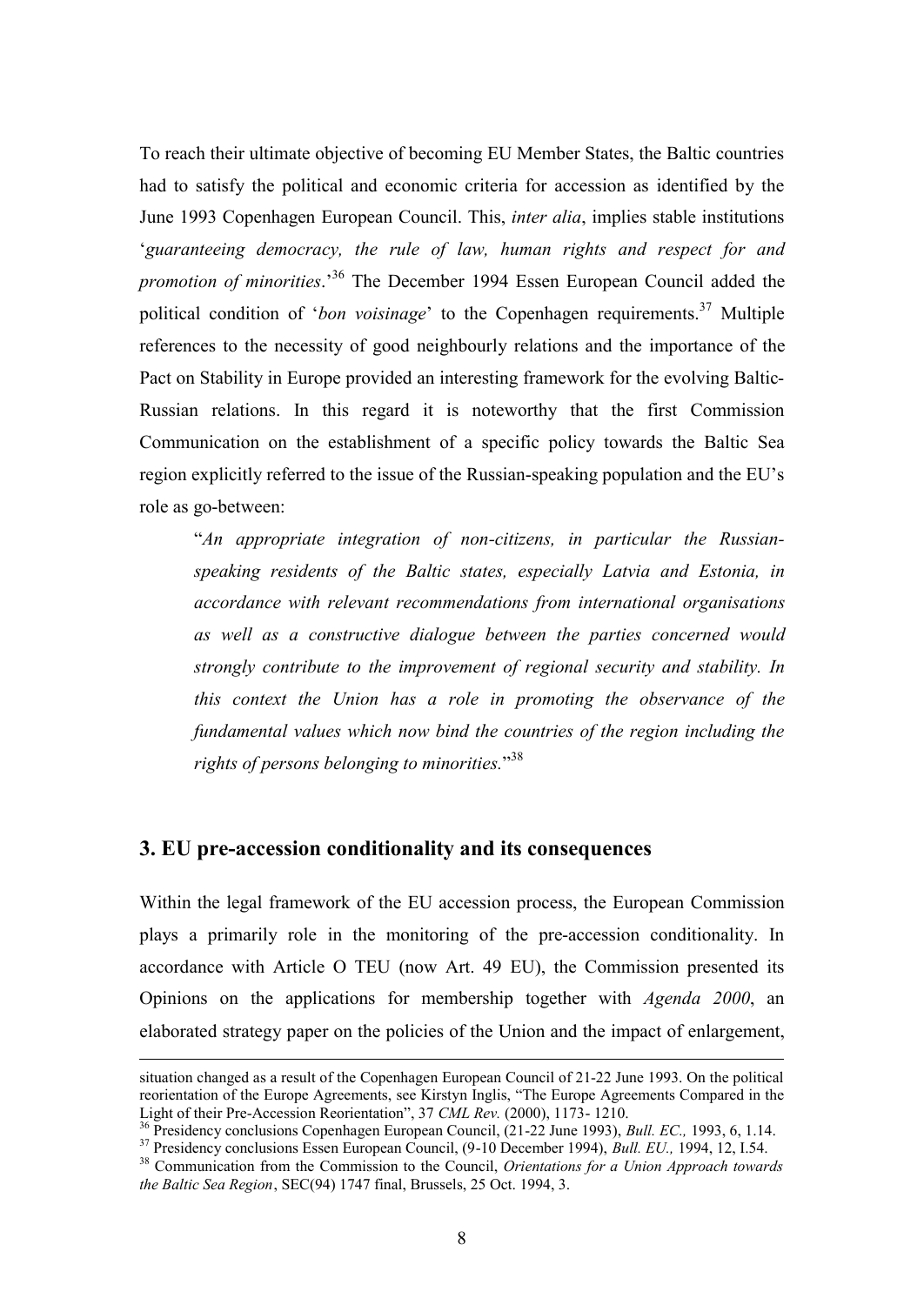To reach their ultimate objective of becoming EU Member States, the Baltic countries had to satisfy the political and economic criteria for accession as identified by the June 1993 Copenhagen European Council. This, *inter alia*, implies stable institutions '*guaranteeing democracy, the rule of law, human rights and respect for and promotion of minorities*.'<sup>36</sup> The December 1994 Essen European Council added the political condition of *'bon voisinage'* to the Copenhagen requirements.<sup>37</sup> Multiple references to the necessity of good neighbourly relations and the importance of the Pact on Stability in Europe provided an interesting framework for the evolving Baltic-Russian relations. In this regard it is noteworthy that the first Commission Communication on the establishment of a specific policy towards the Baltic Sea region explicitly referred to the issue of the Russian-speaking population and the EU's role as go-between:

"*An appropriate integration of non-citizens, in particular the Russianspeaking residents of the Baltic states, especially Latvia and Estonia, in accordance with relevant recommendations from international organisations as well as a constructive dialogue between the parties concerned would strongly contribute to the improvement of regional security and stability. In this context the Union has a role in promoting the observance of the fundamental values which now bind the countries of the region including the rights of persons belonging to minorities.*" 38

## **3. EU pre-accession conditionality and its consequences**

 $\overline{a}$ 

Within the legal framework of the EU accession process, the European Commission plays a primarily role in the monitoring of the pre-accession conditionality. In accordance with Article O TEU (now Art. 49 EU), the Commission presented its Opinions on the applications for membership together with *Agenda 2000*, an elaborated strategy paper on the policies of the Union and the impact of enlargement,

situation changed as a result of the Copenhagen European Council of 21-22 June 1993. On the political reorientation of the Europe Agreements, see Kirstyn Inglis, "The Europe Agreements Compared in the Light of their Pre-Accession Reorientation", 37 *CML Rev.* (2000), 1173- 1210.

<sup>36</sup> Presidency conclusions Copenhagen European Council, (21-22 June 1993), *Bull. EC.,* 1993, 6, 1.14. <sup>37</sup> Presidency conclusions Essen European Council, (9-10 December 1994), *Bull. EU.,* 1994, 12, I.54.

<sup>38</sup> Communication from the Commission to the Council, *Orientations for a Union Approach towards the Baltic Sea Region*, SEC(94) 1747 final, Brussels, 25 Oct. 1994, 3.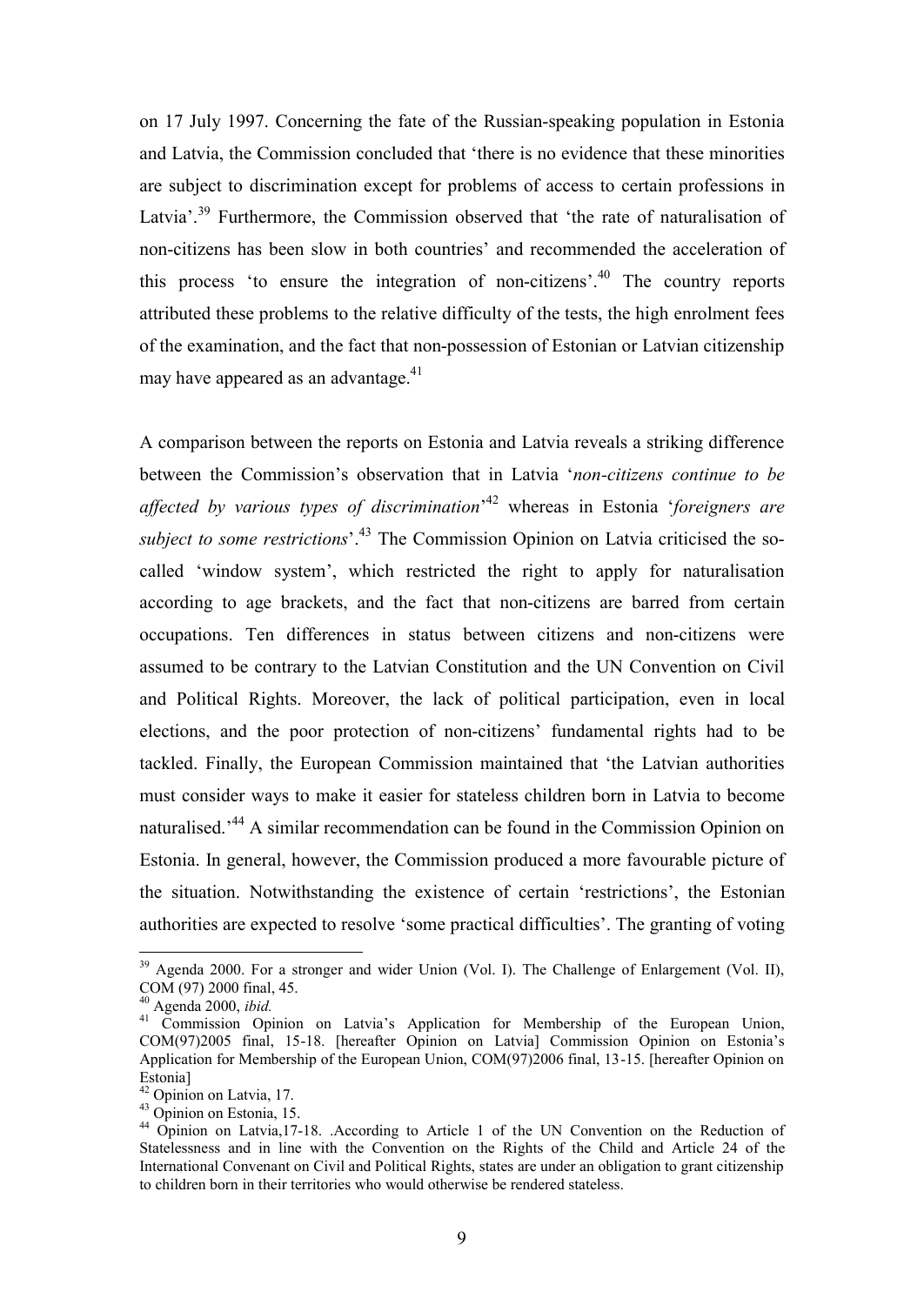on 17 July 1997. Concerning the fate of the Russian-speaking population in Estonia and Latvia, the Commission concluded that 'there is no evidence that these minorities are subject to discrimination except for problems of access to certain professions in Latvia<sup>', 39</sup> Furthermore, the Commission observed that 'the rate of naturalisation of non-citizens has been slow in both countries' and recommended the acceleration of this process 'to ensure the integration of non-citizens'.<sup>40</sup> The country reports attributed these problems to the relative difficulty of the tests, the high enrolment fees of the examination, and the fact that non-possession of Estonian or Latvian citizenship may have appeared as an advantage.<sup>41</sup>

A comparison between the reports on Estonia and Latvia reveals a striking difference between the Commission's observation that in Latvia '*non-citizens continue to be affected by various types of discrimination*' <sup>42</sup> whereas in Estonia '*foreigners are subject to some restrictions*'.<sup>43</sup> The Commission Opinion on Latvia criticised the socalled 'window system', which restricted the right to apply for naturalisation according to age brackets, and the fact that non-citizens are barred from certain occupations. Ten differences in status between citizens and non-citizens were assumed to be contrary to the Latvian Constitution and the UN Convention on Civil and Political Rights. Moreover, the lack of political participation, even in local elections, and the poor protection of non-citizens' fundamental rights had to be tackled. Finally, the European Commission maintained that 'the Latvian authorities must consider ways to make it easier for stateless children born in Latvia to become naturalised.'<sup>44</sup> A similar recommendation can be found in the Commission Opinion on Estonia. In general, however, the Commission produced a more favourable picture of the situation. Notwithstanding the existence of certain 'restrictions', the Estonian authorities are expected to resolve 'some practical difficulties'. The granting of voting

<sup>&</sup>lt;sup>39</sup> Agenda 2000. For a stronger and wider Union (Vol. I). The Challenge of Enlargement (Vol. II), COM (97) 2000 final, 45.

<sup>40</sup> Agenda 2000, *ibid.*

<sup>&</sup>lt;sup>41</sup> Commission Opinion on Latvia's Application for Membership of the European Union, COM(97)2005 final, 15-18. [hereafter Opinion on Latvia] Commission Opinion on Estonia's Application for Membership of the European Union, COM(97)2006 final, 13-15. [hereafter Opinion on Estonia]

<sup>42</sup> Opinion on Latvia, 17.

 $43$  Opinion on Estonia, 15.

<sup>&</sup>lt;sup>44</sup> Opinion on Latvia, 17-18. . According to Article 1 of the UN Convention on the Reduction of Statelessness and in line with the Convention on the Rights of the Child and Article 24 of the International Convenant on Civil and Political Rights, states are under an obligation to grant citizenship to children born in their territories who would otherwise be rendered stateless.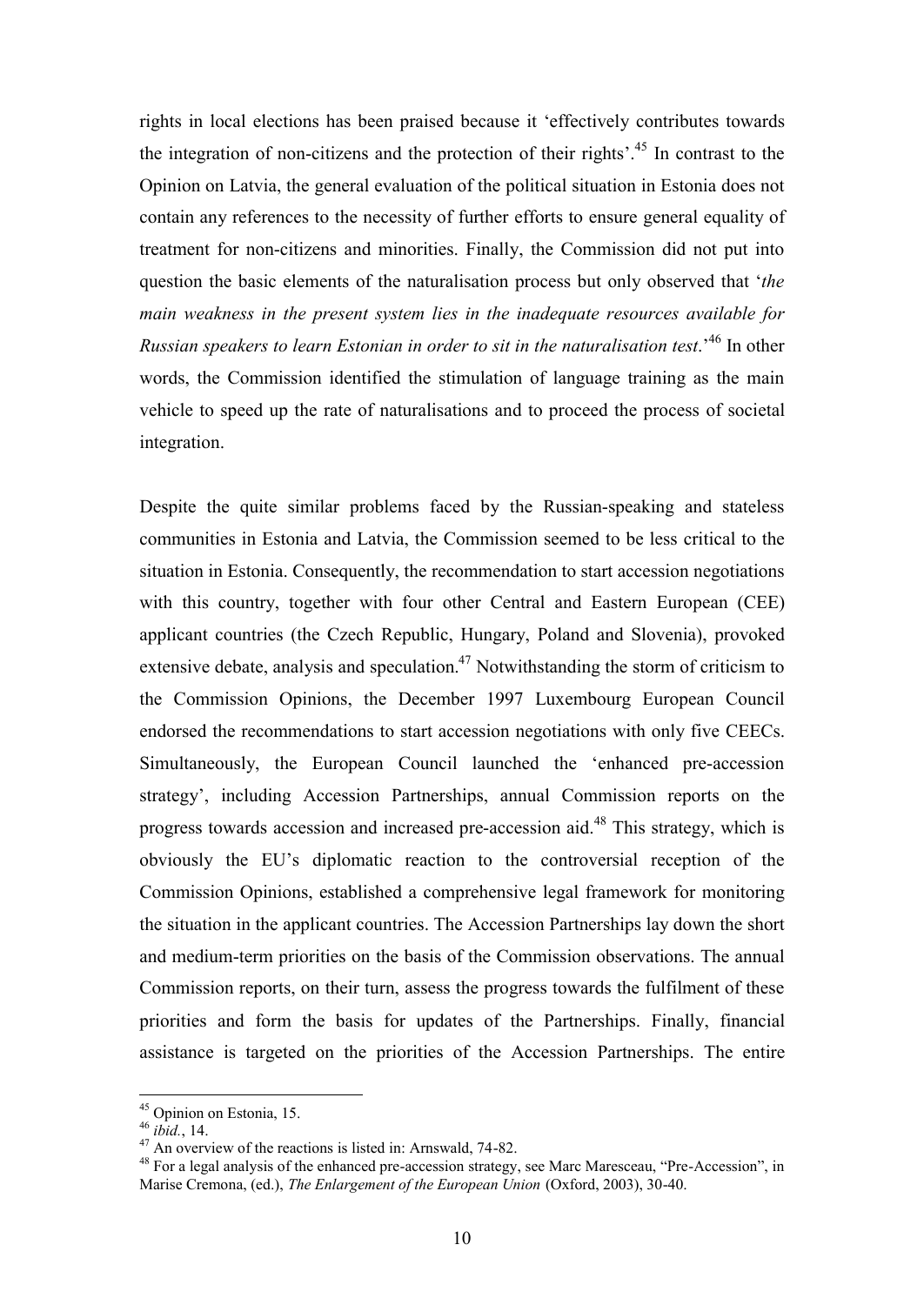rights in local elections has been praised because it 'effectively contributes towards the integration of non-citizens and the protection of their rights'.<sup>45</sup> In contrast to the Opinion on Latvia, the general evaluation of the political situation in Estonia does not contain any references to the necessity of further efforts to ensure general equality of treatment for non-citizens and minorities. Finally, the Commission did not put into question the basic elements of the naturalisation process but only observed that '*the main weakness in the present system lies in the inadequate resources available for Russian speakers to learn Estonian in order to sit in the naturalisation test*.'<sup>46</sup> In other words, the Commission identified the stimulation of language training as the main vehicle to speed up the rate of naturalisations and to proceed the process of societal integration.

Despite the quite similar problems faced by the Russian-speaking and stateless communities in Estonia and Latvia, the Commission seemed to be less critical to the situation in Estonia. Consequently, the recommendation to start accession negotiations with this country, together with four other Central and Eastern European (CEE) applicant countries (the Czech Republic, Hungary, Poland and Slovenia), provoked extensive debate, analysis and speculation.<sup>47</sup> Notwithstanding the storm of criticism to the Commission Opinions, the December 1997 Luxembourg European Council endorsed the recommendations to start accession negotiations with only five CEECs. Simultaneously, the European Council launched the 'enhanced pre-accession strategy', including Accession Partnerships, annual Commission reports on the progress towards accession and increased pre-accession aid.<sup>48</sup> This strategy, which is obviously the EU's diplomatic reaction to the controversial reception of the Commission Opinions, established a comprehensive legal framework for monitoring the situation in the applicant countries. The Accession Partnerships lay down the short and medium-term priorities on the basis of the Commission observations. The annual Commission reports, on their turn, assess the progress towards the fulfilment of these priorities and form the basis for updates of the Partnerships. Finally, financial assistance is targeted on the priorities of the Accession Partnerships. The entire

<sup>&</sup>lt;sup>45</sup> Opinion on Estonia, 15.

<sup>46</sup> *ibid.*, 14.

 $47$  An overview of the reactions is listed in: Arnswald, 74-82.

<sup>&</sup>lt;sup>48</sup> For a legal analysis of the enhanced pre-accession strategy, see Marc Maresceau, "Pre-Accession", in Marise Cremona, (ed.), *The Enlargement of the European Union* (Oxford, 2003), 30-40.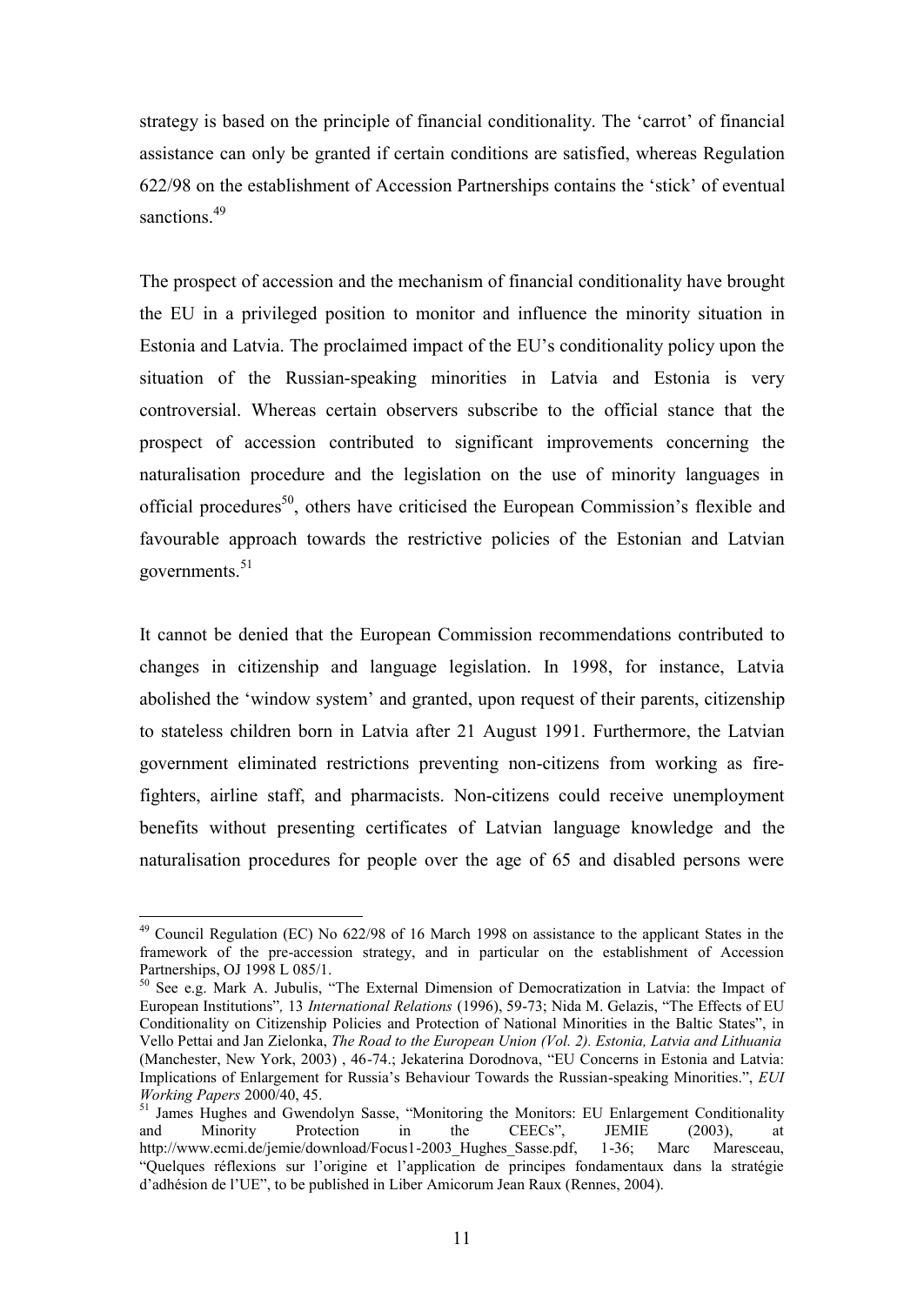strategy is based on the principle of financial conditionality. The 'carrot' of financial assistance can only be granted if certain conditions are satisfied, whereas Regulation 622/98 on the establishment of Accession Partnerships contains the 'stick' of eventual sanctions.<sup>49</sup>

The prospect of accession and the mechanism of financial conditionality have brought the EU in a privileged position to monitor and influence the minority situation in Estonia and Latvia. The proclaimed impact of the EU's conditionality policy upon the situation of the Russian-speaking minorities in Latvia and Estonia is very controversial. Whereas certain observers subscribe to the official stance that the prospect of accession contributed to significant improvements concerning the naturalisation procedure and the legislation on the use of minority languages in official procedures<sup>50</sup>, others have criticised the European Commission's flexible and favourable approach towards the restrictive policies of the Estonian and Latvian governments. $51$ 

It cannot be denied that the European Commission recommendations contributed to changes in citizenship and language legislation. In 1998, for instance, Latvia abolished the 'window system' and granted, upon request of their parents, citizenship to stateless children born in Latvia after 21 August 1991. Furthermore, the Latvian government eliminated restrictions preventing non-citizens from working as firefighters, airline staff, and pharmacists. Non-citizens could receive unemployment benefits without presenting certificates of Latvian language knowledge and the naturalisation procedures for people over the age of 65 and disabled persons were

<sup>&</sup>lt;sup>49</sup> Council Regulation (EC) No 622/98 of 16 March 1998 on assistance to the applicant States in the framework of the pre-accession strategy, and in particular on the establishment of Accession Partnerships, OJ 1998 L 085/1.

<sup>50</sup> See e.g. Mark A. Jubulis, "The External Dimension of Democratization in Latvia: the Impact of European Institutions"*,* 13 *International Relations* (1996), 59-73; Nida M. Gelazis, "The Effects of EU Conditionality on Citizenship Policies and Protection of National Minorities in the Baltic States", in Vello Pettai and Jan Zielonka, *The Road to the European Union (Vol. 2). Estonia, Latvia and Lithuania* (Manchester, New York, 2003) , 46-74.; Jekaterina Dorodnova, "EU Concerns in Estonia and Latvia: Implications of Enlargement for Russia's Behaviour Towards the Russian-speaking Minorities.", *EUI Working Papers* 2000/40, 45.

<sup>&</sup>lt;sup>51</sup> James Hughes and Gwendolyn Sasse, "Monitoring the Monitors: EU Enlargement Conditionality and Minority Protection in the CEECs", JEMIE (2003), at http://www.ecmi.de/jemie/download/Focus1-2003 Hughes Sasse.pdf, 1-36; Marc Maresceau, http://www.ecmi.de/jemie/download/Focus1-2003\_Hughes\_Sasse.pdf, 1-36; Marc Maresceau, "Quelques réflexions sur l'origine et l'application de principes fondamentaux dans la stratégie d'adhésion de l'UE", to be published in Liber Amicorum Jean Raux (Rennes, 2004).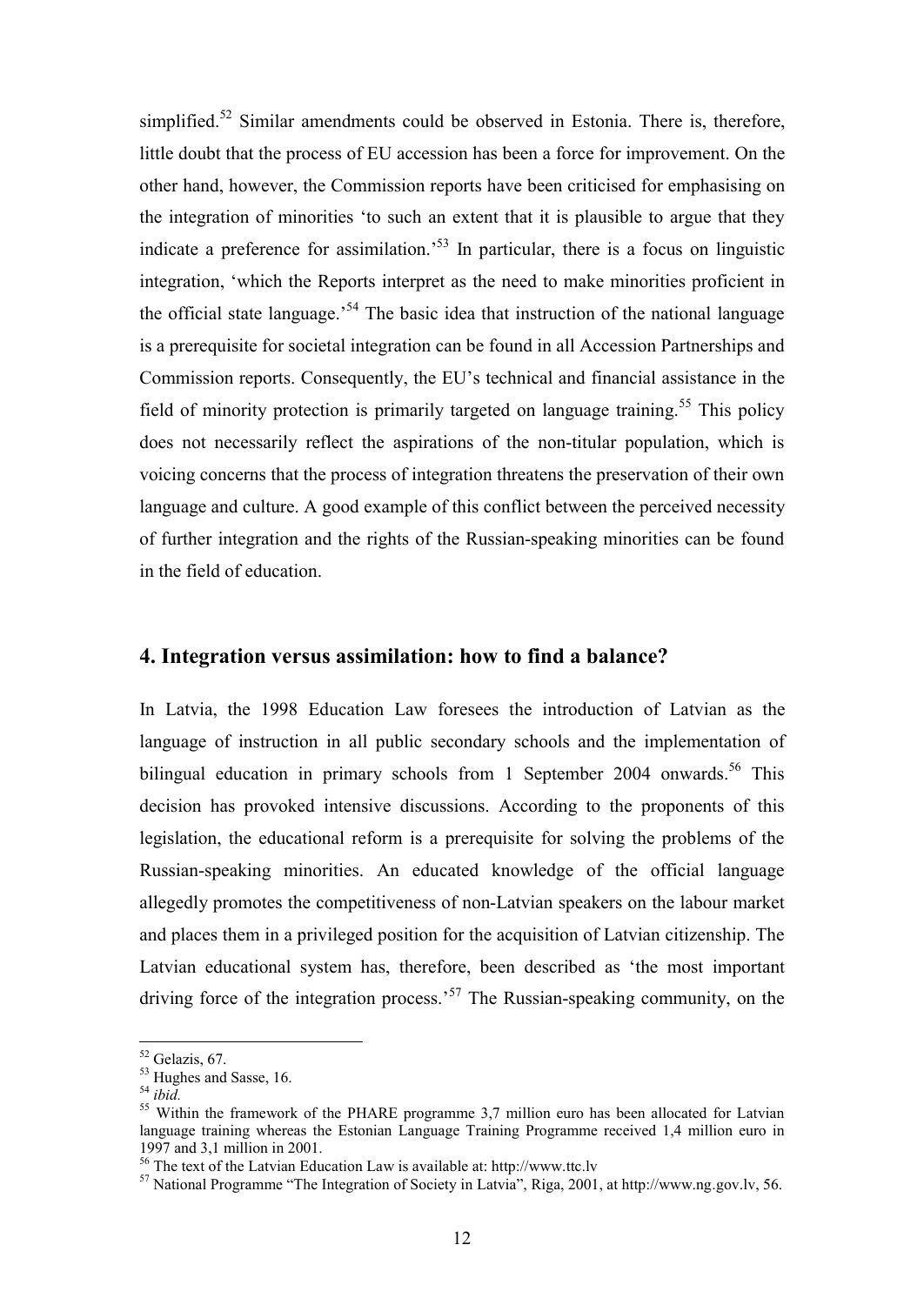simplified.<sup>52</sup> Similar amendments could be observed in Estonia. There is, therefore, little doubt that the process of EU accession has been a force for improvement. On the other hand, however, the Commission reports have been criticised for emphasising on the integration of minorities 'to such an extent that it is plausible to argue that they indicate a preference for assimilation.<sup>53</sup> In particular, there is a focus on linguistic integration, 'which the Reports interpret as the need to make minorities proficient in the official state language.<sup>54</sup> The basic idea that instruction of the national language is a prerequisite for societal integration can be found in all Accession Partnerships and Commission reports. Consequently, the EU's technical and financial assistance in the field of minority protection is primarily targeted on language training.<sup>55</sup> This policy does not necessarily reflect the aspirations of the non-titular population, which is voicing concerns that the process of integration threatens the preservation of their own language and culture. A good example of this conflict between the perceived necessity of further integration and the rights of the Russian-speaking minorities can be found in the field of education.

# **4. Integration versus assimilation: how to find a balance?**

In Latvia, the 1998 Education Law foresees the introduction of Latvian as the language of instruction in all public secondary schools and the implementation of bilingual education in primary schools from 1 September 2004 onwards.<sup>56</sup> This decision has provoked intensive discussions. According to the proponents of this legislation, the educational reform is a prerequisite for solving the problems of the Russian-speaking minorities. An educated knowledge of the official language allegedly promotes the competitiveness of non-Latvian speakers on the labour market and places them in a privileged position for the acquisition of Latvian citizenship. The Latvian educational system has, therefore, been described as 'the most important driving force of the integration process.<sup>57</sup> The Russian-speaking community, on the

<sup>52</sup> Gelazis, 67.

<sup>&</sup>lt;sup>53</sup> Hughes and Sasse, 16.

<sup>54</sup> *ibid.*

<sup>&</sup>lt;sup>55</sup> Within the framework of the PHARE programme 3,7 million euro has been allocated for Latvian language training whereas the Estonian Language Training Programme received 1,4 million euro in 1997 and 3,1 million in 2001.

<sup>56</sup> The text of the Latvian Education Law is available at: http://www.ttc.lv

<sup>57</sup> National Programme "The Integration of Society in Latvia", Riga, 2001, at http://www.ng.gov.lv, 56.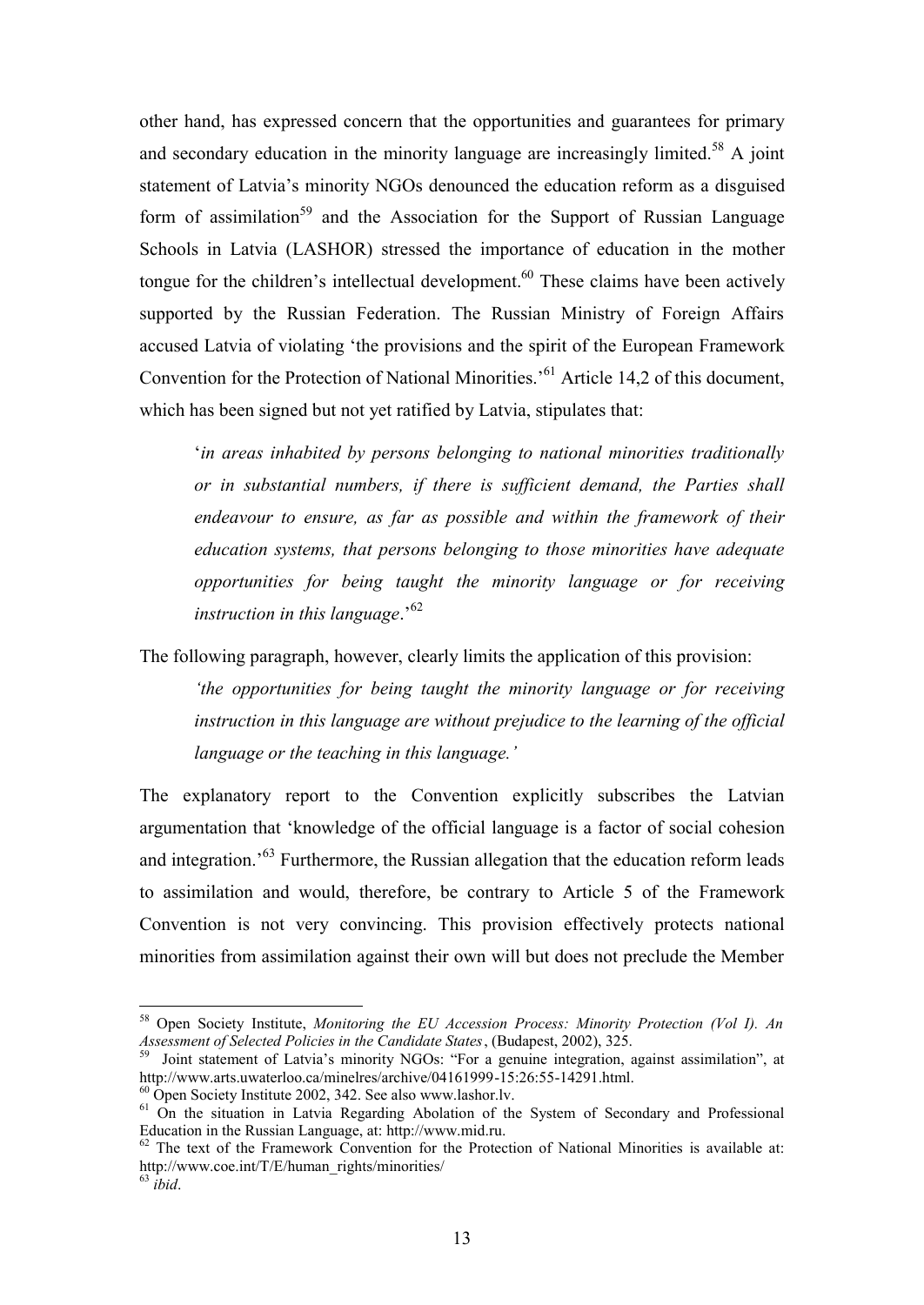other hand, has expressed concern that the opportunities and guarantees for primary and secondary education in the minority language are increasingly limited.<sup>58</sup> A joint statement of Latvia's minority NGOs denounced the education reform as a disguised form of assimilation<sup>59</sup> and the Association for the Support of Russian Language Schools in Latvia (LASHOR) stressed the importance of education in the mother tongue for the children's intellectual development.<sup>60</sup> These claims have been actively supported by the Russian Federation. The Russian Ministry of Foreign Affairs accused Latvia of violating 'the provisions and the spirit of the European Framework Convention for the Protection of National Minorities.'<sup>61</sup> Article 14,2 of this document, which has been signed but not yet ratified by Latvia, stipulates that:

'*in areas inhabited by persons belonging to national minorities traditionally or in substantial numbers, if there is sufficient demand, the Parties shall endeavour to ensure, as far as possible and within the framework of their education systems, that persons belonging to those minorities have adequate opportunities for being taught the minority language or for receiving instruction in this language*.'<sup>62</sup>

The following paragraph, however, clearly limits the application of this provision:

*'the opportunities for being taught the minority language or for receiving instruction in this language are without prejudice to the learning of the official language or the teaching in this language.'* 

The explanatory report to the Convention explicitly subscribes the Latvian argumentation that 'knowledge of the official language is a factor of social cohesion and integration.'<sup>63</sup> Furthermore, the Russian allegation that the education reform leads to assimilation and would, therefore, be contrary to Article 5 of the Framework Convention is not very convincing. This provision effectively protects national minorities from assimilation against their own will but does not preclude the Member

<sup>58</sup> Open Society Institute, *Monitoring the EU Accession Process: Minority Protection (Vol I). An Assessment of Selected Policies in the Candidate States*, (Budapest, 2002), 325. 59 Joint statement of Latvia's minority NGOs: "For a genuine integration, against assimilation", at

http://www.arts.uwaterloo.ca/minelres/archive/04161999-15:26:55-14291.html.

<sup>60</sup> Open Society Institute 2002, 342. See also www.lashor.lv.

<sup>&</sup>lt;sup>61</sup> On the situation in Latvia Regarding Abolation of the System of Secondary and Professional Education in the Russian Language, at: http://www.mid.ru.

<sup>&</sup>lt;sup>62</sup> The text of the Framework Convention for the Protection of National Minorities is available at: http://www.coe.int/T/E/human\_rights/minorities/  $63$  *ibid*.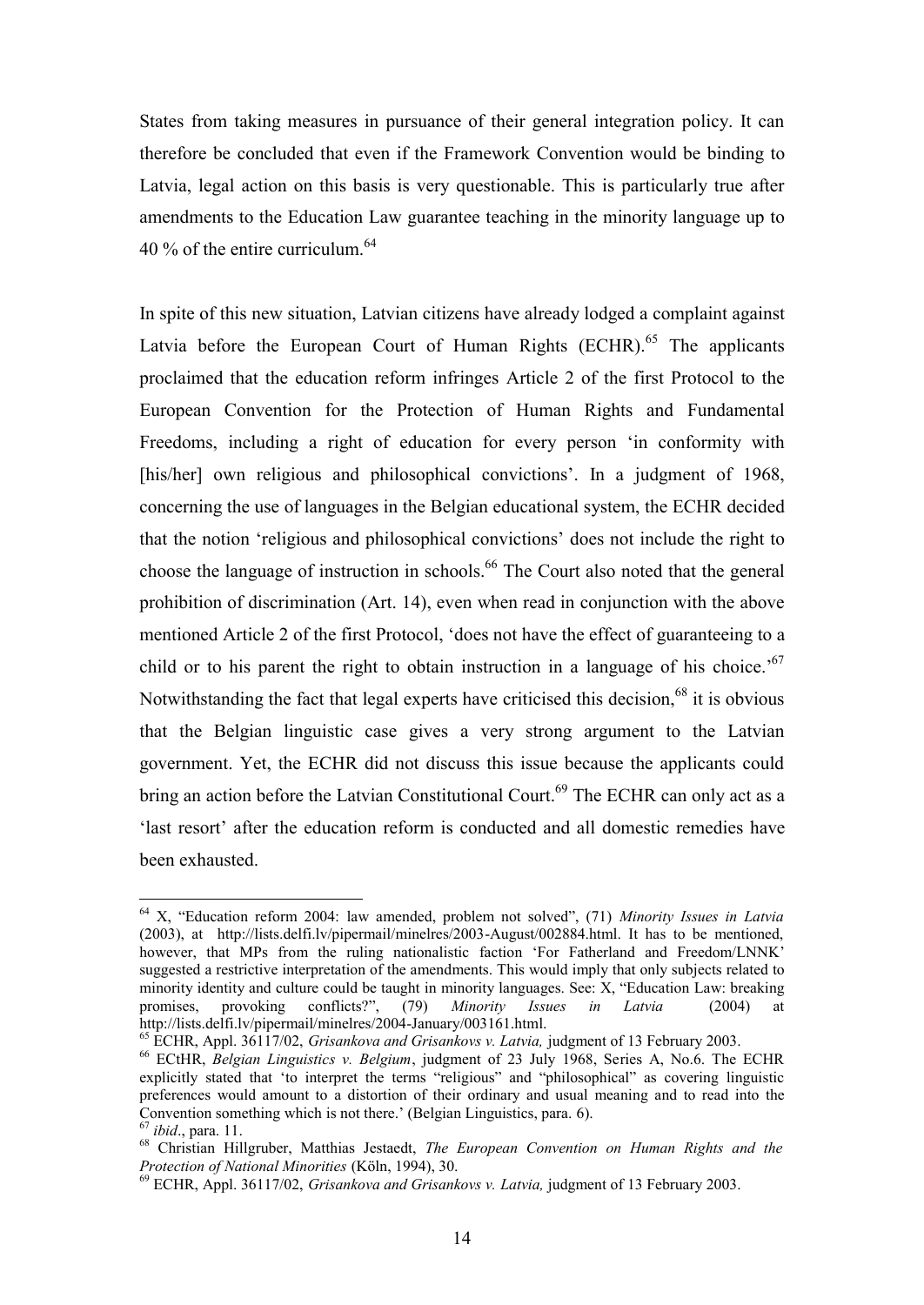States from taking measures in pursuance of their general integration policy. It can therefore be concluded that even if the Framework Convention would be binding to Latvia, legal action on this basis is very questionable. This is particularly true after amendments to the Education Law guarantee teaching in the minority language up to 40 % of the entire curriculum. $64$ 

In spite of this new situation, Latvian citizens have already lodged a complaint against Latvia before the European Court of Human Rights  $(ECHR)$ <sup>65</sup> The applicants proclaimed that the education reform infringes Article 2 of the first Protocol to the European Convention for the Protection of Human Rights and Fundamental Freedoms, including a right of education for every person 'in conformity with [his/her] own religious and philosophical convictions'. In a judgment of 1968, concerning the use of languages in the Belgian educational system, the ECHR decided that the notion 'religious and philosophical convictions' does not include the right to choose the language of instruction in schools.<sup>66</sup> The Court also noted that the general prohibition of discrimination (Art. 14), even when read in conjunction with the above mentioned Article 2 of the first Protocol, 'does not have the effect of guaranteeing to a child or to his parent the right to obtain instruction in a language of his choice.<sup>'67</sup> Notwithstanding the fact that legal experts have criticised this decision,<sup>68</sup> it is obvious that the Belgian linguistic case gives a very strong argument to the Latvian government. Yet, the ECHR did not discuss this issue because the applicants could bring an action before the Latvian Constitutional Court.<sup>69</sup> The ECHR can only act as a 'last resort' after the education reform is conducted and all domestic remedies have been exhausted.

<sup>64</sup> X, "Education reform 2004: law amended, problem not solved", (71) *Minority Issues in Latvia* (2003), at http://lists.delfi.lv/pipermail/minelres/2003-August/002884.html. It has to be mentioned, however, that MPs from the ruling nationalistic faction 'For Fatherland and Freedom/LNNK' suggested a restrictive interpretation of the amendments. This would imply that only subjects related to minority identity and culture could be taught in minority languages. See: X, "Education Law: breaking promises, provoking conflicts?", (79) *Minority Issues in Latvia* (2004) at http://lists.delfi.lv/pipermail/minelres/2004-January/003161.html.

<sup>65</sup> ECHR, Appl. 36117/02, *Grisankova and Grisankovs v. Latvia,* judgment of 13 February 2003.

<sup>66</sup> ECtHR, *Belgian Linguistics v. Belgium*, judgment of 23 July 1968, Series A, No.6. The ECHR explicitly stated that 'to interpret the terms "religious" and "philosophical" as covering linguistic preferences would amount to a distortion of their ordinary and usual meaning and to read into the Convention something which is not there.' (Belgian Linguistics, para. 6).

<sup>67</sup> *ibid*., para. 11.

<sup>68</sup> Christian Hillgruber, Matthias Jestaedt, *The European Convention on Human Rights and the Protection of National Minorities* (Köln, 1994), 30.

<sup>69</sup> ECHR, Appl. 36117/02, *Grisankova and Grisankovs v. Latvia,* judgment of 13 February 2003.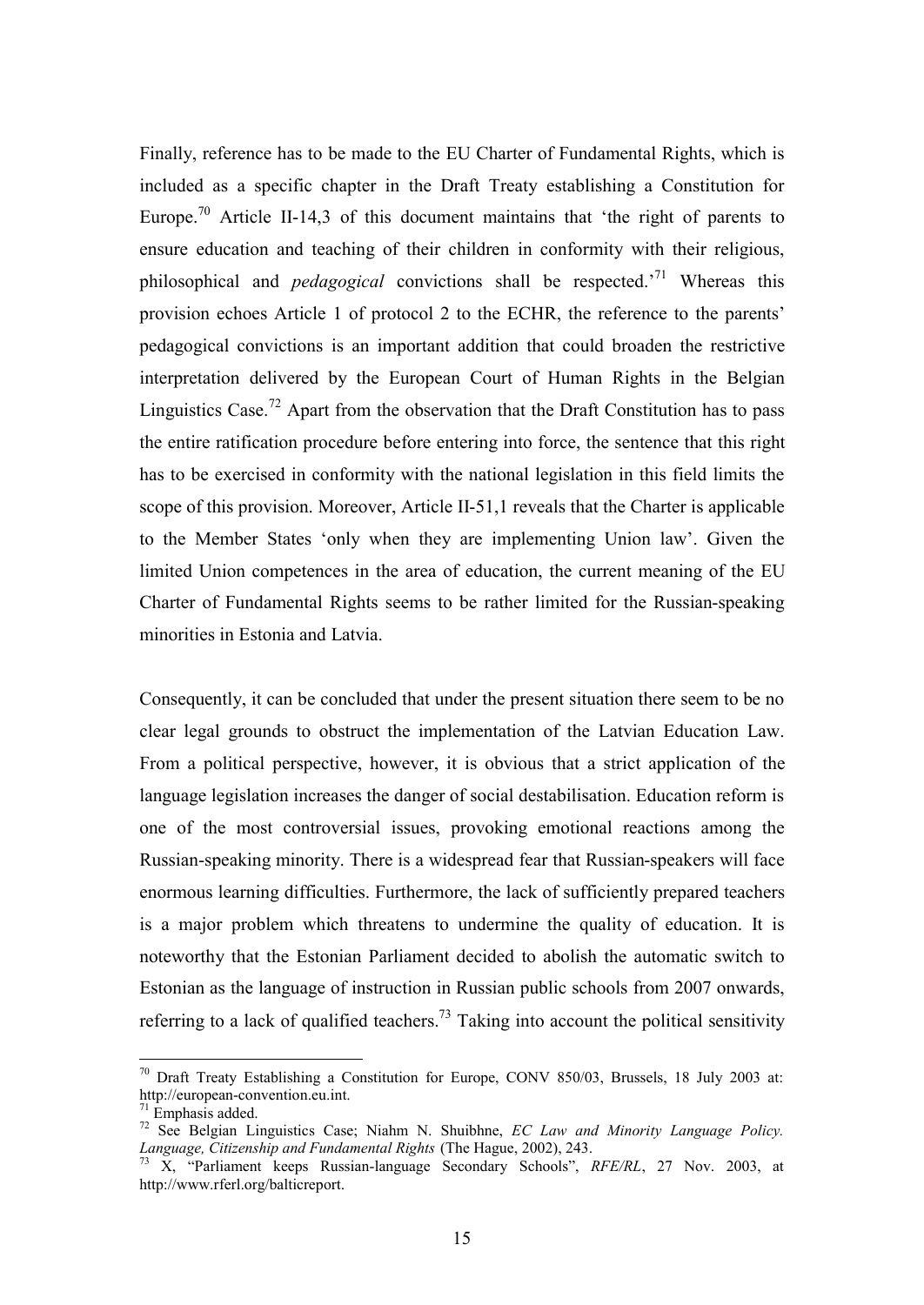Finally, reference has to be made to the EU Charter of Fundamental Rights, which is included as a specific chapter in the Draft Treaty establishing a Constitution for Europe.<sup>70</sup> Article II-14,3 of this document maintains that 'the right of parents to ensure education and teaching of their children in conformity with their religious, philosophical and *pedagogical* convictions shall be respected.'<sup>71</sup> Whereas this provision echoes Article 1 of protocol 2 to the ECHR, the reference to the parents' pedagogical convictions is an important addition that could broaden the restrictive interpretation delivered by the European Court of Human Rights in the Belgian Linguistics Case.<sup>72</sup> Apart from the observation that the Draft Constitution has to pass the entire ratification procedure before entering into force, the sentence that this right has to be exercised in conformity with the national legislation in this field limits the scope of this provision. Moreover, Article II-51,1 reveals that the Charter is applicable to the Member States 'only when they are implementing Union law'. Given the limited Union competences in the area of education, the current meaning of the EU Charter of Fundamental Rights seems to be rather limited for the Russian-speaking minorities in Estonia and Latvia.

Consequently, it can be concluded that under the present situation there seem to be no clear legal grounds to obstruct the implementation of the Latvian Education Law. From a political perspective, however, it is obvious that a strict application of the language legislation increases the danger of social destabilisation. Education reform is one of the most controversial issues, provoking emotional reactions among the Russian-speaking minority. There is a widespread fear that Russian-speakers will face enormous learning difficulties. Furthermore, the lack of sufficiently prepared teachers is a major problem which threatens to undermine the quality of education. It is noteworthy that the Estonian Parliament decided to abolish the automatic switch to Estonian as the language of instruction in Russian public schools from 2007 onwards, referring to a lack of qualified teachers.<sup>73</sup> Taking into account the political sensitivity

<sup>&</sup>lt;sup>70</sup> Draft Treaty Establishing a Constitution for Europe, CONV 850/03, Brussels, 18 July 2003 at: http://european-convention.eu.int.

 $71$  Emphasis added.

<sup>72</sup> See Belgian Linguistics Case; Niahm N. Shuibhne, *EC Law and Minority Language Policy. Language, Citizenship and Fundamental Rights* (The Hague, 2002), 243.

<sup>&</sup>lt;sup>73</sup> X, "Parliament keeps Russian-language Secondary Schools", *RFE/RL*, 27 Nov. 2003, at http://www.rferl.org/balticreport.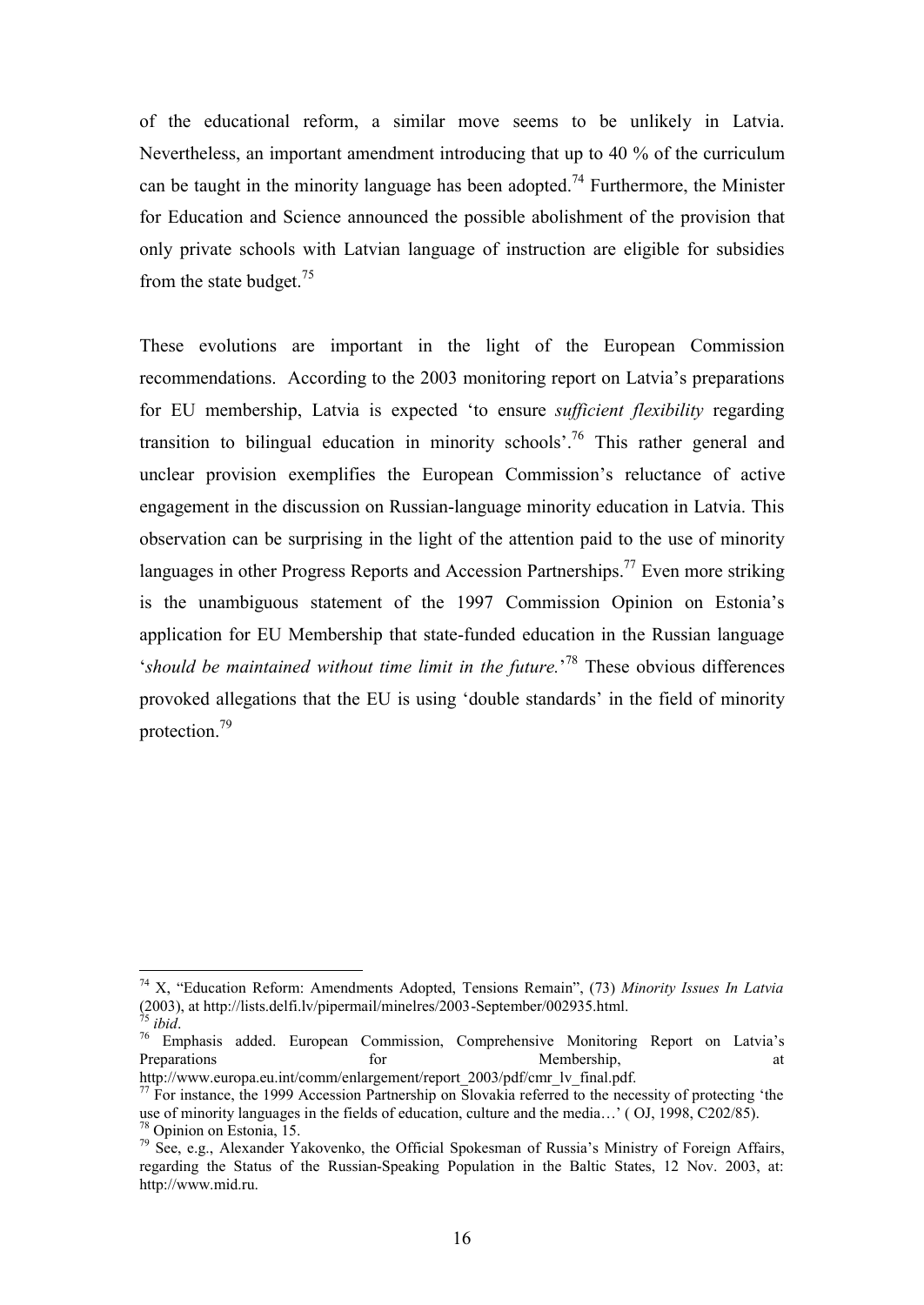of the educational reform, a similar move seems to be unlikely in Latvia. Nevertheless, an important amendment introducing that up to 40 % of the curriculum can be taught in the minority language has been adopted.<sup>74</sup> Furthermore, the Minister for Education and Science announced the possible abolishment of the provision that only private schools with Latvian language of instruction are eligible for subsidies from the state budget.<sup>75</sup>

These evolutions are important in the light of the European Commission recommendations. According to the 2003 monitoring report on Latvia's preparations for EU membership, Latvia is expected 'to ensure *sufficient flexibility* regarding transition to bilingual education in minority schools<sup>'.76</sup> This rather general and unclear provision exemplifies the European Commission's reluctance of active engagement in the discussion on Russian-language minority education in Latvia. This observation can be surprising in the light of the attention paid to the use of minority languages in other Progress Reports and Accession Partnerships.<sup>77</sup> Even more striking is the unambiguous statement of the 1997 Commission Opinion on Estonia's application for EU Membership that state-funded education in the Russian language '*should be maintained without time limit in the future.*' <sup>78</sup> These obvious differences provoked allegations that the EU is using 'double standards' in the field of minority protection.<sup>79</sup>

<sup>74</sup> X, "Education Reform: Amendments Adopted, Tensions Remain", (73) *Minority Issues In Latvia* (2003), at http://lists.delfi.lv/pipermail/minelres/2003-September/002935.html.

*ibid.* 

 $76$  Emphasis added. European Commission, Comprehensive Monitoring Report on Latvia's Preparations and the formulation of the Membership, and the Membership, and the Membership of the Membership of the Membership of the Membership of the Membership of the Membership of the Membership of the Membership of th

http://www.europa.eu.int/comm/enlargement/report\_2003/pdf/cmr\_lv\_final.pdf.

<sup>&</sup>lt;sup>77</sup> For instance, the 1999 Accession Partnership on Slovakia referred to the necessity of protecting 'the use of minority languages in the fields of education, culture and the media…' ( OJ, 1998, C202/85). <sup>78</sup> Opinion on Estonia, 15.

<sup>&</sup>lt;sup>79</sup> See, e.g., Alexander Yakovenko, the Official Spokesman of Russia's Ministry of Foreign Affairs, regarding the Status of the Russian-Speaking Population in the Baltic States, 12 Nov. 2003, at: http://www.mid.ru.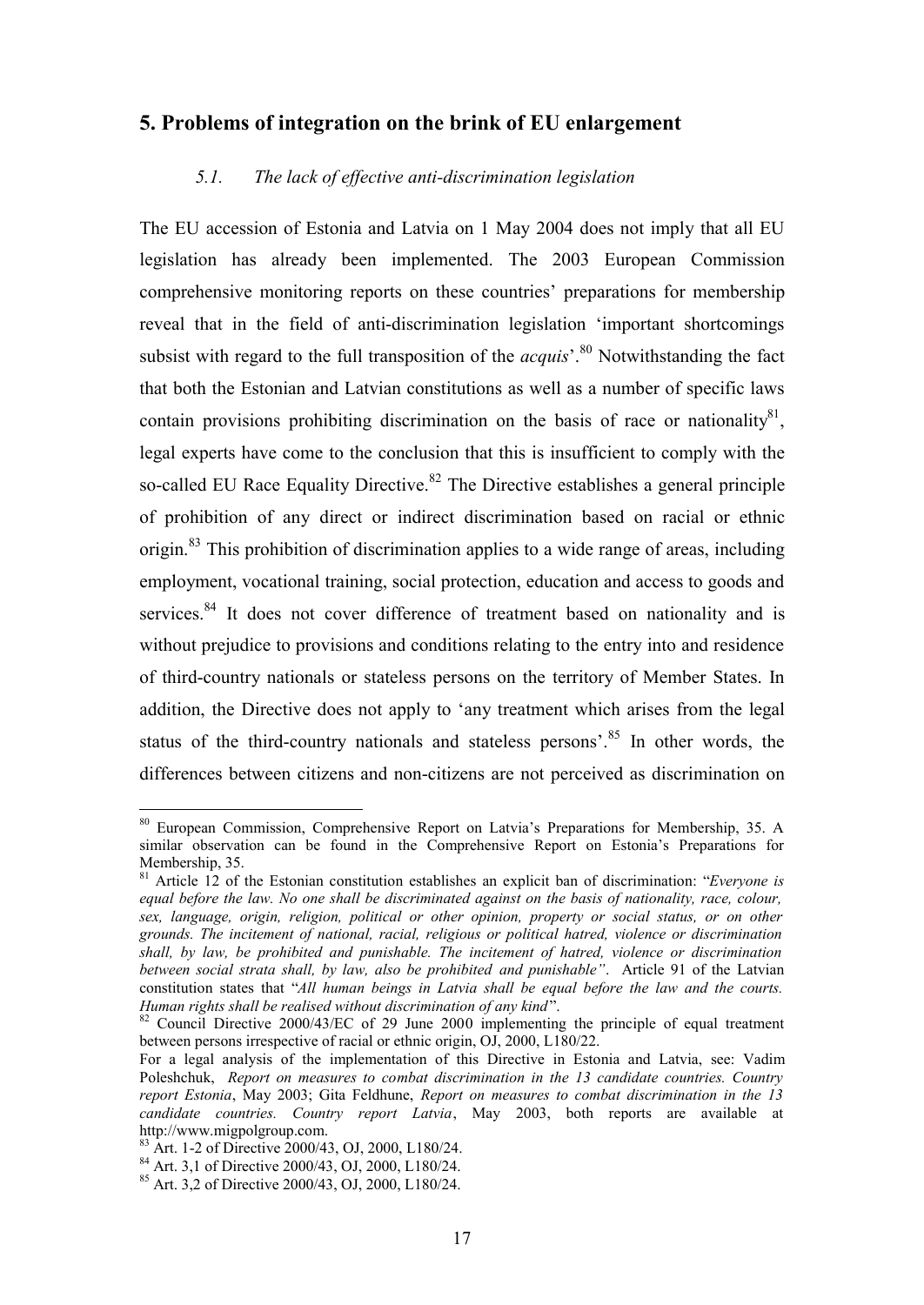## **5. Problems of integration on the brink of EU enlargement**

#### *5.1. The lack of effective anti-discrimination legislation*

The EU accession of Estonia and Latvia on 1 May 2004 does not imply that all EU legislation has already been implemented. The 2003 European Commission comprehensive monitoring reports on these countries' preparations for membership reveal that in the field of anti-discrimination legislation 'important shortcomings subsist with regard to the full transposition of the *acquis*<sup>'.80</sup> Notwithstanding the fact that both the Estonian and Latvian constitutions as well as a number of specific laws contain provisions prohibiting discrimination on the basis of race or nationality $81$ , legal experts have come to the conclusion that this is insufficient to comply with the so-called EU Race Equality Directive.<sup>82</sup> The Directive establishes a general principle of prohibition of any direct or indirect discrimination based on racial or ethnic origin.<sup>83</sup> This prohibition of discrimination applies to a wide range of areas, including employment, vocational training, social protection, education and access to goods and services.<sup>84</sup> It does not cover difference of treatment based on nationality and is without prejudice to provisions and conditions relating to the entry into and residence of third-country nationals or stateless persons on the territory of Member States. In addition, the Directive does not apply to 'any treatment which arises from the legal status of the third-country nationals and stateless persons'.<sup>85</sup> In other words, the differences between citizens and non-citizens are not perceived as discrimination on

<sup>80</sup> European Commission, Comprehensive Report on Latvia's Preparations for Membership, 35. A similar observation can be found in the Comprehensive Report on Estonia's Preparations for Membership, 35.

<sup>81</sup> Article 12 of the Estonian constitution establishes an explicit ban of discrimination: "*Everyone is equal before the law. No one shall be discriminated against on the basis of nationality, race, colour, sex, language, origin, religion, political or other opinion, property or social status, or on other grounds. The incitement of national, racial, religious or political hatred, violence or discrimination shall, by law, be prohibited and punishable. The incitement of hatred, violence or discrimination between social strata shall, by law, also be prohibited and punishable"*. Article 91 of the Latvian constitution states that "*All human beings in Latvia shall be equal before the law and the courts. Human rights shall be realised without discrimination of any kind*".

 $82$  Council Directive 2000/43/EC of 29 June 2000 implementing the principle of equal treatment between persons irrespective of racial or ethnic origin, OJ, 2000, L180/22.

For a legal analysis of the implementation of this Directive in Estonia and Latvia, see: Vadim Poleshchuk, *Report on measures to combat discrimination in the 13 candidate countries. Country report Estonia*, May 2003; Gita Feldhune, *Report on measures to combat discrimination in the 13 candidate countries. Country report Latvia*, May 2003, both reports are available at http://www.migpolgroup.com.

 $^{83}$  Art. 1-2 of Directive 2000/43, OJ, 2000, L180/24.

 $^{84}$  Art. 3,1 of Directive 2000/43, OJ, 2000, L180/24.

<sup>85</sup> Art. 3,2 of Directive 2000/43, OJ, 2000, L180/24.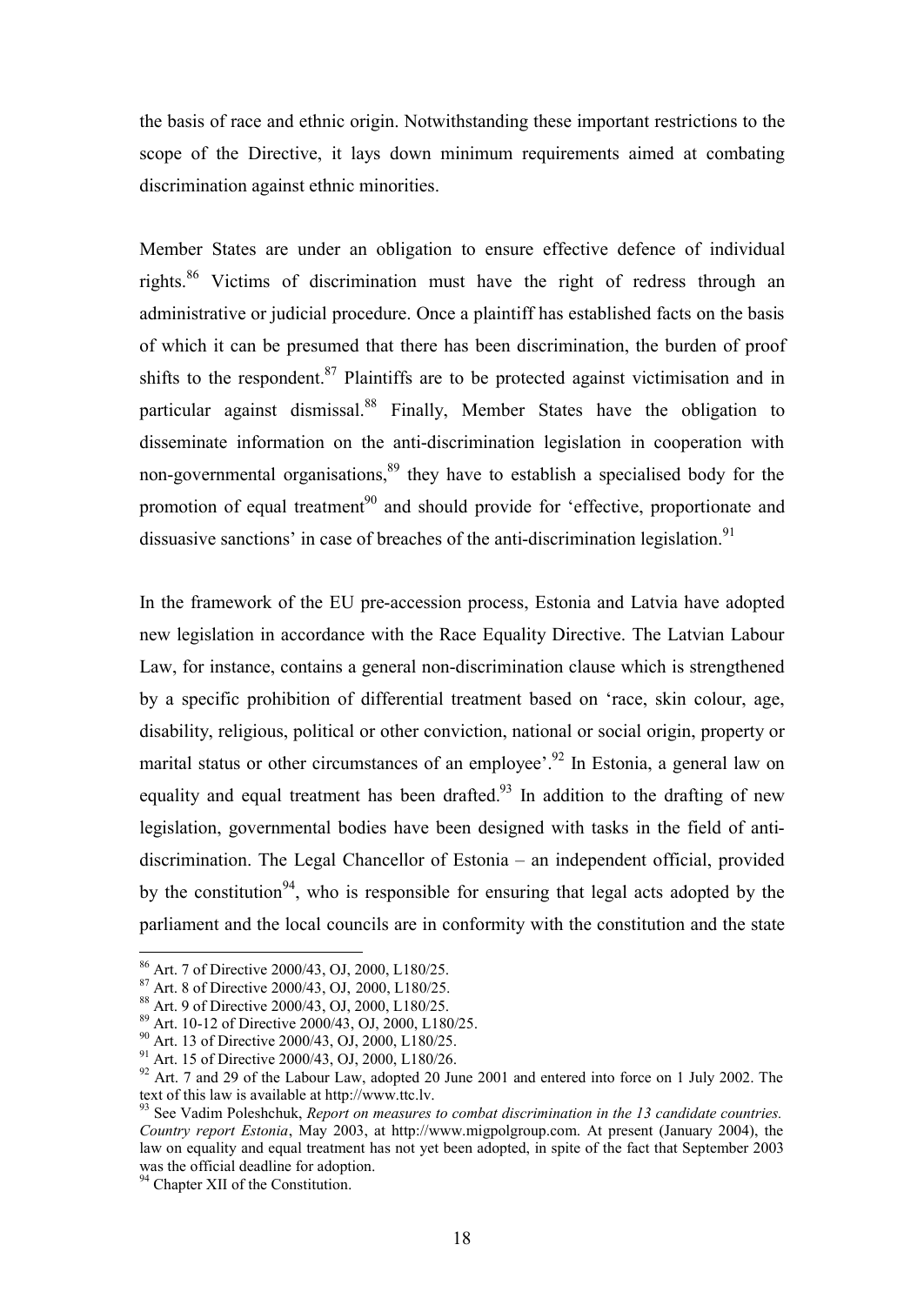the basis of race and ethnic origin. Notwithstanding these important restrictions to the scope of the Directive, it lays down minimum requirements aimed at combating discrimination against ethnic minorities.

Member States are under an obligation to ensure effective defence of individual rights.<sup>86</sup> Victims of discrimination must have the right of redress through an administrative or judicial procedure. Once a plaintiff has established facts on the basis of which it can be presumed that there has been discrimination, the burden of proof shifts to the respondent.  $87$  Plaintiffs are to be protected against victimisation and in particular against dismissal.<sup>88</sup> Finally, Member States have the obligation to disseminate information on the anti-discrimination legislation in cooperation with non-governmental organisations, $89$  they have to establish a specialised body for the promotion of equal treatment<sup>90</sup> and should provide for 'effective, proportionate and dissuasive sanctions' in case of breaches of the anti-discrimination legislation.<sup>91</sup>

In the framework of the EU pre-accession process, Estonia and Latvia have adopted new legislation in accordance with the Race Equality Directive. The Latvian Labour Law, for instance, contains a general non-discrimination clause which is strengthened by a specific prohibition of differential treatment based on 'race, skin colour, age, disability, religious, political or other conviction, national or social origin, property or marital status or other circumstances of an employee<sup> $, 92$ </sup> In Estonia, a general law on equality and equal treatment has been drafted.<sup>93</sup> In addition to the drafting of new legislation, governmental bodies have been designed with tasks in the field of antidiscrimination. The Legal Chancellor of Estonia – an independent official, provided by the constitution<sup>94</sup>, who is responsible for ensuring that legal acts adopted by the parliament and the local councils are in conformity with the constitution and the state

<sup>86</sup> Art. 7 of Directive 2000/43, OJ, 2000, L180/25.

<sup>87</sup> Art. 8 of Directive 2000/43, OJ, 2000, L180/25.

<sup>88</sup> Art. 9 of Directive 2000/43, OJ, 2000, L180/25.

<sup>89</sup> Art. 10-12 of Directive 2000/43, OJ, 2000, L180/25.

<sup>&</sup>lt;sup>90</sup> Art. 13 of Directive 2000/43, OJ, 2000, L180/25.

<sup>91</sup> Art. 15 of Directive 2000/43, OJ, 2000, L180/26.

<sup>&</sup>lt;sup>92</sup> Art. 7 and 29 of the Labour Law, adopted 20 June 2001 and entered into force on 1 July 2002. The text of this law is available at http://www.ttc.lv.

<sup>93</sup> See Vadim Poleshchuk, *Report on measures to combat discrimination in the 13 candidate countries. Country report Estonia*, May 2003, at http://www.migpolgroup.com. At present (January 2004), the law on equality and equal treatment has not yet been adopted, in spite of the fact that September 2003 was the official deadline for adoption.

<sup>&</sup>lt;sup>94</sup> Chapter XII of the Constitution.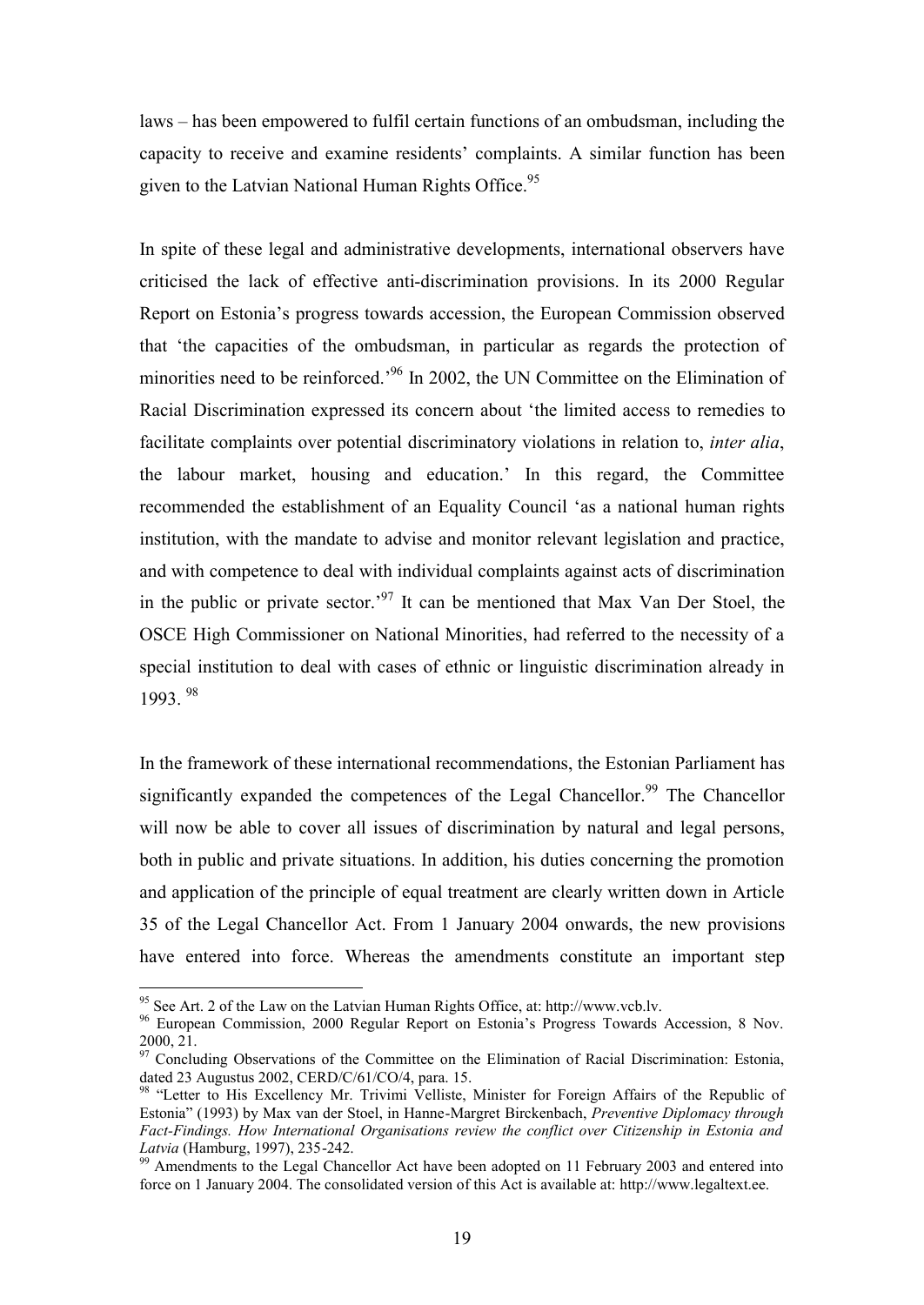laws – has been empowered to fulfil certain functions of an ombudsman, including the capacity to receive and examine residents' complaints. A similar function has been given to the Latvian National Human Rights Office.<sup>95</sup>

In spite of these legal and administrative developments, international observers have criticised the lack of effective anti-discrimination provisions. In its 2000 Regular Report on Estonia's progress towards accession, the European Commission observed that 'the capacities of the ombudsman, in particular as regards the protection of minorities need to be reinforced.'<sup>96</sup> In 2002, the UN Committee on the Elimination of Racial Discrimination expressed its concern about 'the limited access to remedies to facilitate complaints over potential discriminatory violations in relation to, *inter alia*, the labour market, housing and education.' In this regard, the Committee recommended the establishment of an Equality Council 'as a national human rights institution, with the mandate to advise and monitor relevant legislation and practice, and with competence to deal with individual complaints against acts of discrimination in the public or private sector.<sup>97</sup> It can be mentioned that Max Van Der Stoel, the OSCE High Commissioner on National Minorities, had referred to the necessity of a special institution to deal with cases of ethnic or linguistic discrimination already in 1993. <sup>98</sup>

In the framework of these international recommendations, the Estonian Parliament has significantly expanded the competences of the Legal Chancellor.<sup>99</sup> The Chancellor. will now be able to cover all issues of discrimination by natural and legal persons, both in public and private situations. In addition, his duties concerning the promotion and application of the principle of equal treatment are clearly written down in Article 35 of the Legal Chancellor Act. From 1 January 2004 onwards, the new provisions have entered into force. Whereas the amendments constitute an important step

<sup>95</sup> See Art. 2 of the Law on the Latvian Human Rights Office, at: http://www.vcb.lv.

<sup>96</sup> European Commission, 2000 Regular Report on Estonia's Progress Towards Accession, 8 Nov. 2000, 21.

 $97$  Concluding Observations of the Committee on the Elimination of Racial Discrimination: Estonia, dated 23 Augustus 2002, CERD/C/61/CO/4, para. 15.

<sup>&</sup>lt;sup>98</sup> "Letter to His Excellency Mr. Trivimi Velliste, Minister for Foreign Affairs of the Republic of Estonia" (1993) by Max van der Stoel, in Hanne-Margret Birckenbach, *Preventive Diplomacy through Fact-Findings. How International Organisations review the conflict over Citizenship in Estonia and Latvia* (Hamburg, 1997), 235-242.

 $\frac{99}{99}$  Amendments to the Legal Chancellor Act have been adopted on 11 February 2003 and entered into force on 1 January 2004. The consolidated version of this Act is available at: http://www.legaltext.ee.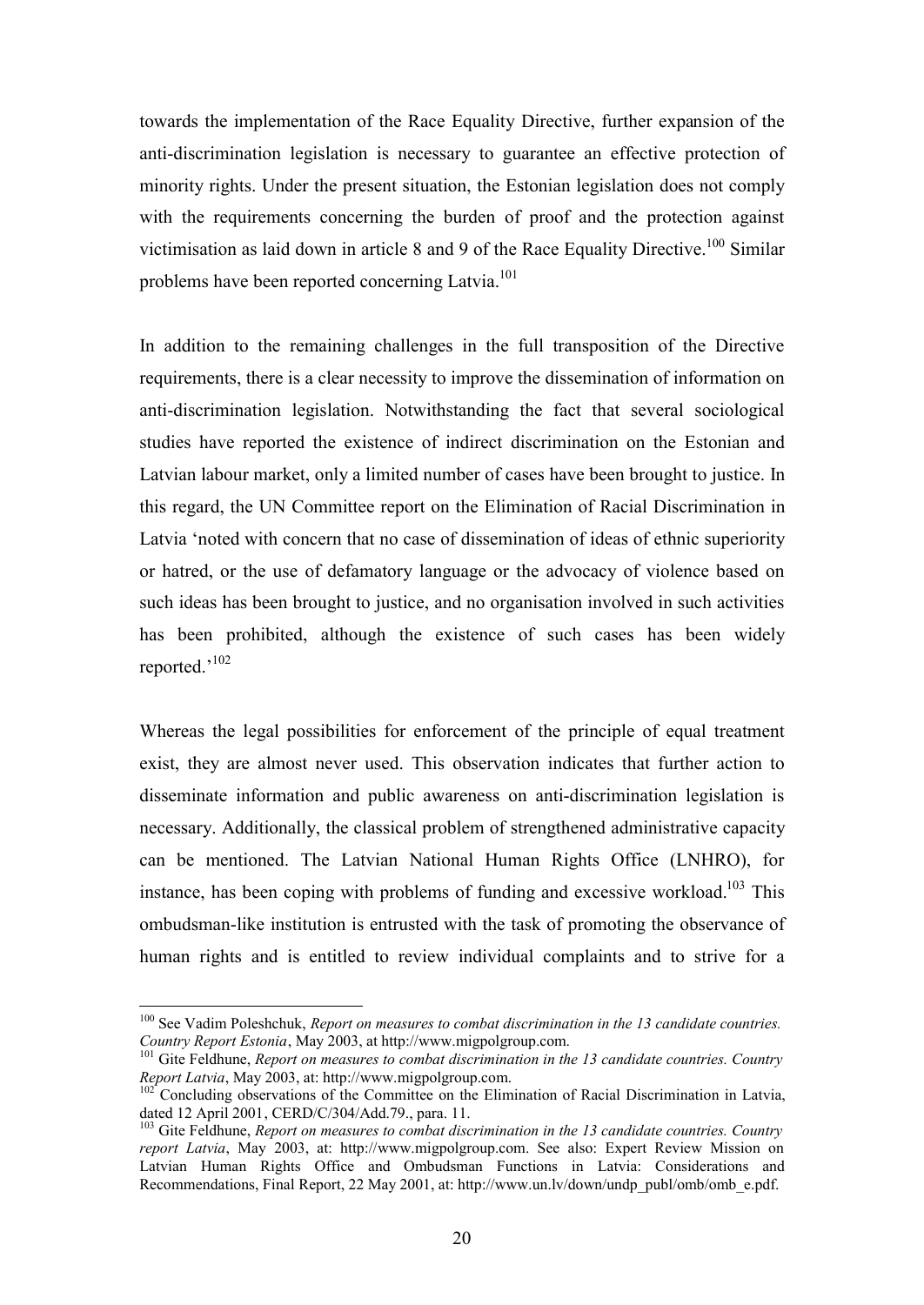towards the implementation of the Race Equality Directive, further expansion of the anti-discrimination legislation is necessary to guarantee an effective protection of minority rights. Under the present situation, the Estonian legislation does not comply with the requirements concerning the burden of proof and the protection against victimisation as laid down in article 8 and 9 of the Race Equality Directive.<sup>100</sup> Similar problems have been reported concerning Latvia.<sup>101</sup>

In addition to the remaining challenges in the full transposition of the Directive requirements, there is a clear necessity to improve the dissemination of information on anti-discrimination legislation. Notwithstanding the fact that several sociological studies have reported the existence of indirect discrimination on the Estonian and Latvian labour market, only a limited number of cases have been brought to justice. In this regard, the UN Committee report on the Elimination of Racial Discrimination in Latvia 'noted with concern that no case of dissemination of ideas of ethnic superiority or hatred, or the use of defamatory language or the advocacy of violence based on such ideas has been brought to justice, and no organisation involved in such activities has been prohibited, although the existence of such cases has been widely reported.'<sup>102</sup>

Whereas the legal possibilities for enforcement of the principle of equal treatment exist, they are almost never used. This observation indicates that further action to disseminate information and public awareness on anti-discrimination legislation is necessary. Additionally, the classical problem of strengthened administrative capacity can be mentioned. The Latvian National Human Rights Office (LNHRO), for instance, has been coping with problems of funding and excessive workload.<sup>103</sup> This ombudsman-like institution is entrusted with the task of promoting the observance of human rights and is entitled to review individual complaints and to strive for a

<sup>&</sup>lt;sup>100</sup> See Vadim Poleshchuk, *Report on measures to combat discrimination in the 13 candidate countries. Country Report Estonia*, May 2003, at http://www.migpolgroup.com.

<sup>101</sup> Gite Feldhune, *Report on measures to combat discrimination in the 13 candidate countries. Country Report Latvia*, May 2003, at: http://www.migpolgroup.com.

<sup>&</sup>lt;sup>102</sup> Concluding observations of the Committee on the Elimination of Racial Discrimination in Latvia, dated 12 April 2001, CERD/C/304/Add.79., para. 11.

<sup>103</sup> Gite Feldhune, *Report on measures to combat discrimination in the 13 candidate countries. Country report Latvia*, May 2003, at: http://www.migpolgroup.com. See also: Expert Review Mission on Latvian Human Rights Office and Ombudsman Functions in Latvia: Considerations and Recommendations, Final Report, 22 May 2001, at: http://www.un.lv/down/undp\_publ/omb/omb\_e.pdf.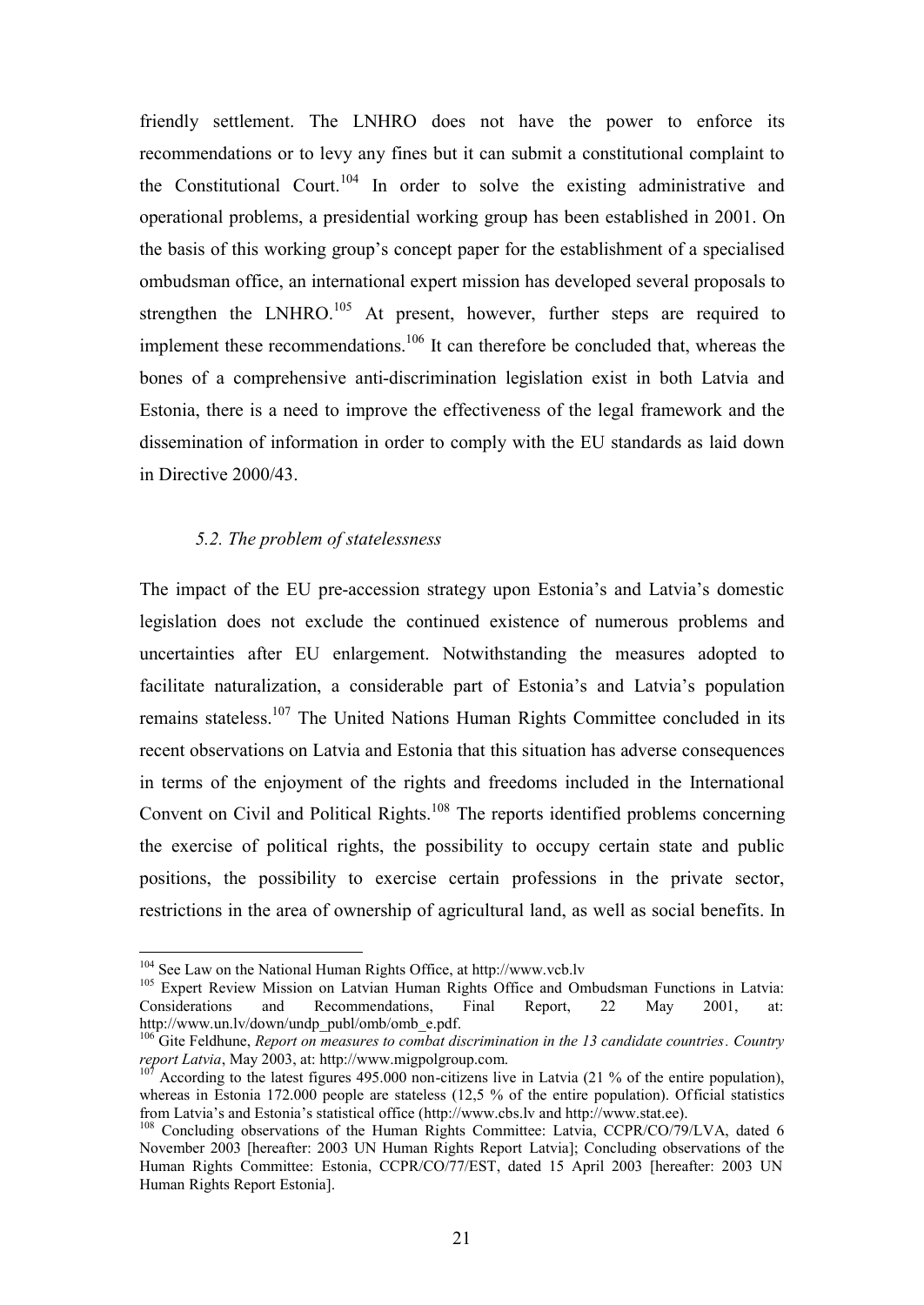friendly settlement. The LNHRO does not have the power to enforce its recommendations or to levy any fines but it can submit a constitutional complaint to the Constitutional Court.<sup>104</sup> In order to solve the existing administrative and operational problems, a presidential working group has been established in 2001. On the basis of this working group's concept paper for the establishment of a specialised ombudsman office, an international expert mission has developed several proposals to strengthen the LNHRO.<sup>105</sup> At present, however, further steps are required to implement these recommendations.<sup>106</sup> It can therefore be concluded that, whereas the bones of a comprehensive anti-discrimination legislation exist in both Latvia and Estonia, there is a need to improve the effectiveness of the legal framework and the dissemination of information in order to comply with the EU standards as laid down in Directive 2000/43.

#### *5.2. The problem of statelessness*

The impact of the EU pre-accession strategy upon Estonia's and Latvia's domestic legislation does not exclude the continued existence of numerous problems and uncertainties after EU enlargement. Notwithstanding the measures adopted to facilitate naturalization, a considerable part of Estonia's and Latvia's population remains stateless.<sup>107</sup> The United Nations Human Rights Committee concluded in its recent observations on Latvia and Estonia that this situation has adverse consequences in terms of the enjoyment of the rights and freedoms included in the International Convent on Civil and Political Rights.<sup>108</sup> The reports identified problems concerning the exercise of political rights, the possibility to occupy certain state and public positions, the possibility to exercise certain professions in the private sector, restrictions in the area of ownership of agricultural land, as well as social benefits. In

<sup>104</sup> See Law on the National Human Rights Office, at http://www.vcb.lv

<sup>&</sup>lt;sup>105</sup> Expert Review Mission on Latvian Human Rights Office and Ombudsman Functions in Latvia: Considerations and Recommendations, Final Report, 22 May 2001, at: http://www.un.lv/down/undp\_publ/omb/omb\_e.pdf.

<sup>106</sup> Gite Feldhune, *Report on measures to combat discrimination in the 13 candidate countries. Country report Latvia*, May 2003, at: http://www.migpolgroup.com.

According to the latest figures  $495.000$  non-citizens live in Latvia (21 % of the entire population), whereas in Estonia 172.000 people are stateless (12,5 % of the entire population). Official statistics from Latvia's and Estonia's statistical office (http://www.cbs.lv and http://www.stat.ee).

<sup>&</sup>lt;sup>108</sup> Concluding observations of the Human Rights Committee: Latvia, CCPR/CO/79/LVA, dated 6 November 2003 [hereafter: 2003 UN Human Rights Report Latvia]; Concluding observations of the Human Rights Committee: Estonia, CCPR/CO/77/EST, dated 15 April 2003 [hereafter: 2003 UN Human Rights Report Estonia].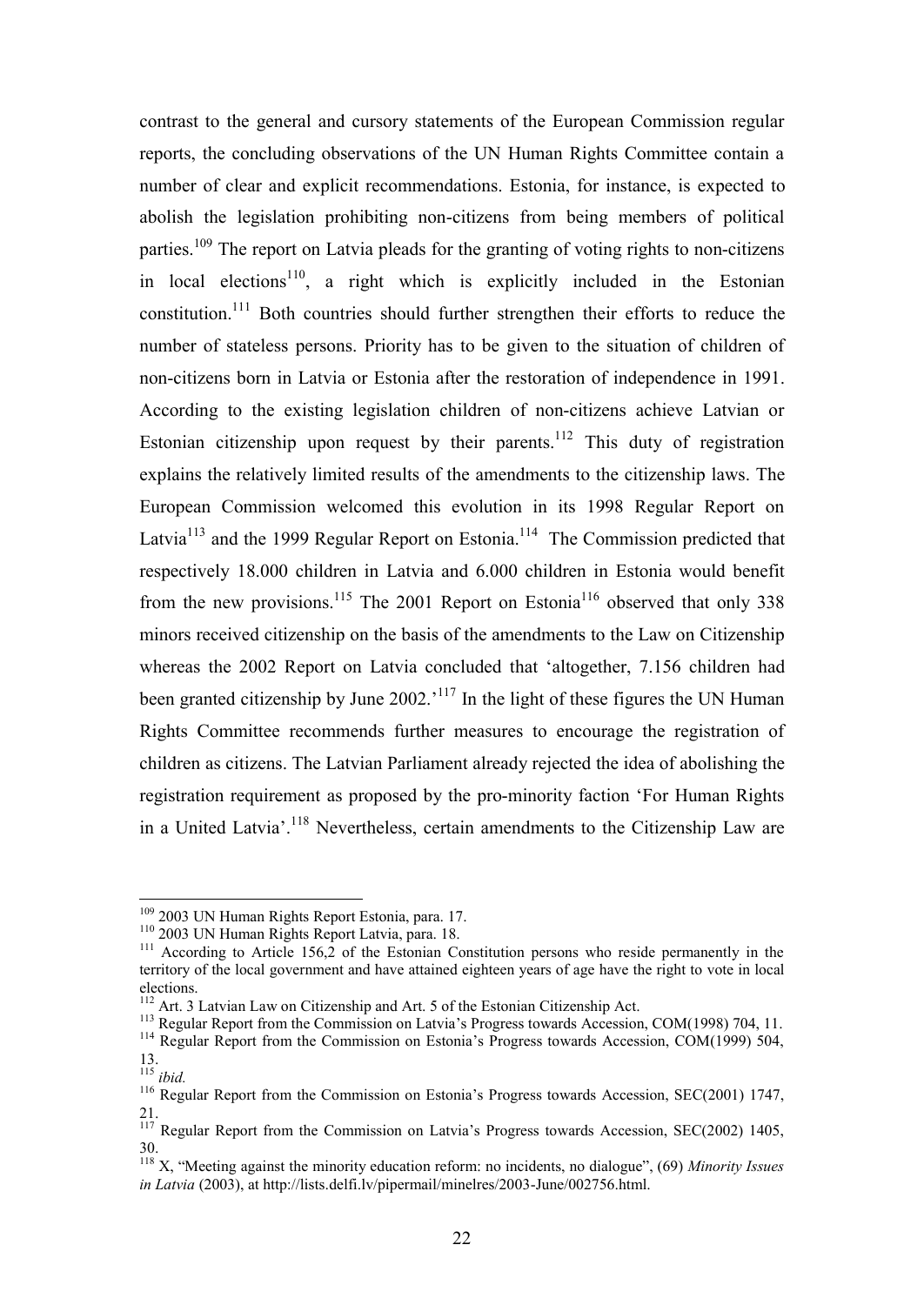contrast to the general and cursory statements of the European Commission regular reports, the concluding observations of the UN Human Rights Committee contain a number of clear and explicit recommendations. Estonia, for instance, is expected to abolish the legislation prohibiting non-citizens from being members of political parties.<sup>109</sup> The report on Latvia pleads for the granting of voting rights to non-citizens in local elections<sup>110</sup>, a right which is explicitly included in the Estonian constitution.<sup>111</sup> Both countries should further strengthen their efforts to reduce the number of stateless persons. Priority has to be given to the situation of children of non-citizens born in Latvia or Estonia after the restoration of independence in 1991. According to the existing legislation children of non-citizens achieve Latvian or Estonian citizenship upon request by their parents.<sup>112</sup> This duty of registration explains the relatively limited results of the amendments to the citizenship laws. The European Commission welcomed this evolution in its 1998 Regular Report on Latvia<sup>113</sup> and the 1999 Regular Report on Estonia.<sup>114</sup> The Commission predicted that respectively 18.000 children in Latvia and 6.000 children in Estonia would benefit from the new provisions.<sup>115</sup> The 2001 Report on Estonia<sup>116</sup> observed that only 338 minors received citizenship on the basis of the amendments to the Law on Citizenship whereas the 2002 Report on Latvia concluded that 'altogether, 7.156 children had been granted citizenship by June 2002.<sup>'117</sup> In the light of these figures the UN Human Rights Committee recommends further measures to encourage the registration of children as citizens. The Latvian Parliament already rejected the idea of abolishing the registration requirement as proposed by the pro-minority faction 'For Human Rights in a United Latvia'.<sup>118</sup> Nevertheless, certain amendments to the Citizenship Law are

<sup>&</sup>lt;sup>109</sup> 2003 UN Human Rights Report Estonia, para. 17.

<sup>&</sup>lt;sup>110</sup> 2003 UN Human Rights Report Latvia, para. 18.

 $111$  According to Article 156,2 of the Estonian Constitution persons who reside permanently in the territory of the local government and have attained eighteen years of age have the right to vote in local elections.

 $112$  Art. 3 Latvian Law on Citizenship and Art. 5 of the Estonian Citizenship Act.

<sup>&</sup>lt;sup>113</sup> Regular Report from the Commission on Latvia's Progress towards Accession, COM(1998) 704, 11.

<sup>&</sup>lt;sup>114</sup> Regular Report from the Commission on Estonia's Progress towards Accession, COM(1999) 504, 13.

<sup>115</sup> *ibid.*

<sup>&</sup>lt;sup>116</sup> Regular Report from the Commission on Estonia's Progress towards Accession, SEC(2001) 1747, 21.

<sup>&</sup>lt;sup>117</sup> Regular Report from the Commission on Latvia's Progress towards Accession, SEC(2002) 1405, 30.

<sup>118</sup> X, "Meeting against the minority education reform: no incidents, no dialogue", (69) *Minority Issues in Latvia* (2003), at http://lists.delfi.lv/pipermail/minelres/2003-June/002756.html.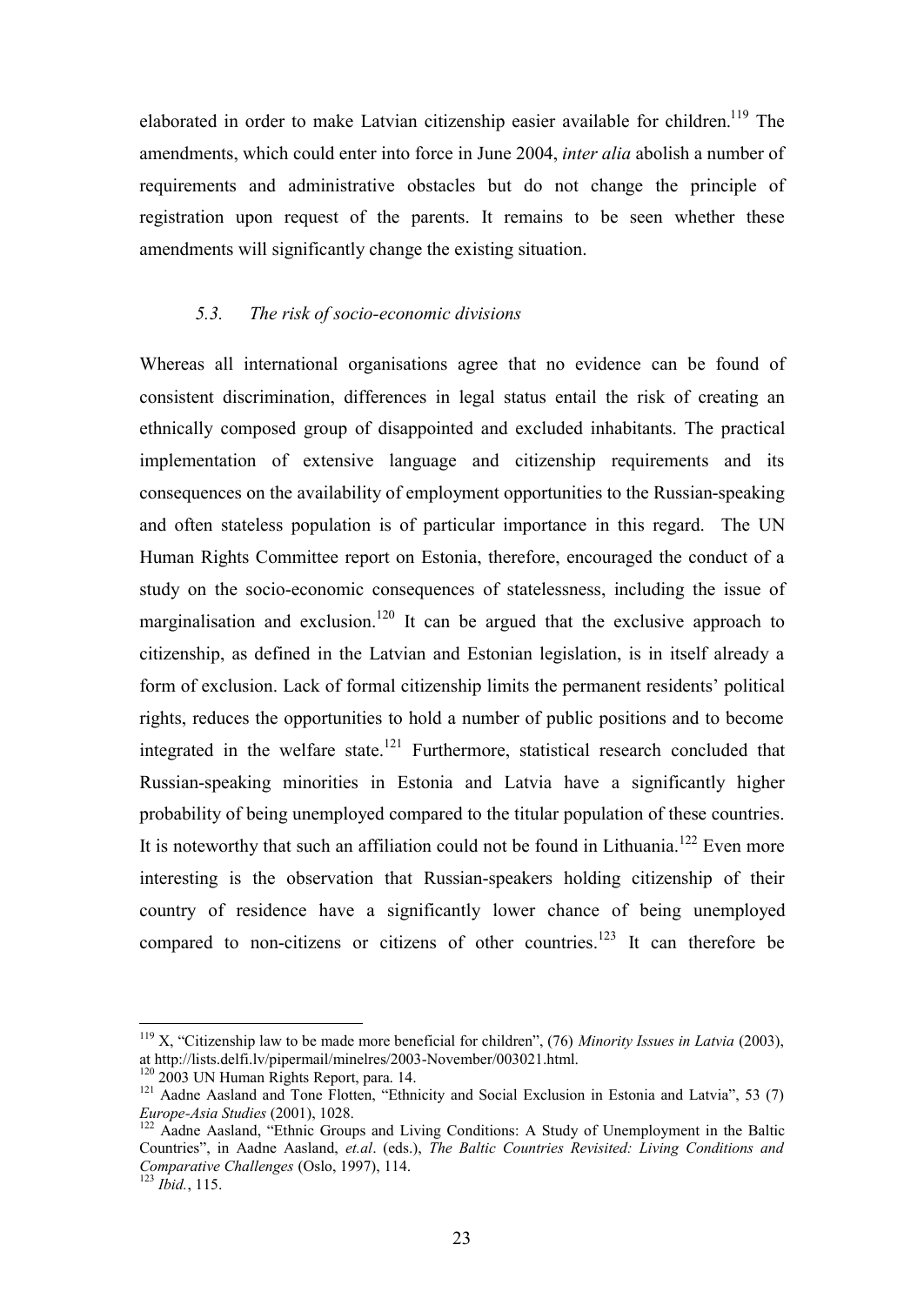elaborated in order to make Latvian citizenship easier available for children.<sup>119</sup> The amendments, which could enter into force in June 2004, *inter alia* abolish a number of requirements and administrative obstacles but do not change the principle of registration upon request of the parents. It remains to be seen whether these amendments will significantly change the existing situation.

### *5.3. The risk of socio-economic divisions*

Whereas all international organisations agree that no evidence can be found of consistent discrimination, differences in legal status entail the risk of creating an ethnically composed group of disappointed and excluded inhabitants. The practical implementation of extensive language and citizenship requirements and its consequences on the availability of employment opportunities to the Russian-speaking and often stateless population is of particular importance in this regard. The UN Human Rights Committee report on Estonia, therefore, encouraged the conduct of a study on the socio-economic consequences of statelessness, including the issue of marginalisation and exclusion.<sup>120</sup> It can be argued that the exclusive approach to citizenship, as defined in the Latvian and Estonian legislation, is in itself already a form of exclusion. Lack of formal citizenship limits the permanent residents' political rights, reduces the opportunities to hold a number of public positions and to become integrated in the welfare state.<sup>121</sup> Furthermore, statistical research concluded that Russian-speaking minorities in Estonia and Latvia have a significantly higher probability of being unemployed compared to the titular population of these countries. It is noteworthy that such an affiliation could not be found in Lithuania.<sup>122</sup> Even more interesting is the observation that Russian-speakers holding citizenship of their country of residence have a significantly lower chance of being unemployed compared to non-citizens or citizens of other countries.<sup>123</sup> It can therefore be

<sup>119</sup> X, "Citizenship law to be made more beneficial for children", (76) *Minority Issues in Latvia* (2003), at http://lists.delfi.lv/pipermail/minelres/2003-November/003021.html.

<sup>&</sup>lt;sup>120</sup> 2003 UN Human Rights Report, para. 14.

<sup>&</sup>lt;sup>121</sup> Aadne Aasland and Tone Flotten, "Ethnicity and Social Exclusion in Estonia and Latvia", 53 (7) *Europe-Asia Studies* (2001), 1028.

<sup>&</sup>lt;sup>122</sup> Aadne Aasland, "Ethnic Groups and Living Conditions: A Study of Unemployment in the Baltic Countries", in Aadne Aasland, *et.al*. (eds.), *The Baltic Countries Revisited: Living Conditions and Comparative Challenges* (Oslo, 1997), 114.

<sup>123</sup> *Ibid.*, 115.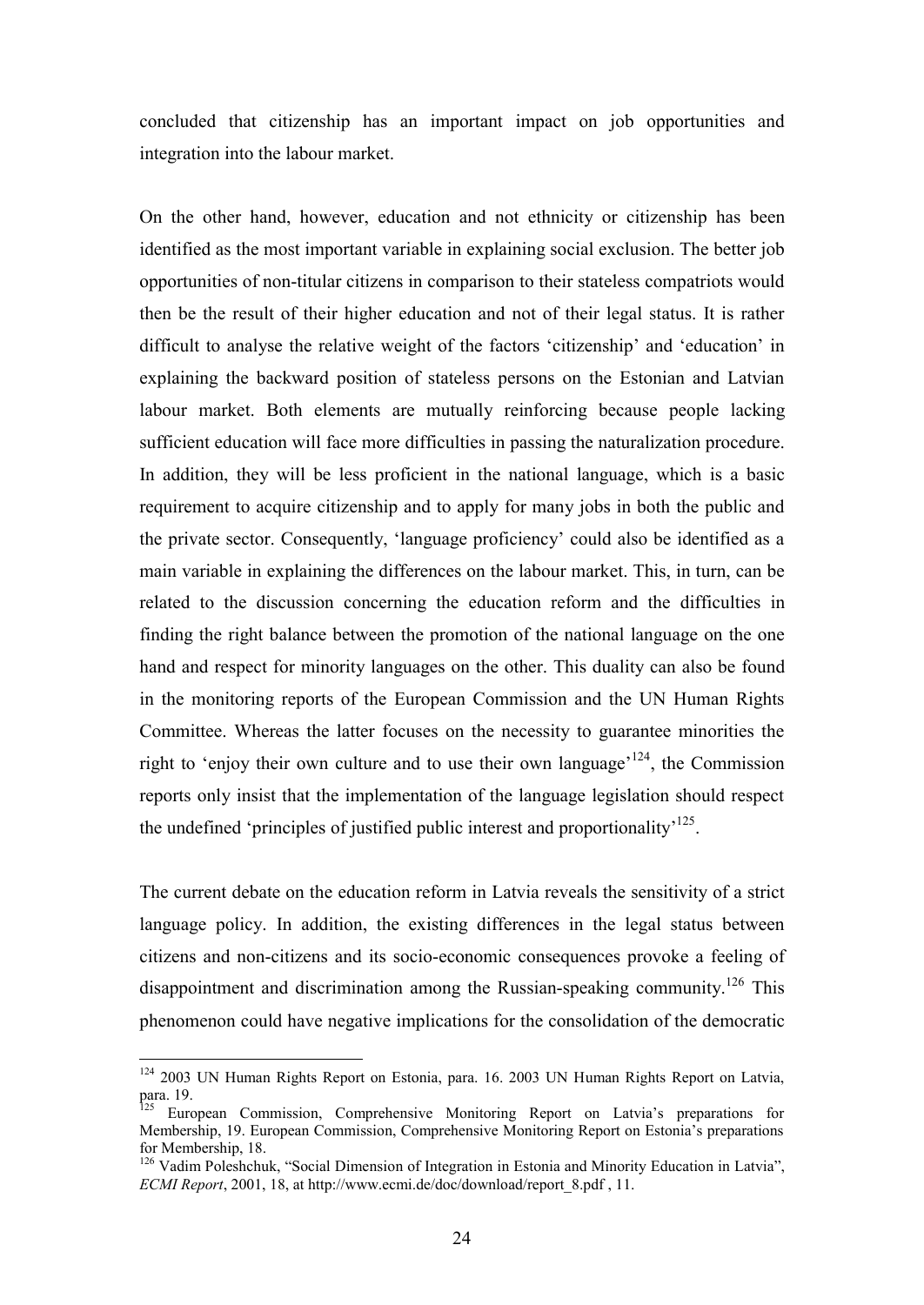concluded that citizenship has an important impact on job opportunities and integration into the labour market.

On the other hand, however, education and not ethnicity or citizenship has been identified as the most important variable in explaining social exclusion. The better job opportunities of non-titular citizens in comparison to their stateless compatriots would then be the result of their higher education and not of their legal status. It is rather difficult to analyse the relative weight of the factors 'citizenship' and 'education' in explaining the backward position of stateless persons on the Estonian and Latvian labour market. Both elements are mutually reinforcing because people lacking sufficient education will face more difficulties in passing the naturalization procedure. In addition, they will be less proficient in the national language, which is a basic requirement to acquire citizenship and to apply for many jobs in both the public and the private sector. Consequently, 'language proficiency' could also be identified as a main variable in explaining the differences on the labour market. This, in turn, can be related to the discussion concerning the education reform and the difficulties in finding the right balance between the promotion of the national language on the one hand and respect for minority languages on the other. This duality can also be found in the monitoring reports of the European Commission and the UN Human Rights Committee. Whereas the latter focuses on the necessity to guarantee minorities the right to 'enjoy their own culture and to use their own language'<sup>124</sup>, the Commission reports only insist that the implementation of the language legislation should respect the undefined 'principles of justified public interest and proportionality<sup>'125</sup>.

The current debate on the education reform in Latvia reveals the sensitivity of a strict language policy. In addition, the existing differences in the legal status between citizens and non-citizens and its socio-economic consequences provoke a feeling of disappointment and discrimination among the Russian-speaking community.<sup>126</sup> This phenomenon could have negative implications for the consolidation of the democratic

<sup>&</sup>lt;sup>124</sup> 2003 UN Human Rights Report on Estonia, para. 16. 2003 UN Human Rights Report on Latvia, para. 19.

<sup>&</sup>lt;sup>125</sup> European Commission, Comprehensive Monitoring Report on Latvia's preparations for Membership, 19. European Commission, Comprehensive Monitoring Report on Estonia's preparations for Membership, 18.

<sup>&</sup>lt;sup>126</sup> Vadim Poleshchuk, "Social Dimension of Integration in Estonia and Minority Education in Latvia", *ECMI Report*, 2001, 18, at http://www.ecmi.de/doc/download/report\_8.pdf , 11.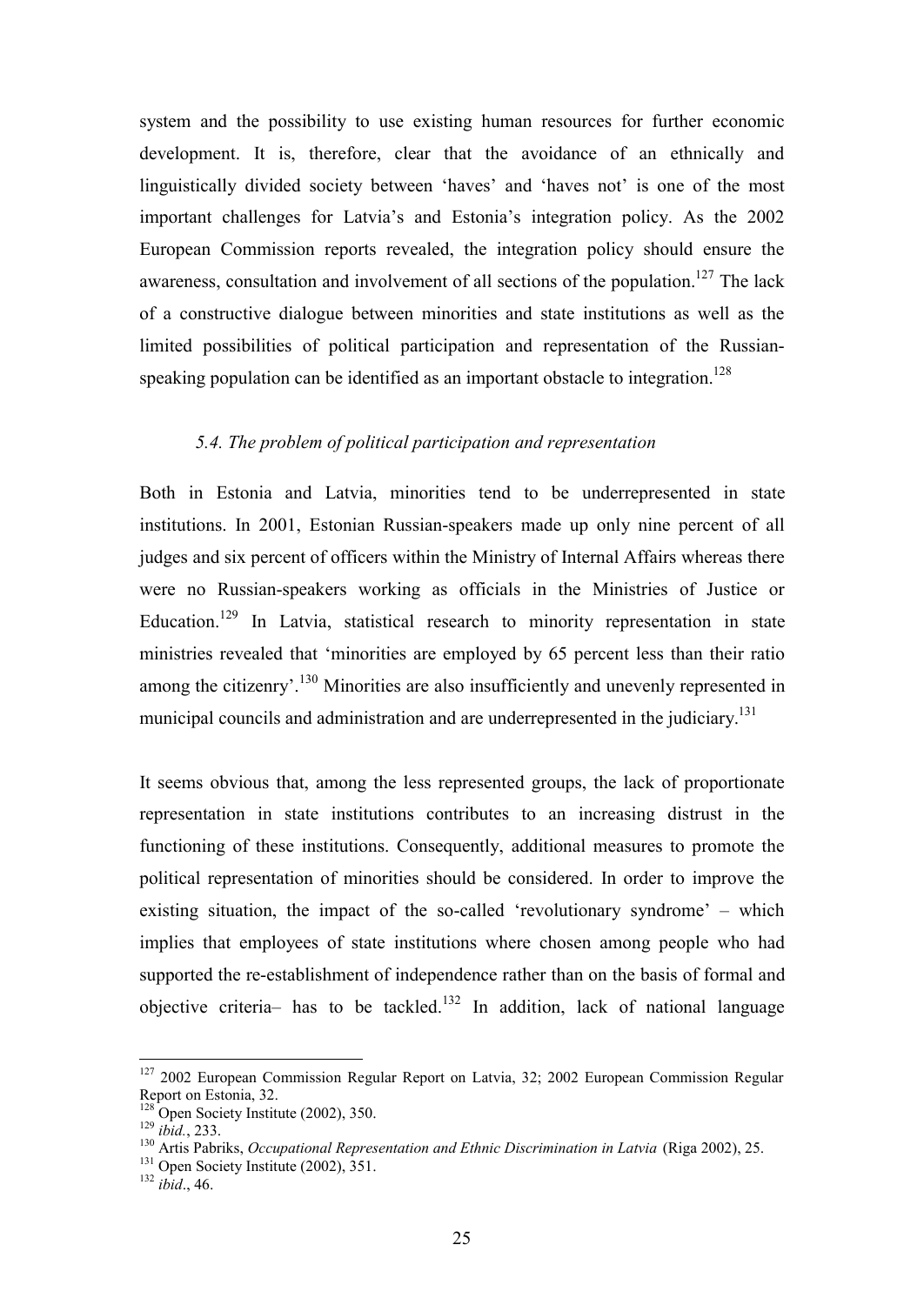system and the possibility to use existing human resources for further economic development. It is, therefore, clear that the avoidance of an ethnically and linguistically divided society between 'haves' and 'haves not' is one of the most important challenges for Latvia's and Estonia's integration policy. As the 2002 European Commission reports revealed, the integration policy should ensure the awareness, consultation and involvement of all sections of the population.<sup>127</sup> The lack of a constructive dialogue between minorities and state institutions as well as the limited possibilities of political participation and representation of the Russianspeaking population can be identified as an important obstacle to integration.<sup>128</sup>

#### *5.4. The problem of political participation and representation*

Both in Estonia and Latvia, minorities tend to be underrepresented in state institutions. In 2001, Estonian Russian-speakers made up only nine percent of all judges and six percent of officers within the Ministry of Internal Affairs whereas there were no Russian-speakers working as officials in the Ministries of Justice or Education.<sup>129</sup> In Latvia, statistical research to minority representation in state ministries revealed that 'minorities are employed by 65 percent less than their ratio among the citizenry'.<sup>130</sup> Minorities are also insufficiently and unevenly represented in municipal councils and administration and are underrepresented in the judiciary.<sup>131</sup>

It seems obvious that, among the less represented groups, the lack of proportionate representation in state institutions contributes to an increasing distrust in the functioning of these institutions. Consequently, additional measures to promote the political representation of minorities should be considered. In order to improve the existing situation, the impact of the so-called 'revolutionary syndrome' – which implies that employees of state institutions where chosen among people who had supported the re-establishment of independence rather than on the basis of formal and objective criteria– has to be tackled.<sup>132</sup> In addition, lack of national language

<sup>&</sup>lt;sup>127</sup> 2002 European Commission Regular Report on Latvia, 32; 2002 European Commission Regular Report on Estonia, 32.

 $128$  Open Society Institute (2002), 350.

<sup>129</sup> *ibid.*, 233.

<sup>130</sup> Artis Pabriks, *Occupational Representation and Ethnic Discrimination in Latvia* (Riga 2002), 25.

<sup>&</sup>lt;sup>131</sup> Open Society Institute (2002), 351.

<sup>132</sup> *ibid*., 46.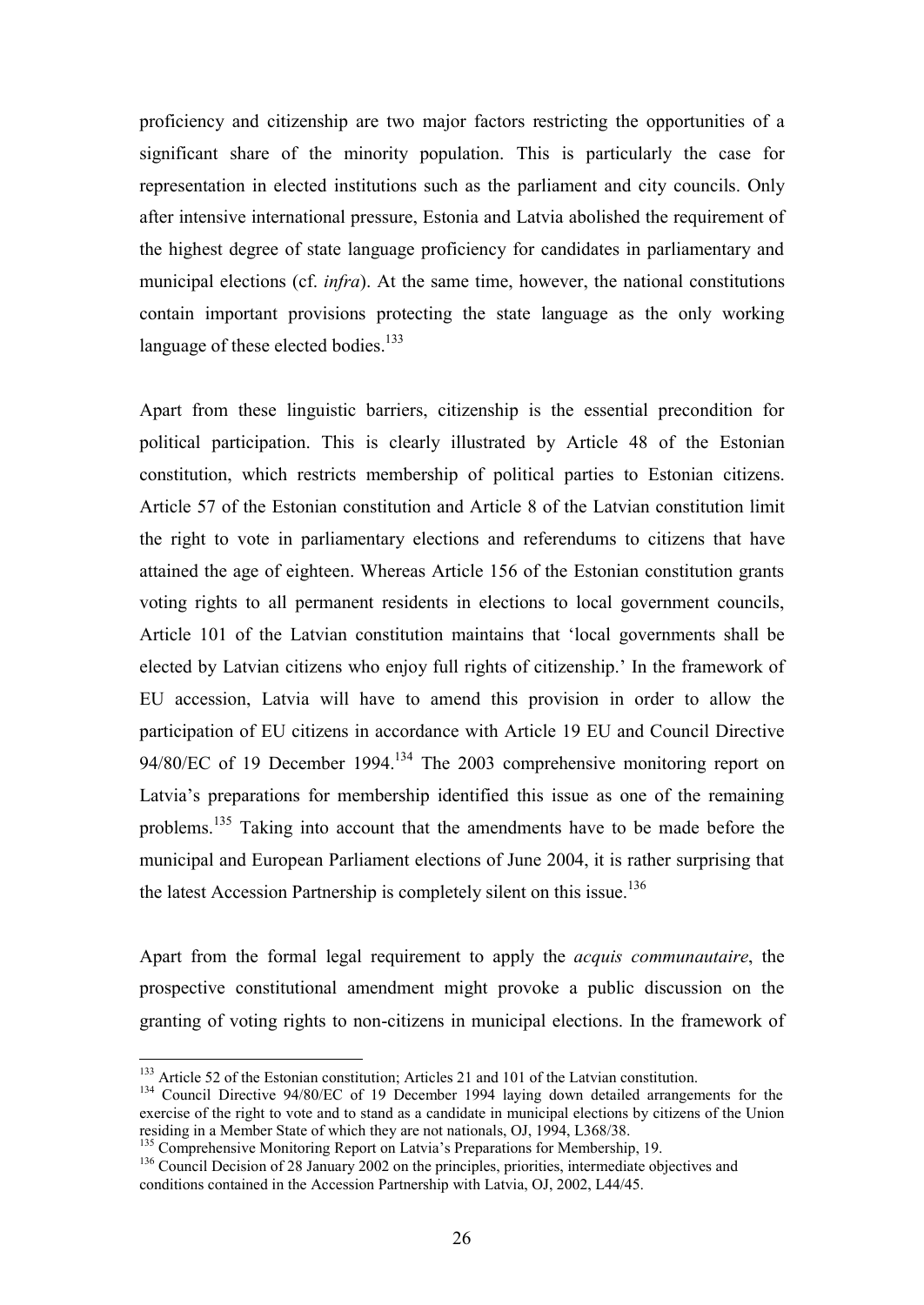proficiency and citizenship are two major factors restricting the opportunities of a significant share of the minority population. This is particularly the case for representation in elected institutions such as the parliament and city councils. Only after intensive international pressure, Estonia and Latvia abolished the requirement of the highest degree of state language proficiency for candidates in parliamentary and municipal elections (cf. *infra*). At the same time, however, the national constitutions contain important provisions protecting the state language as the only working language of these elected bodies.<sup>133</sup>

Apart from these linguistic barriers, citizenship is the essential precondition for political participation. This is clearly illustrated by Article 48 of the Estonian constitution, which restricts membership of political parties to Estonian citizens. Article 57 of the Estonian constitution and Article 8 of the Latvian constitution limit the right to vote in parliamentary elections and referendums to citizens that have attained the age of eighteen. Whereas Article 156 of the Estonian constitution grants voting rights to all permanent residents in elections to local government councils, Article 101 of the Latvian constitution maintains that 'local governments shall be elected by Latvian citizens who enjoy full rights of citizenship.' In the framework of EU accession, Latvia will have to amend this provision in order to allow the participation of EU citizens in accordance with Article 19 EU and Council Directive 94/80/EC of 19 December 1994.<sup>134</sup> The 2003 comprehensive monitoring report on Latvia's preparations for membership identified this issue as one of the remaining problems.<sup>135</sup> Taking into account that the amendments have to be made before the municipal and European Parliament elections of June 2004, it is rather surprising that the latest Accession Partnership is completely silent on this issue.<sup>136</sup>

Apart from the formal legal requirement to apply the *acquis communautaire*, the prospective constitutional amendment might provoke a public discussion on the granting of voting rights to non-citizens in municipal elections. In the framework of

<sup>&</sup>lt;sup>133</sup> Article 52 of the Estonian constitution; Articles 21 and 101 of the Latvian constitution.

<sup>&</sup>lt;sup>134</sup> Council Directive 94/80/EC of 19 December 1994 laying down detailed arrangements for the exercise of the right to vote and to stand as a candidate in municipal elections by citizens of the Union residing in a Member State of which they are not nationals, OJ, 1994, L368/38.

<sup>&</sup>lt;sup>135</sup> Comprehensive Monitoring Report on Latvia's Preparations for Membership, 19.

<sup>&</sup>lt;sup>136</sup> Council Decision of 28 January 2002 on the principles, priorities, intermediate objectives and conditions contained in the Accession Partnership with Latvia, OJ, 2002, L44/45.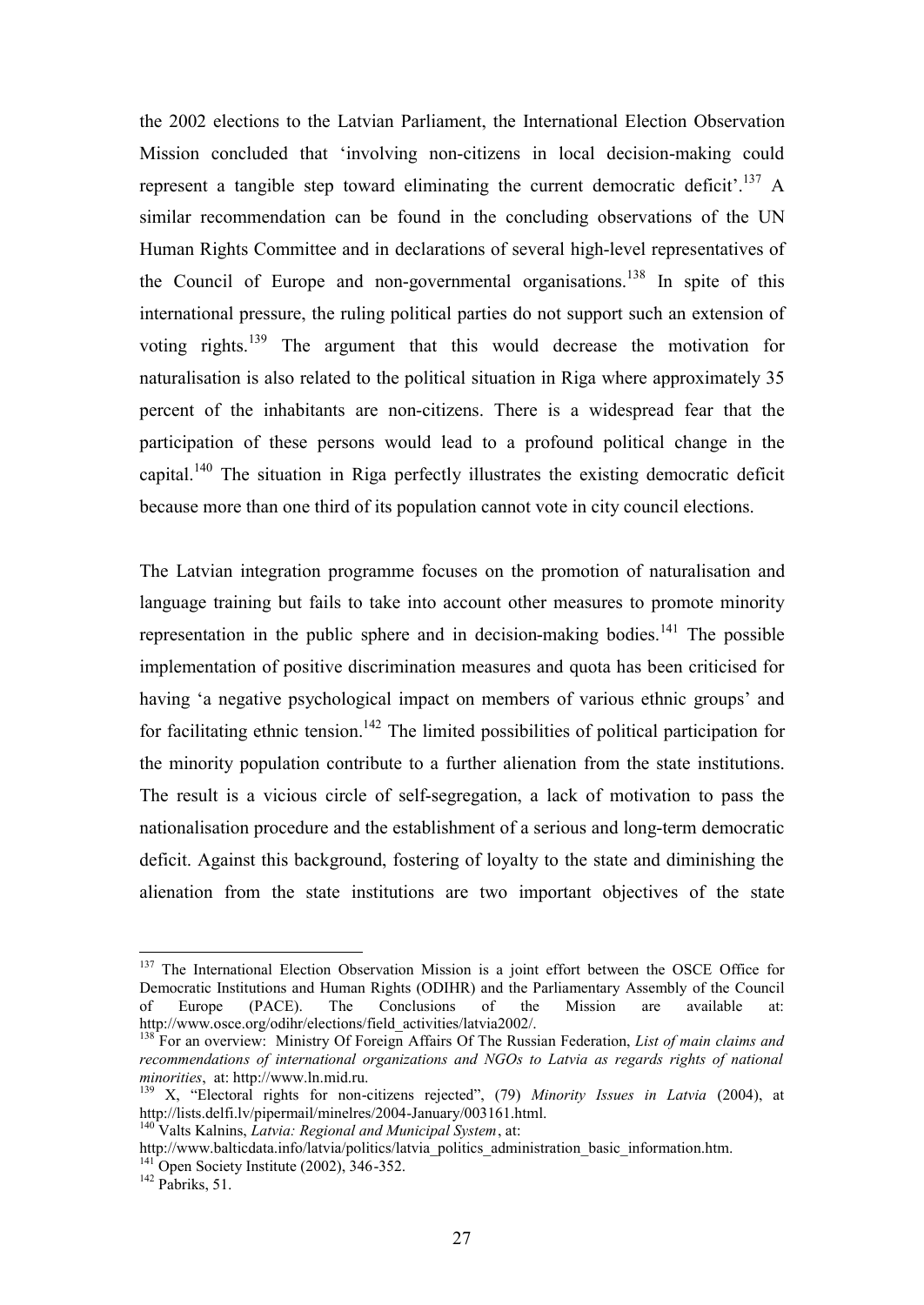the 2002 elections to the Latvian Parliament, the International Election Observation Mission concluded that 'involving non-citizens in local decision-making could represent a tangible step toward eliminating the current democratic deficit'.<sup>137</sup> A similar recommendation can be found in the concluding observations of the UN Human Rights Committee and in declarations of several high-level representatives of the Council of Europe and non-governmental organisations.<sup>138</sup> In spite of this international pressure, the ruling political parties do not support such an extension of voting rights.<sup>139</sup> The argument that this would decrease the motivation for naturalisation is also related to the political situation in Riga where approximately 35 percent of the inhabitants are non-citizens. There is a widespread fear that the participation of these persons would lead to a profound political change in the capital.<sup>140</sup> The situation in Riga perfectly illustrates the existing democratic deficit because more than one third of its population cannot vote in city council elections.

The Latvian integration programme focuses on the promotion of naturalisation and language training but fails to take into account other measures to promote minority representation in the public sphere and in decision-making bodies.<sup>141</sup> The possible implementation of positive discrimination measures and quota has been criticised for having 'a negative psychological impact on members of various ethnic groups' and for facilitating ethnic tension.<sup>142</sup> The limited possibilities of political participation for the minority population contribute to a further alienation from the state institutions. The result is a vicious circle of self-segregation, a lack of motivation to pass the nationalisation procedure and the establishment of a serious and long-term democratic deficit. Against this background, fostering of loyalty to the state and diminishing the alienation from the state institutions are two important objectives of the state

<sup>&</sup>lt;sup>137</sup> The International Election Observation Mission is a joint effort between the OSCE Office for Democratic Institutions and Human Rights (ODIHR) and the Parliamentary Assembly of the Council of Europe (PACE). The Conclusions of the Mission are available at: http://www.osce.org/odihr/elections/field\_activities/latvia2002/.

<sup>138</sup> For an overview: Ministry Of Foreign Affairs Of The Russian Federation, *List of main claims and recommendations of international organizations and NGOs to Latvia as regards rights of national minorities*, at: http://www.ln.mid.ru.

<sup>139</sup> X, "Electoral rights for non-citizens rejected", (79) *Minority Issues in Latvia* (2004), at http://lists.delfi.lv/pipermail/minelres/2004-January/003161.html.

<sup>140</sup> Valts Kalnins, *Latvia: Regional and Municipal System*, at:

http://www.balticdata.info/latvia/politics/latvia\_politics\_administration\_basic\_information.htm.  $141^{141}$  Open Society Institute (2002), 346-352.

 $142$  Pabriks, 51.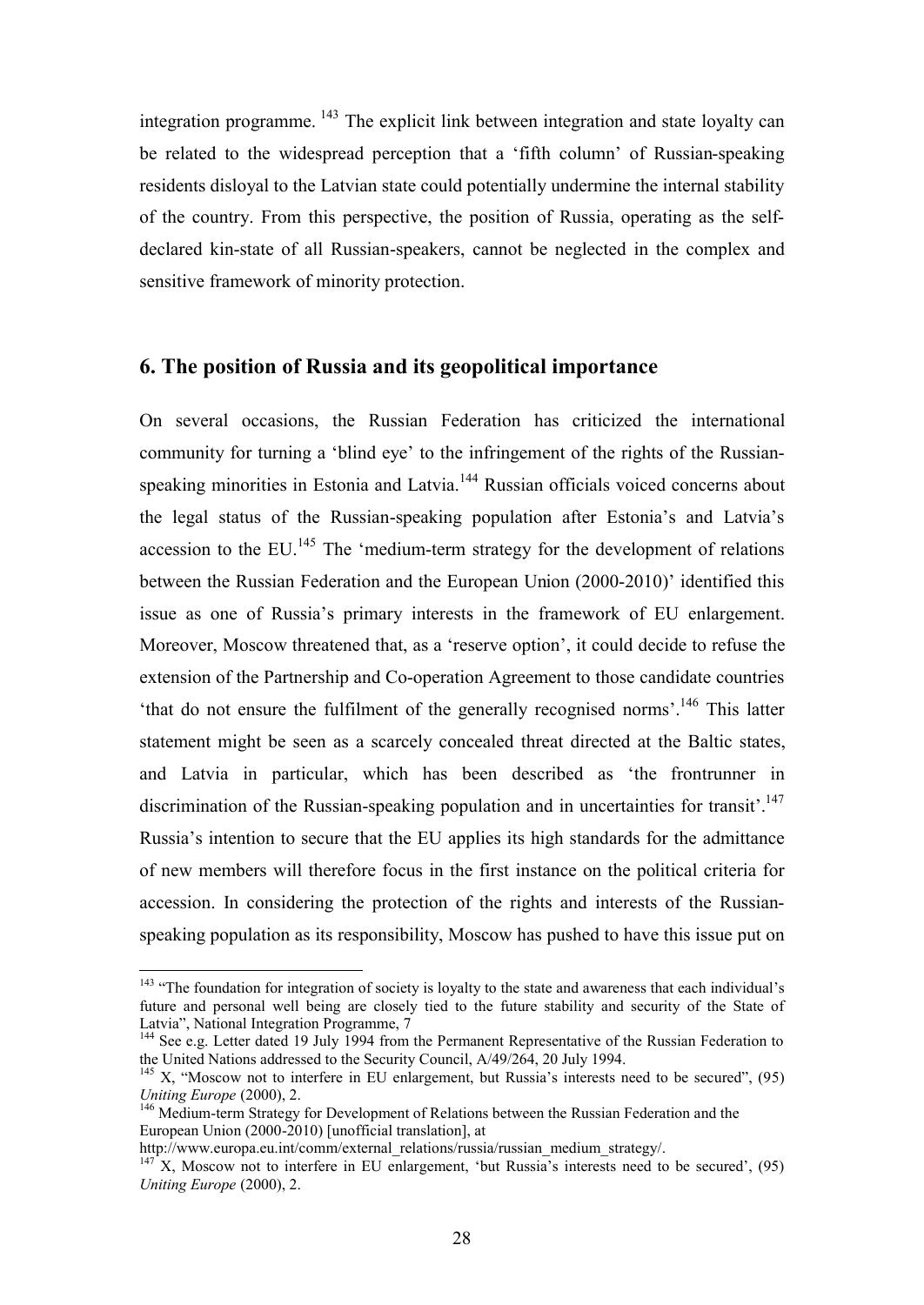integration programme. <sup>143</sup> The explicit link between integration and state loyalty can be related to the widespread perception that a 'fifth column' of Russian-speaking residents disloyal to the Latvian state could potentially undermine the internal stability of the country. From this perspective, the position of Russia, operating as the selfdeclared kin-state of all Russian-speakers, cannot be neglected in the complex and sensitive framework of minority protection.

# **6. The position of Russia and its geopolitical importance**

On several occasions, the Russian Federation has criticized the international community for turning a 'blind eye' to the infringement of the rights of the Russianspeaking minorities in Estonia and Latvia.<sup>144</sup> Russian officials voiced concerns about the legal status of the Russian-speaking population after Estonia's and Latvia's accession to the EU.<sup>145</sup> The 'medium-term strategy for the development of relations between the Russian Federation and the European Union (2000-2010)' identified this issue as one of Russia's primary interests in the framework of EU enlargement. Moreover, Moscow threatened that, as a 'reserve option', it could decide to refuse the extension of the Partnership and Co-operation Agreement to those candidate countries 'that do not ensure the fulfilment of the generally recognised norms'.<sup>146</sup> This latter statement might be seen as a scarcely concealed threat directed at the Baltic states, and Latvia in particular, which has been described as 'the frontrunner in discrimination of the Russian-speaking population and in uncertainties for transit'.<sup>147</sup> Russia's intention to secure that the EU applies its high standards for the admittance of new members will therefore focus in the first instance on the political criteria for accession. In considering the protection of the rights and interests of the Russianspeaking population as its responsibility, Moscow has pushed to have this issue put on

<sup>&</sup>lt;sup>143</sup> "The foundation for integration of society is loyalty to the state and awareness that each individual's future and personal well being are closely tied to the future stability and security of the State of Latvia", National Integration Programme, 7

<sup>&</sup>lt;sup>144</sup> See e.g. Letter dated 19 July 1994 from the Permanent Representative of the Russian Federation to the United Nations addressed to the Security Council, A/49/264, 20 July 1994.

 $145$  X, "Moscow not to interfere in EU enlargement, but Russia's interests need to be secured", (95) *Uniting Europe* (2000), 2.

<sup>&</sup>lt;sup>146</sup> Medium-term Strategy for Development of Relations between the Russian Federation and the European Union (2000-2010) [unofficial translation], at

http://www.europa.eu.int/comm/external\_relations/russia/russian\_medium\_strategy/.

 $147$ <sup>T</sup>X, Moscow not to interfere in EU enlargement, 'but Russia's interests need to be secured', (95) *Uniting Europe* (2000), 2.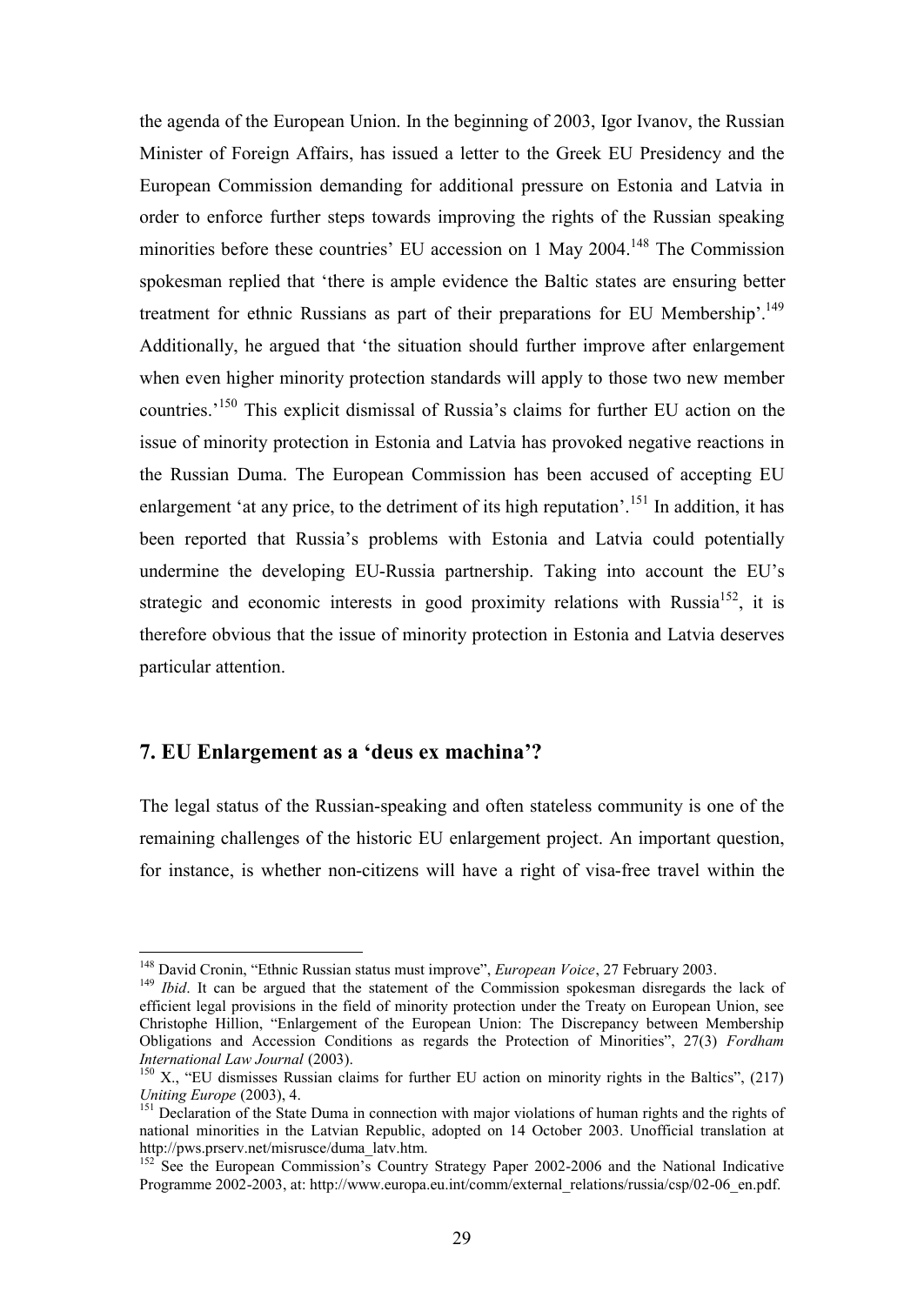the agenda of the European Union. In the beginning of 2003, Igor Ivanov, the Russian Minister of Foreign Affairs, has issued a letter to the Greek EU Presidency and the European Commission demanding for additional pressure on Estonia and Latvia in order to enforce further steps towards improving the rights of the Russian speaking minorities before these countries' EU accession on 1 May 2004.<sup>148</sup> The Commission spokesman replied that 'there is ample evidence the Baltic states are ensuring better treatment for ethnic Russians as part of their preparations for EU Membership'.<sup>149</sup> Additionally, he argued that 'the situation should further improve after enlargement when even higher minority protection standards will apply to those two new member countries.'<sup>150</sup> This explicit dismissal of Russia's claims for further EU action on the issue of minority protection in Estonia and Latvia has provoked negative reactions in the Russian Duma. The European Commission has been accused of accepting EU enlargement 'at any price, to the detriment of its high reputation'.<sup>151</sup> In addition, it has been reported that Russia's problems with Estonia and Latvia could potentially undermine the developing EU-Russia partnership. Taking into account the EU's strategic and economic interests in good proximity relations with Russia<sup>152</sup>, it is therefore obvious that the issue of minority protection in Estonia and Latvia deserves particular attention.

# **7. EU Enlargement as a 'deus ex machina'?**

 $\overline{a}$ 

The legal status of the Russian-speaking and often stateless community is one of the remaining challenges of the historic EU enlargement project. An important question, for instance, is whether non-citizens will have a right of visa-free travel within the

<sup>148</sup> David Cronin, "Ethnic Russian status must improve", *European Voice*, 27 February 2003.

<sup>&</sup>lt;sup>149</sup> *Ibid*. It can be argued that the statement of the Commission spokesman disregards the lack of efficient legal provisions in the field of minority protection under the Treaty on European Union, see Christophe Hillion, "Enlargement of the European Union: The Discrepancy between Membership Obligations and Accession Conditions as regards the Protection of Minorities", 27(3) *Fordham International Law Journal* (2003).

 $150$  X., "EU dismisses Russian claims for further EU action on minority rights in the Baltics", (217) *Uniting Europe* (2003), 4.

<sup>&</sup>lt;sup>151</sup> Declaration of the State Duma in connection with major violations of human rights and the rights of national minorities in the Latvian Republic, adopted on 14 October 2003. Unofficial translation at http://pws.prserv.net/misrusce/duma\_latv.htm.

 $152^{\circ}$  See the European Commission's Country Strategy Paper 2002-2006 and the National Indicative Programme 2002-2003, at: http://www.europa.eu.int/comm/external\_relations/russia/csp/02-06\_en.pdf.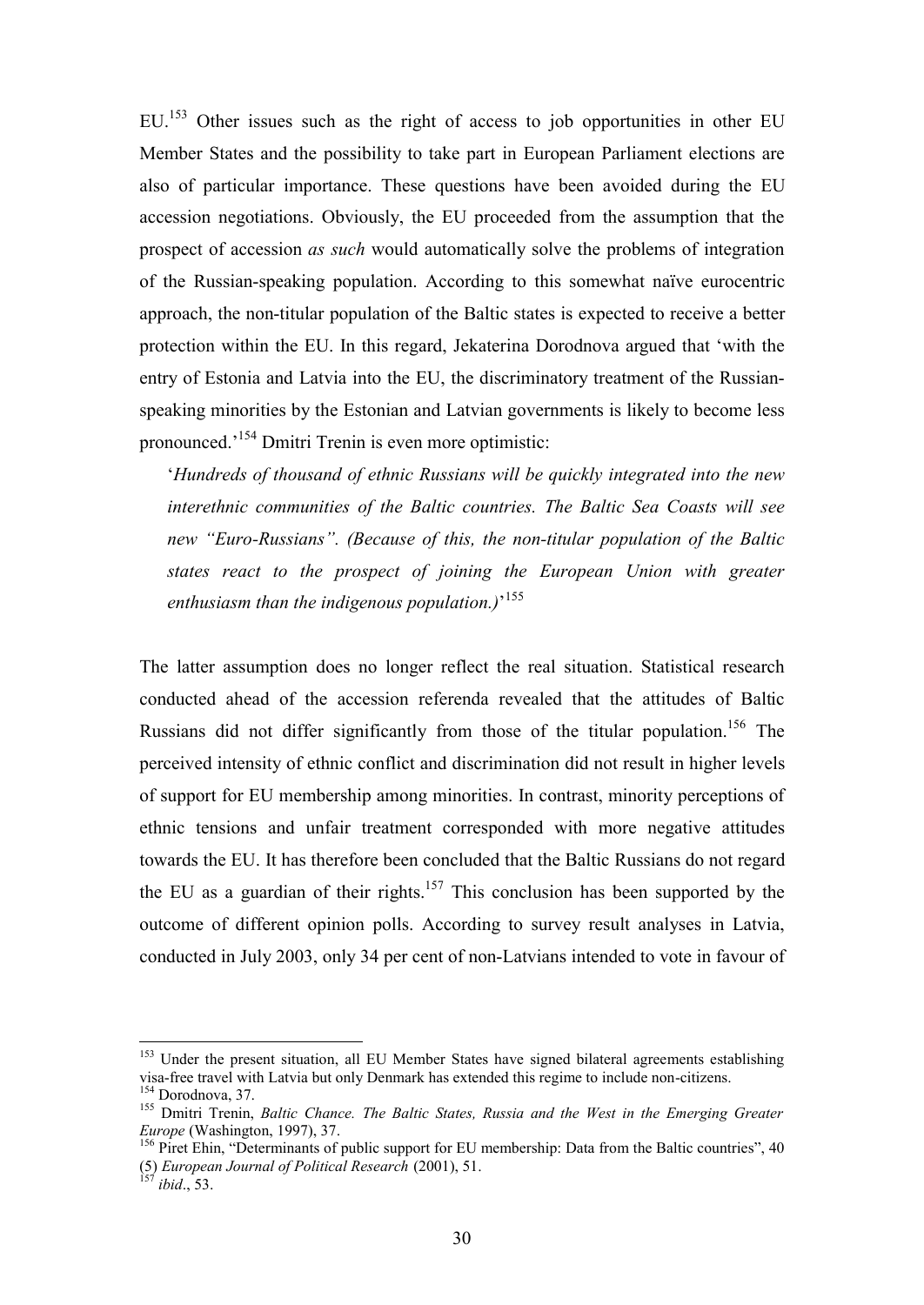EU.<sup>153</sup> Other issues such as the right of access to job opportunities in other EU Member States and the possibility to take part in European Parliament elections are also of particular importance. These questions have been avoided during the EU accession negotiations. Obviously, the EU proceeded from the assumption that the prospect of accession *as such* would automatically solve the problems of integration of the Russian-speaking population. According to this somewhat naïve eurocentric approach, the non-titular population of the Baltic states is expected to receive a better protection within the EU. In this regard, Jekaterina Dorodnova argued that 'with the entry of Estonia and Latvia into the EU, the discriminatory treatment of the Russianspeaking minorities by the Estonian and Latvian governments is likely to become less pronounced.'<sup>154</sup> Dmitri Trenin is even more optimistic:

'*Hundreds of thousand of ethnic Russians will be quickly integrated into the new interethnic communities of the Baltic countries. The Baltic Sea Coasts will see new "Euro-Russians". (Because of this, the non-titular population of the Baltic states react to the prospect of joining the European Union with greater enthusiasm than the indigenous population.)*' 155

The latter assumption does no longer reflect the real situation. Statistical research conducted ahead of the accession referenda revealed that the attitudes of Baltic Russians did not differ significantly from those of the titular population.<sup>156</sup> The perceived intensity of ethnic conflict and discrimination did not result in higher levels of support for EU membership among minorities. In contrast, minority perceptions of ethnic tensions and unfair treatment corresponded with more negative attitudes towards the EU. It has therefore been concluded that the Baltic Russians do not regard the EU as a guardian of their rights.<sup>157</sup> This conclusion has been supported by the outcome of different opinion polls. According to survey result analyses in Latvia, conducted in July 2003, only 34 per cent of non-Latvians intended to vote in favour of

<sup>&</sup>lt;sup>153</sup> Under the present situation, all EU Member States have signed bilateral agreements establishing visa-free travel with Latvia but only Denmark has extended this regime to include non-citizens. <sup>154</sup> Dorodnova, 37.

<sup>155</sup> Dmitri Trenin, *Baltic Chance. The Baltic States, Russia and the West in the Emerging Greater Europe* (Washington, 1997), 37.

<sup>&</sup>lt;sup>156</sup> Piret Ehin, "Determinants of public support for EU membership: Data from the Baltic countries", 40 (5) *European Journal of Political Research* (2001), 51.

*ibid.*, 53.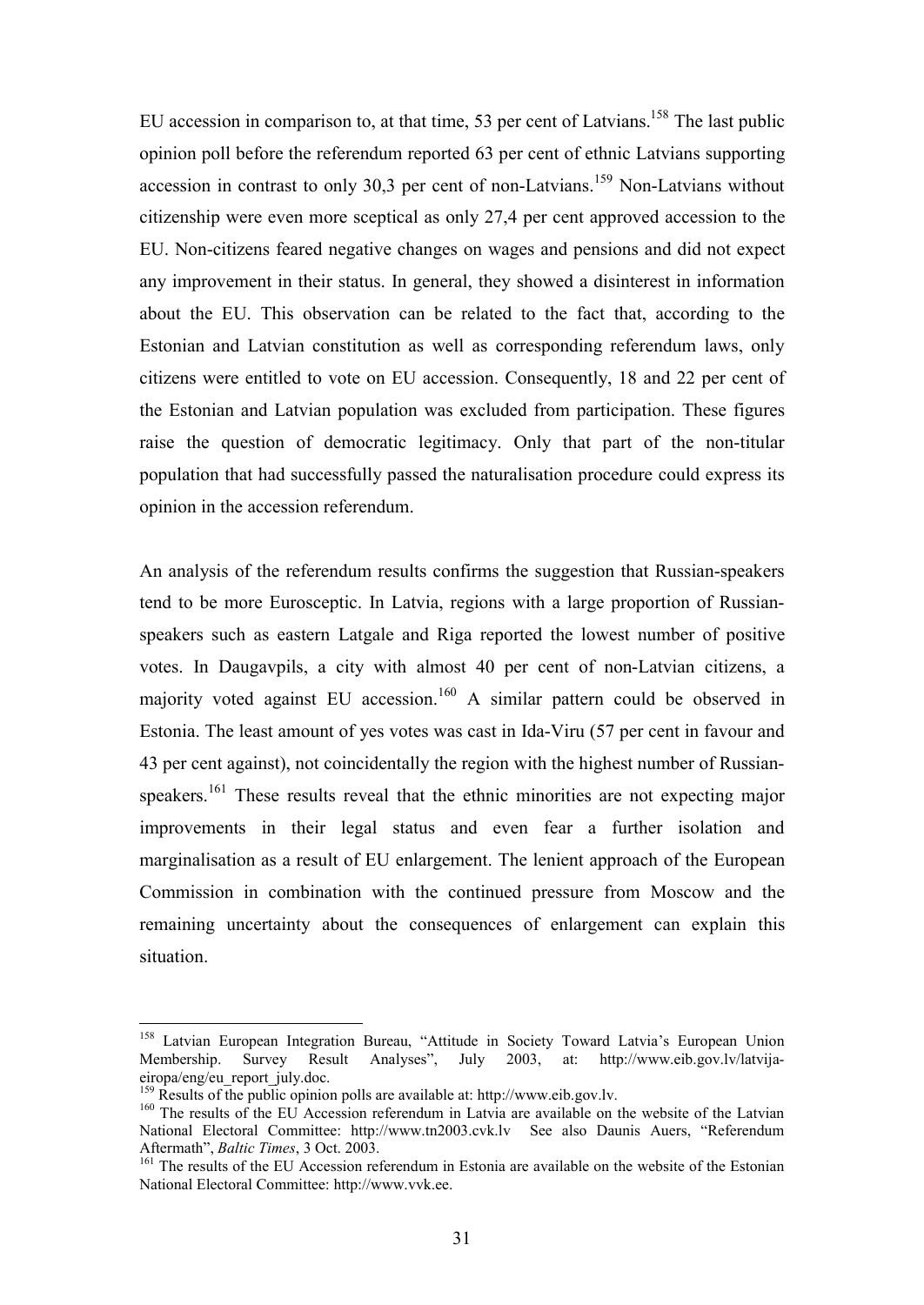EU accession in comparison to, at that time, 53 per cent of Latvians.<sup>158</sup> The last public opinion poll before the referendum reported 63 per cent of ethnic Latvians supporting accession in contrast to only 30,3 per cent of non-Latvians.<sup>159</sup> Non-Latvians without citizenship were even more sceptical as only 27,4 per cent approved accession to the EU. Non-citizens feared negative changes on wages and pensions and did not expect any improvement in their status. In general, they showed a disinterest in information about the EU. This observation can be related to the fact that, according to the Estonian and Latvian constitution as well as corresponding referendum laws, only citizens were entitled to vote on EU accession. Consequently, 18 and 22 per cent of the Estonian and Latvian population was excluded from participation. These figures raise the question of democratic legitimacy. Only that part of the non-titular population that had successfully passed the naturalisation procedure could express its opinion in the accession referendum.

An analysis of the referendum results confirms the suggestion that Russian-speakers tend to be more Eurosceptic. In Latvia, regions with a large proportion of Russianspeakers such as eastern Latgale and Riga reported the lowest number of positive votes. In Daugavpils, a city with almost 40 per cent of non-Latvian citizens, a majority voted against EU accession.<sup>160</sup> A similar pattern could be observed in Estonia. The least amount of yes votes was cast in Ida-Viru (57 per cent in favour and 43 per cent against), not coincidentally the region with the highest number of Russianspeakers.<sup>161</sup> These results reveal that the ethnic minorities are not expecting major improvements in their legal status and even fear a further isolation and marginalisation as a result of EU enlargement. The lenient approach of the European Commission in combination with the continued pressure from Moscow and the remaining uncertainty about the consequences of enlargement can explain this situation.

<sup>&</sup>lt;sup>158</sup> Latvian European Integration Bureau, "Attitude in Society Toward Latvia's European Union Membership. Survey Result Analyses", July 2003, at: http://www.eib.gov.lv/latvijaeiropa/eng/eu\_report\_july.doc.

<sup>&</sup>lt;sup>159</sup> Results of the public opinion polls are available at: http://www.eib.gov.lv.

<sup>&</sup>lt;sup>160</sup> The results of the EU Accession referendum in Latvia are available on the website of the Latvian National Electoral Committee: http://www.tn2003.cvk.lv See also Daunis Auers, "Referendum Aftermath", *Baltic Times*, 3 Oct. 2003.

<sup>&</sup>lt;sup>161</sup> The results of the EU Accession referendum in Estonia are available on the website of the Estonian National Electoral Committee: http://www.vvk.ee.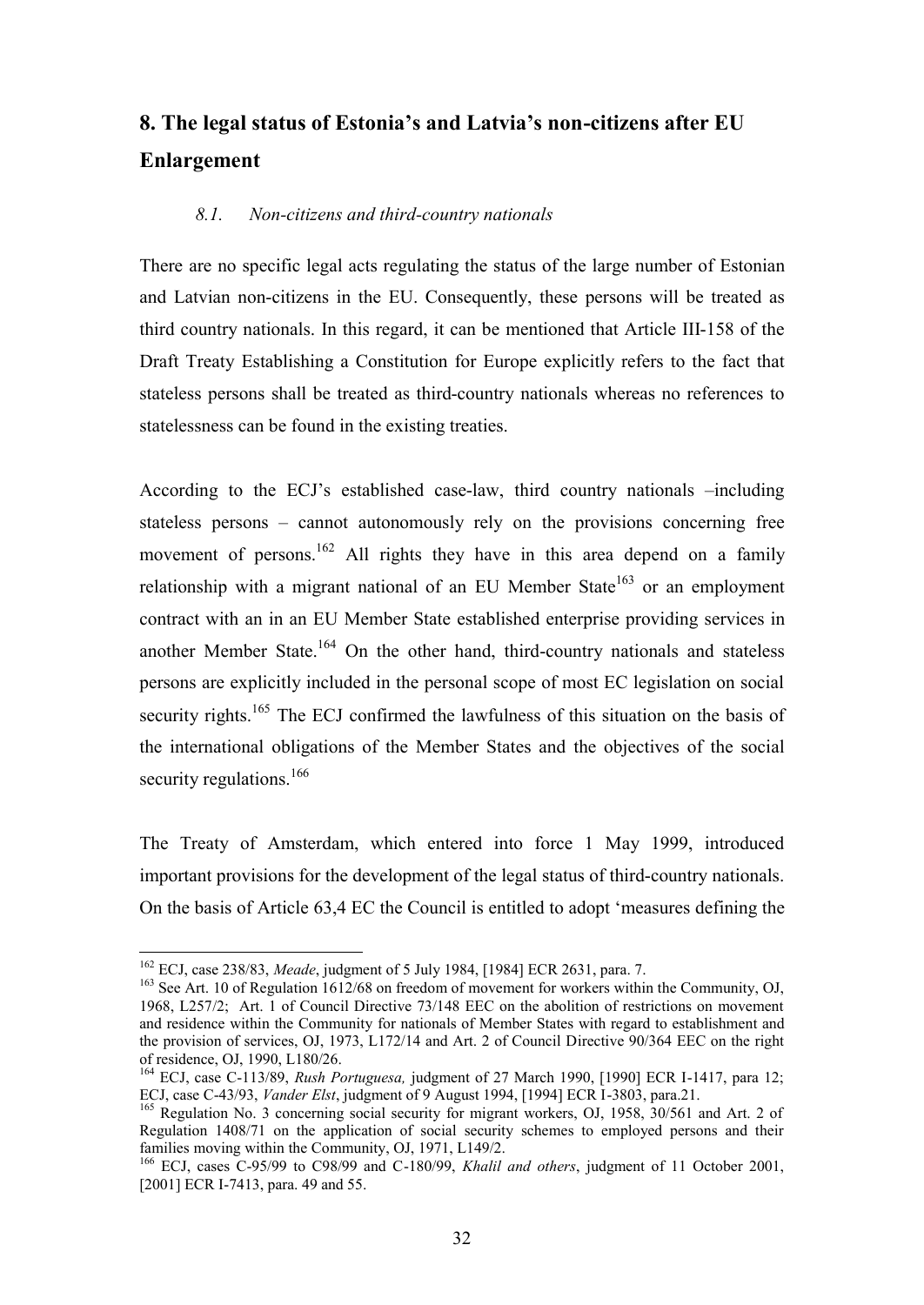# **8. The legal status of Estonia's and Latvia's non-citizens after EU Enlargement**

#### *8.1. Non-citizens and third-country nationals*

There are no specific legal acts regulating the status of the large number of Estonian and Latvian non-citizens in the EU. Consequently, these persons will be treated as third country nationals. In this regard, it can be mentioned that Article III-158 of the Draft Treaty Establishing a Constitution for Europe explicitly refers to the fact that stateless persons shall be treated as third-country nationals whereas no references to statelessness can be found in the existing treaties.

According to the ECJ's established case-law, third country nationals –including stateless persons – cannot autonomously rely on the provisions concerning free movement of persons.<sup>162</sup> All rights they have in this area depend on a family relationship with a migrant national of an EU Member State<sup>163</sup> or an employment contract with an in an EU Member State established enterprise providing services in another Member State.<sup>164</sup> On the other hand, third-country nationals and stateless persons are explicitly included in the personal scope of most EC legislation on social security rights.<sup>165</sup> The ECJ confirmed the lawfulness of this situation on the basis of the international obligations of the Member States and the objectives of the social security regulations.<sup>166</sup>

The Treaty of Amsterdam, which entered into force 1 May 1999, introduced important provisions for the development of the legal status of third-country nationals. On the basis of Article 63,4 EC the Council is entitled to adopt 'measures defining the

<sup>162</sup> ECJ, case 238/83, *Meade*, judgment of 5 July 1984, [1984] ECR 2631, para. 7.

<sup>&</sup>lt;sup>163</sup> See Art. 10 of Regulation 1612/68 on freedom of movement for workers within the Community, OJ, 1968, L257/2; Art. 1 of Council Directive 73/148 EEC on the abolition of restrictions on movement and residence within the Community for nationals of Member States with regard to establishment and the provision of services, OJ, 1973, L172/14 and Art. 2 of Council Directive 90/364 EEC on the right of residence, OJ, 1990, L180/26.

<sup>164</sup> ECJ, case C-113/89, *Rush Portuguesa,* judgment of 27 March 1990, [1990] ECR I-1417, para 12; ECJ, case C-43/93, *Vander Elst*, judgment of 9 August 1994, [1994] ECR I-3803, para.21.

<sup>&</sup>lt;sup>165</sup> Regulation No. 3 concerning social security for migrant workers, OJ, 1958, 30/561 and Art. 2 of Regulation 1408/71 on the application of social security schemes to employed persons and their families moving within the Community, OJ, 1971, L149/2.

<sup>166</sup> ECJ, cases C-95/99 to C98/99 and C-180/99, *Khalil and others*, judgment of 11 October 2001, [2001] ECR I-7413, para. 49 and 55.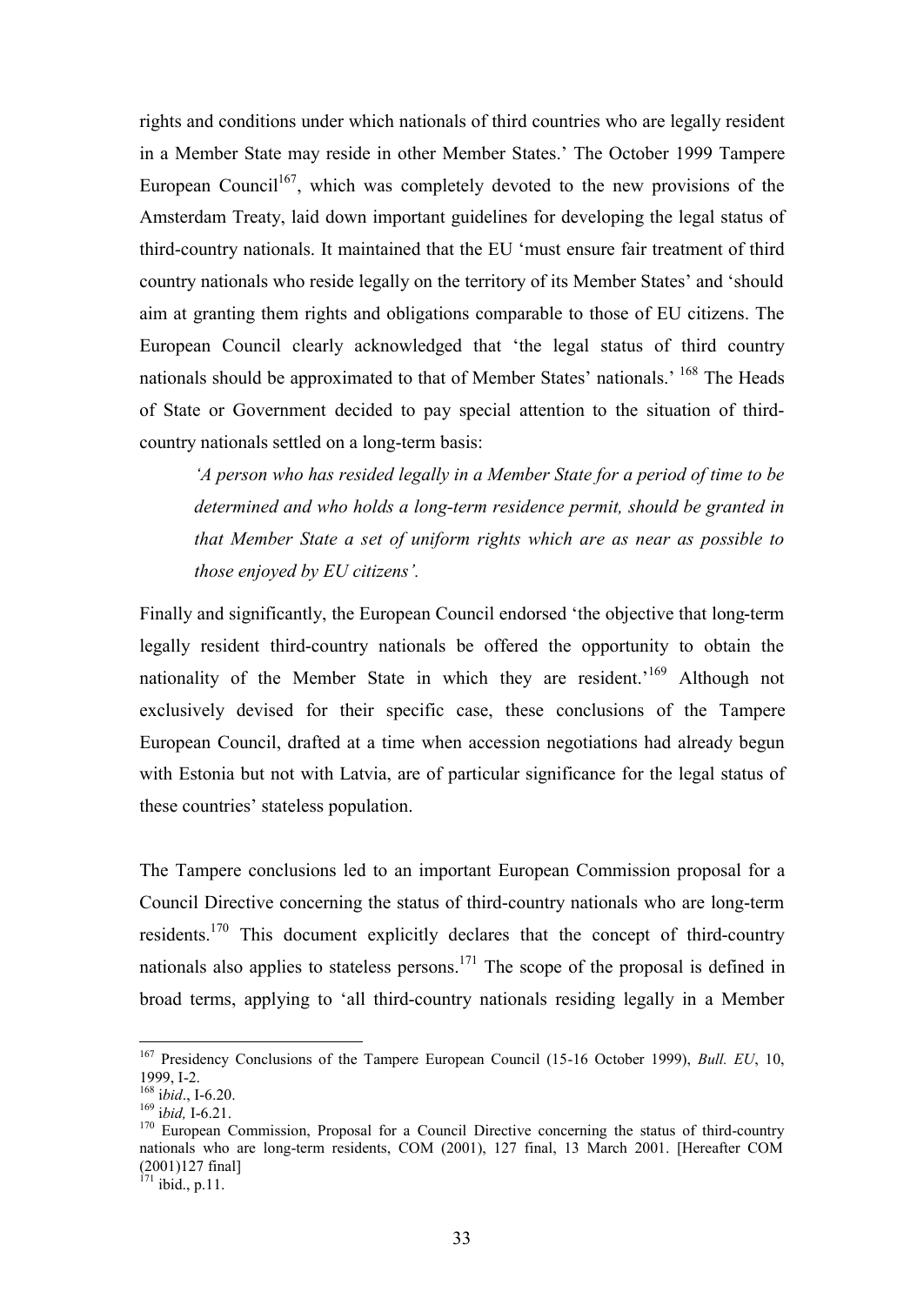rights and conditions under which nationals of third countries who are legally resident in a Member State may reside in other Member States.' The October 1999 Tampere European Council<sup>167</sup>, which was completely devoted to the new provisions of the Amsterdam Treaty, laid down important guidelines for developing the legal status of third-country nationals. It maintained that the EU 'must ensure fair treatment of third country nationals who reside legally on the territory of its Member States' and 'should aim at granting them rights and obligations comparable to those of EU citizens. The European Council clearly acknowledged that 'the legal status of third country nationals should be approximated to that of Member States' nationals.' <sup>168</sup> The Heads of State or Government decided to pay special attention to the situation of thirdcountry nationals settled on a long-term basis:

*'A person who has resided legally in a Member State for a period of time to be determined and who holds a long-term residence permit, should be granted in that Member State a set of uniform rights which are as near as possible to those enjoyed by EU citizens'.* 

Finally and significantly, the European Council endorsed 'the objective that long-term legally resident third-country nationals be offered the opportunity to obtain the nationality of the Member State in which they are resident.<sup>169</sup> Although not exclusively devised for their specific case, these conclusions of the Tampere European Council, drafted at a time when accession negotiations had already begun with Estonia but not with Latvia, are of particular significance for the legal status of these countries' stateless population.

The Tampere conclusions led to an important European Commission proposal for a Council Directive concerning the status of third-country nationals who are long-term residents.<sup>170</sup> This document explicitly declares that the concept of third-country nationals also applies to stateless persons.<sup>171</sup> The scope of the proposal is defined in broad terms, applying to 'all third-country nationals residing legally in a Member

 $\overline{a}$ 

 $171$  ibid., p.11.

<sup>167</sup> Presidency Conclusions of the Tampere European Council (15-16 October 1999), *Bull. EU*, 10, 1999, I-2.

<sup>168</sup> i*bid*., I-6.20.

<sup>169</sup> i*bid,* I-6.21.

<sup>&</sup>lt;sup>170</sup> European Commission, Proposal for a Council Directive concerning the status of third-country nationals who are long-term residents, COM (2001), 127 final, 13 March 2001. [Hereafter COM (2001)127 final]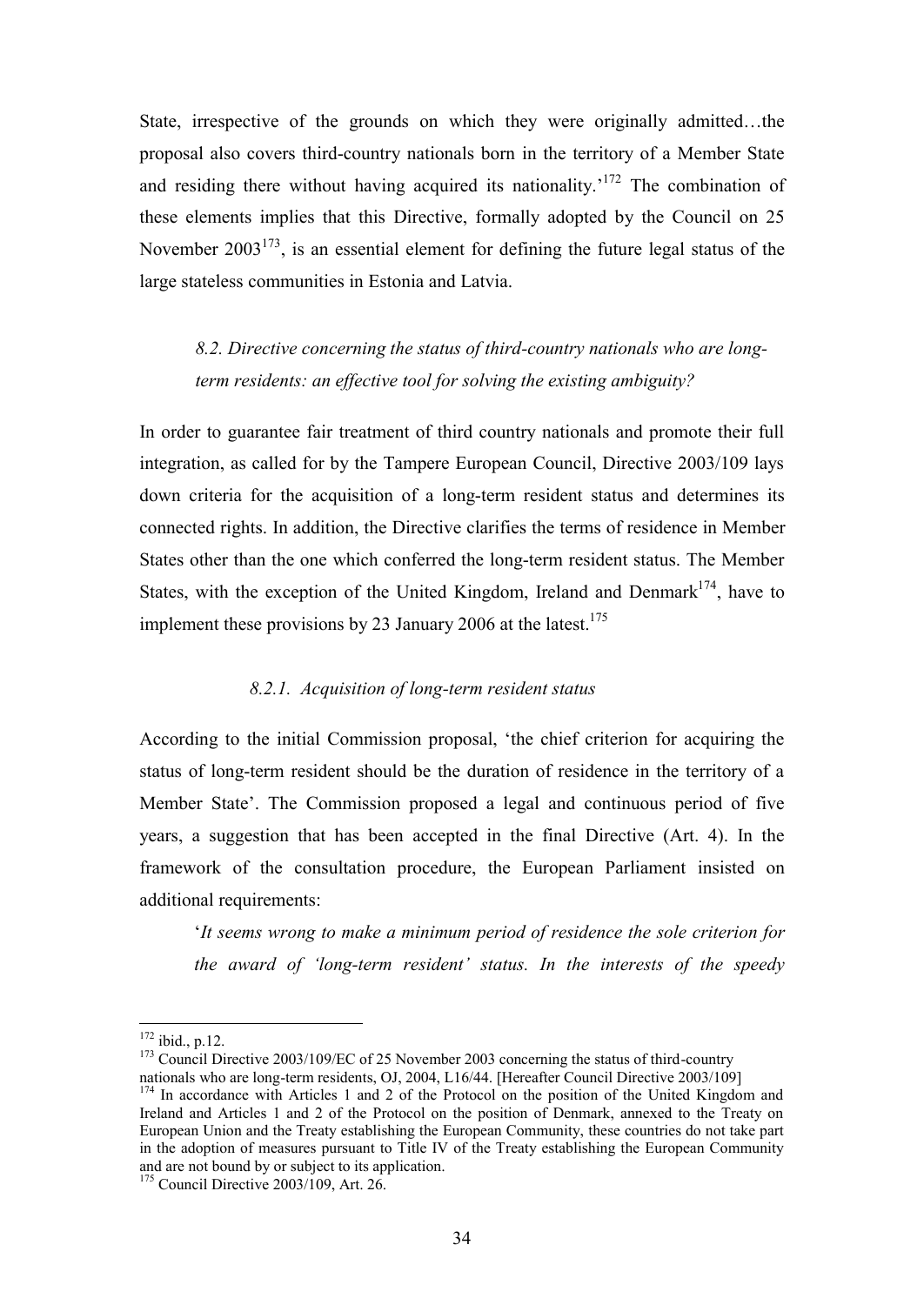State, irrespective of the grounds on which they were originally admitted…the proposal also covers third-country nationals born in the territory of a Member State and residing there without having acquired its nationality.<sup> $172$ </sup> The combination of these elements implies that this Directive, formally adopted by the Council on 25 November  $2003^{173}$ , is an essential element for defining the future legal status of the large stateless communities in Estonia and Latvia.

*8.2. Directive concerning the status of third-country nationals who are longterm residents: an effective tool for solving the existing ambiguity?* 

In order to guarantee fair treatment of third country nationals and promote their full integration, as called for by the Tampere European Council, Directive 2003/109 lays down criteria for the acquisition of a long-term resident status and determines its connected rights. In addition, the Directive clarifies the terms of residence in Member States other than the one which conferred the long-term resident status. The Member States, with the exception of the United Kingdom, Ireland and Denmark<sup>174</sup>, have to implement these provisions by 23 January 2006 at the latest.<sup>175</sup>

#### *8.2.1. Acquisition of long-term resident status*

According to the initial Commission proposal, 'the chief criterion for acquiring the status of long-term resident should be the duration of residence in the territory of a Member State'. The Commission proposed a legal and continuous period of five years, a suggestion that has been accepted in the final Directive (Art. 4). In the framework of the consultation procedure, the European Parliament insisted on additional requirements:

'*It seems wrong to make a minimum period of residence the sole criterion for the award of 'long-term resident' status. In the interests of the speedy* 

 $172$  ibid., p.12.

<sup>&</sup>lt;sup>173</sup> Council Directive 2003/109/EC of 25 November 2003 concerning the status of third-country

nationals who are long-term residents, OJ, 2004, L16/44. [Hereafter Council Directive 2003/109] <sup>174</sup> In accordance with Articles 1 and 2 of the Protocol on the position of the United Kingdom and Ireland and Articles 1 and 2 of the Protocol on the position of Denmark, annexed to the Treaty on European Union and the Treaty establishing the European Community, these countries do not take part in the adoption of measures pursuant to Title IV of the Treaty establishing the European Community and are not bound by or subject to its application.

 $175$  Council Directive 2003/109, Art. 26.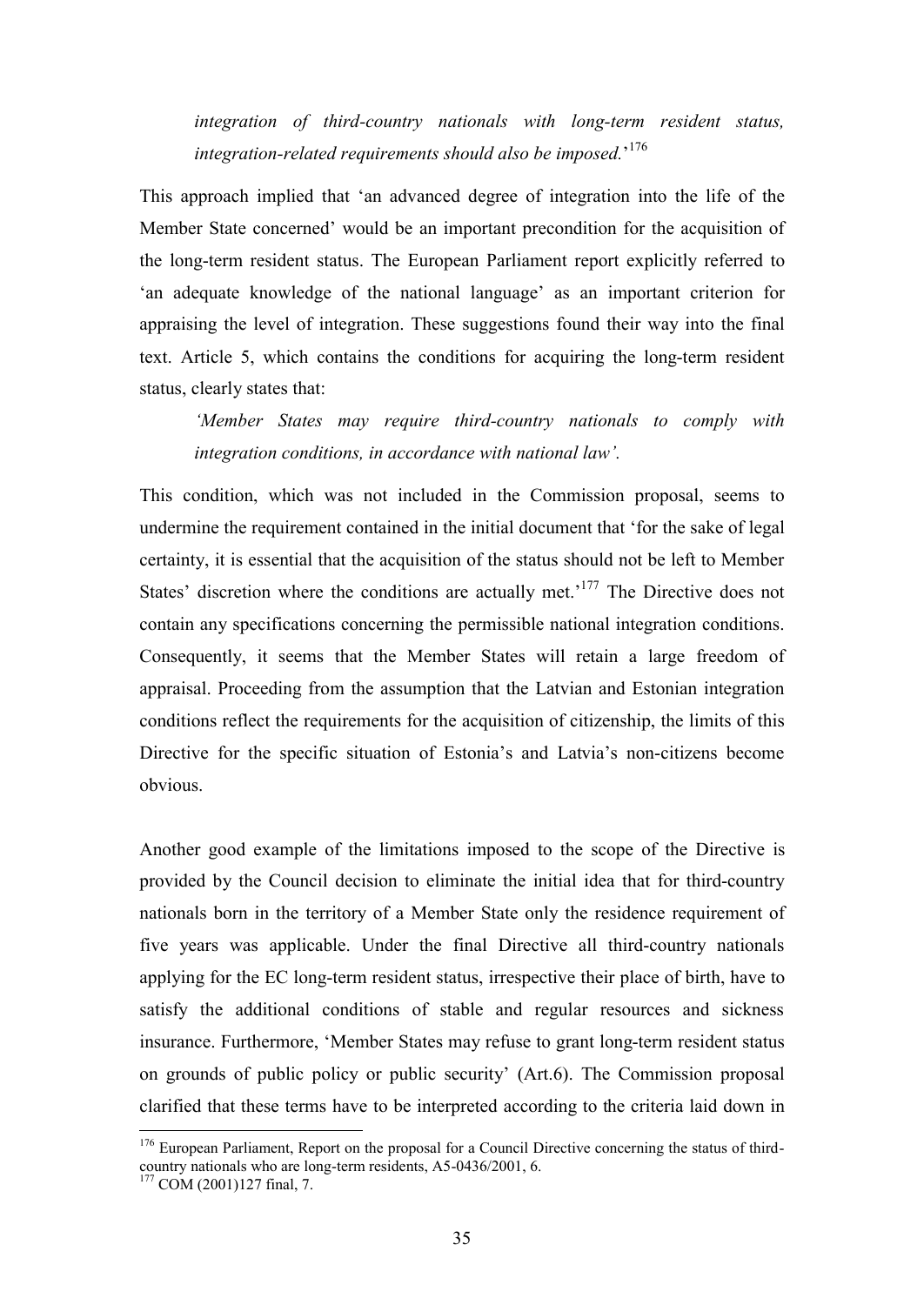*integration of third-country nationals with long-term resident status, integration-related requirements should also be imposed.*' 176

This approach implied that 'an advanced degree of integration into the life of the Member State concerned' would be an important precondition for the acquisition of the long-term resident status. The European Parliament report explicitly referred to 'an adequate knowledge of the national language' as an important criterion for appraising the level of integration. These suggestions found their way into the final text. Article 5, which contains the conditions for acquiring the long-term resident status, clearly states that:

*'Member States may require third-country nationals to comply with integration conditions, in accordance with national law'.* 

This condition, which was not included in the Commission proposal, seems to undermine the requirement contained in the initial document that 'for the sake of legal certainty, it is essential that the acquisition of the status should not be left to Member States' discretion where the conditions are actually met.<sup>177</sup> The Directive does not contain any specifications concerning the permissible national integration conditions. Consequently, it seems that the Member States will retain a large freedom of appraisal. Proceeding from the assumption that the Latvian and Estonian integration conditions reflect the requirements for the acquisition of citizenship, the limits of this Directive for the specific situation of Estonia's and Latvia's non-citizens become obvious.

Another good example of the limitations imposed to the scope of the Directive is provided by the Council decision to eliminate the initial idea that for third-country nationals born in the territory of a Member State only the residence requirement of five years was applicable. Under the final Directive all third-country nationals applying for the EC long-term resident status, irrespective their place of birth, have to satisfy the additional conditions of stable and regular resources and sickness insurance. Furthermore, 'Member States may refuse to grant long-term resident status on grounds of public policy or public security' (Art.6). The Commission proposal clarified that these terms have to be interpreted according to the criteria laid down in

 $176$  European Parliament, Report on the proposal for a Council Directive concerning the status of thirdcountry nationals who are long-term residents, A5-0436/2001, 6.

 $177$  COM (2001)127 final, 7.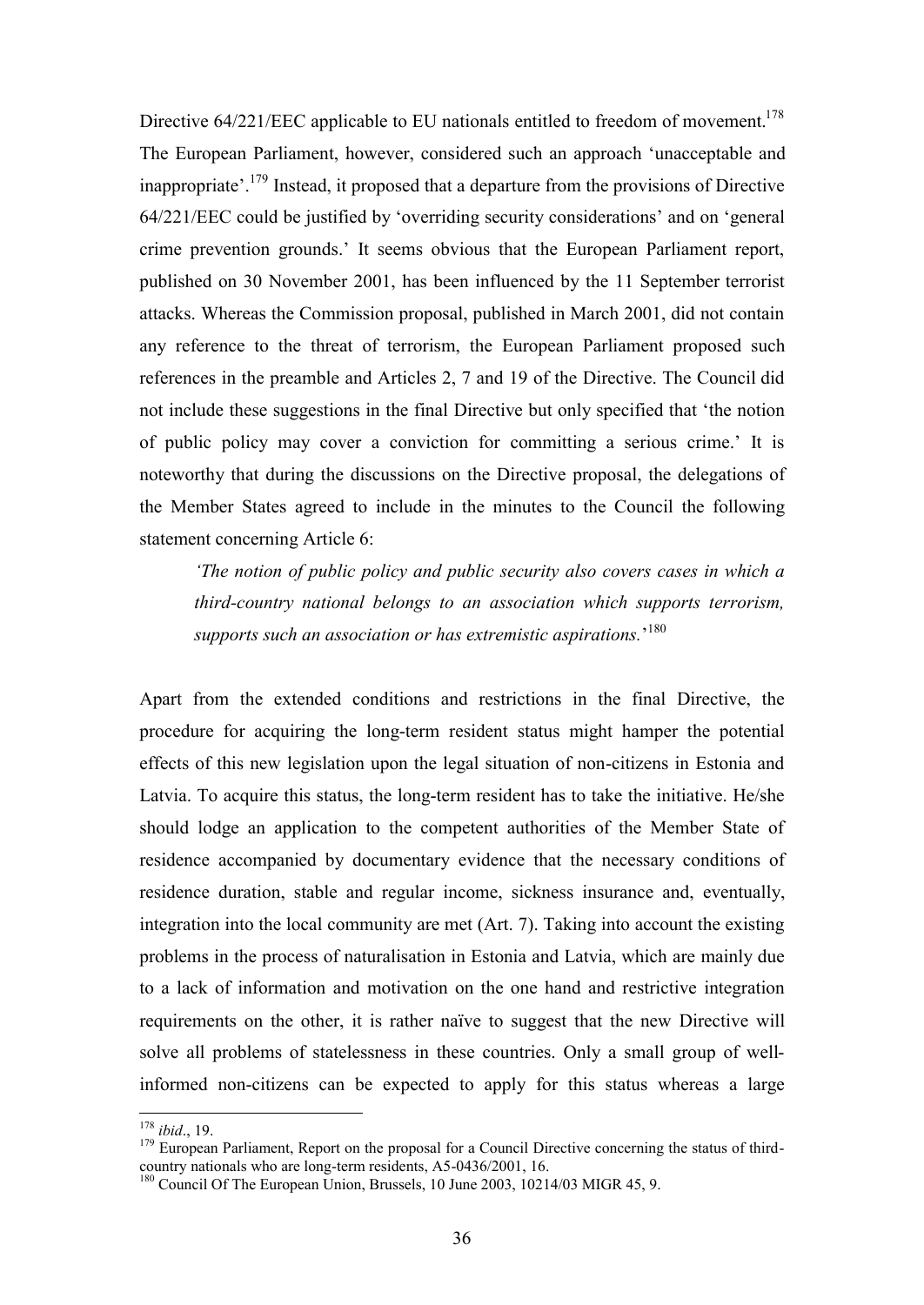Directive  $64/221/EEC$  applicable to EU nationals entitled to freedom of movement.<sup>178</sup> The European Parliament, however, considered such an approach 'unacceptable and inappropriate'.<sup>179</sup> Instead, it proposed that a departure from the provisions of Directive 64/221/EEC could be justified by 'overriding security considerations' and on 'general crime prevention grounds.' It seems obvious that the European Parliament report, published on 30 November 2001, has been influenced by the 11 September terrorist attacks. Whereas the Commission proposal, published in March 2001, did not contain any reference to the threat of terrorism, the European Parliament proposed such references in the preamble and Articles 2, 7 and 19 of the Directive. The Council did not include these suggestions in the final Directive but only specified that 'the notion of public policy may cover a conviction for committing a serious crime.' It is noteworthy that during the discussions on the Directive proposal, the delegations of the Member States agreed to include in the minutes to the Council the following statement concerning Article 6:

*'The notion of public policy and public security also covers cases in which a third-country national belongs to an association which supports terrorism, supports such an association or has extremistic aspirations.*' 180

Apart from the extended conditions and restrictions in the final Directive, the procedure for acquiring the long-term resident status might hamper the potential effects of this new legislation upon the legal situation of non-citizens in Estonia and Latvia. To acquire this status, the long-term resident has to take the initiative. He/she should lodge an application to the competent authorities of the Member State of residence accompanied by documentary evidence that the necessary conditions of residence duration, stable and regular income, sickness insurance and, eventually, integration into the local community are met (Art. 7). Taking into account the existing problems in the process of naturalisation in Estonia and Latvia, which are mainly due to a lack of information and motivation on the one hand and restrictive integration requirements on the other, it is rather naïve to suggest that the new Directive will solve all problems of statelessness in these countries. Only a small group of wellinformed non-citizens can be expected to apply for this status whereas a large

<sup>178</sup> *ibid*., 19.

<sup>&</sup>lt;sup>179</sup> European Parliament, Report on the proposal for a Council Directive concerning the status of thirdcountry nationals who are long-term residents, A5-0436/2001, 16.

<sup>&</sup>lt;sup>180</sup> Council Of The European Union, Brussels, 10 June 2003, 10214/03 MIGR 45, 9.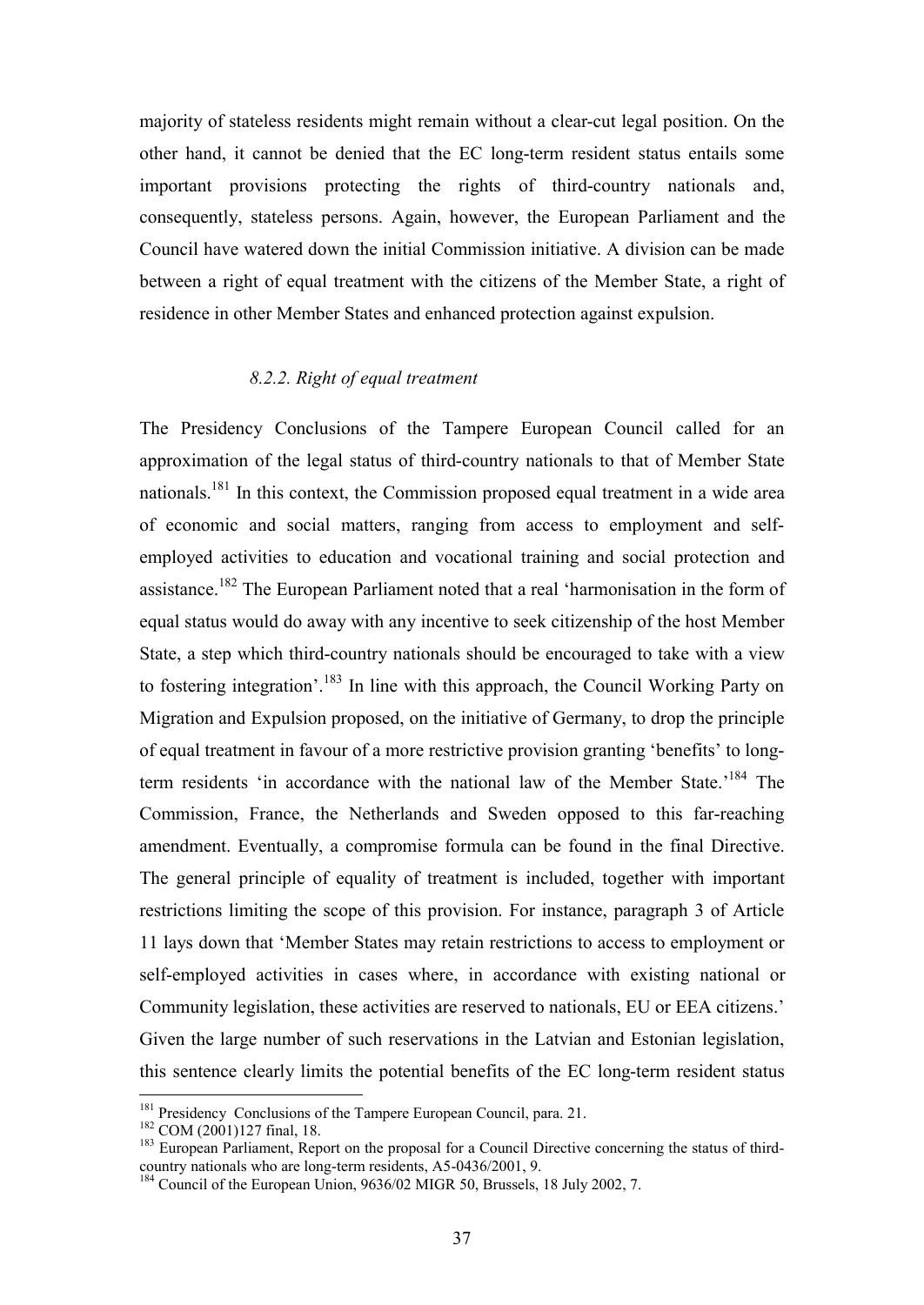majority of stateless residents might remain without a clear-cut legal position. On the other hand, it cannot be denied that the EC long-term resident status entails some important provisions protecting the rights of third-country nationals and, consequently, stateless persons. Again, however, the European Parliament and the Council have watered down the initial Commission initiative. A division can be made between a right of equal treatment with the citizens of the Member State, a right of residence in other Member States and enhanced protection against expulsion.

#### *8.2.2. Right of equal treatment*

The Presidency Conclusions of the Tampere European Council called for an approximation of the legal status of third-country nationals to that of Member State nationals.<sup>181</sup> In this context, the Commission proposed equal treatment in a wide area of economic and social matters, ranging from access to employment and selfemployed activities to education and vocational training and social protection and assistance.<sup>182</sup> The European Parliament noted that a real 'harmonisation in the form of equal status would do away with any incentive to seek citizenship of the host Member State, a step which third-country nationals should be encouraged to take with a view to fostering integration'.<sup>183</sup> In line with this approach, the Council Working Party on Migration and Expulsion proposed, on the initiative of Germany, to drop the principle of equal treatment in favour of a more restrictive provision granting 'benefits' to longterm residents 'in accordance with the national law of the Member State.'<sup>184</sup> The Commission, France, the Netherlands and Sweden opposed to this far-reaching amendment. Eventually, a compromise formula can be found in the final Directive. The general principle of equality of treatment is included, together with important restrictions limiting the scope of this provision. For instance, paragraph 3 of Article 11 lays down that 'Member States may retain restrictions to access to employment or self-employed activities in cases where, in accordance with existing national or Community legislation, these activities are reserved to nationals, EU or EEA citizens.' Given the large number of such reservations in the Latvian and Estonian legislation, this sentence clearly limits the potential benefits of the EC long-term resident status

<sup>&</sup>lt;sup>181</sup> Presidency Conclusions of the Tampere European Council, para. 21.

<sup>&</sup>lt;sup>182</sup> COM (2001)127 final, 18.

<sup>&</sup>lt;sup>183</sup> European Parliament, Report on the proposal for a Council Directive concerning the status of thirdcountry nationals who are long-term residents, A5-0436/2001, 9.

<sup>&</sup>lt;sup>184</sup> Council of the European Union, 9636/02 MIGR 50, Brussels, 18 July 2002, 7.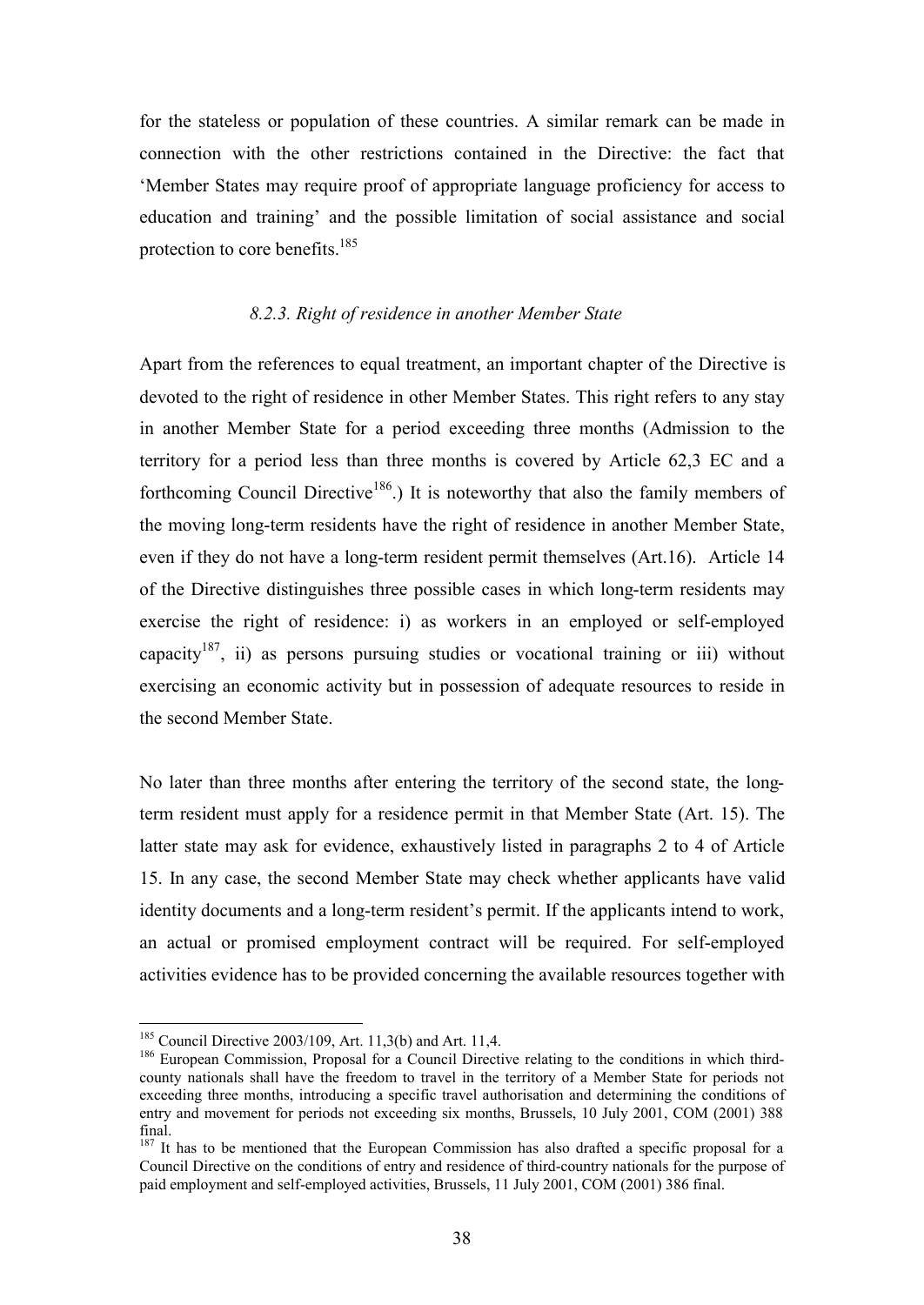for the stateless or population of these countries. A similar remark can be made in connection with the other restrictions contained in the Directive: the fact that 'Member States may require proof of appropriate language proficiency for access to education and training' and the possible limitation of social assistance and social protection to core benefits.<sup>185</sup>

#### *8.2.3. Right of residence in another Member State*

Apart from the references to equal treatment, an important chapter of the Directive is devoted to the right of residence in other Member States. This right refers to any stay in another Member State for a period exceeding three months (Admission to the territory for a period less than three months is covered by Article 62,3 EC and a forthcoming Council Directive<sup>186</sup>.) It is noteworthy that also the family members of the moving long-term residents have the right of residence in another Member State, even if they do not have a long-term resident permit themselves (Art.16). Article 14 of the Directive distinguishes three possible cases in which long-term residents may exercise the right of residence: i) as workers in an employed or self-employed capacity<sup>187</sup>, ii) as persons pursuing studies or vocational training or iii) without exercising an economic activity but in possession of adequate resources to reside in the second Member State.

No later than three months after entering the territory of the second state, the longterm resident must apply for a residence permit in that Member State (Art. 15). The latter state may ask for evidence, exhaustively listed in paragraphs 2 to 4 of Article 15. In any case, the second Member State may check whether applicants have valid identity documents and a long-term resident's permit. If the applicants intend to work, an actual or promised employment contract will be required. For self-employed activities evidence has to be provided concerning the available resources together with

<sup>185</sup> Council Directive 2003/109, Art. 11,3(b) and Art. 11,4.

<sup>&</sup>lt;sup>186</sup> European Commission, Proposal for a Council Directive relating to the conditions in which thirdcounty nationals shall have the freedom to travel in the territory of a Member State for periods not exceeding three months, introducing a specific travel authorisation and determining the conditions of entry and movement for periods not exceeding six months, Brussels, 10 July 2001, COM (2001) 388 final.

<sup>&</sup>lt;sup>187</sup> It has to be mentioned that the European Commission has also drafted a specific proposal for a Council Directive on the conditions of entry and residence of third-country nationals for the purpose of paid employment and self-employed activities, Brussels, 11 July 2001, COM (2001) 386 final.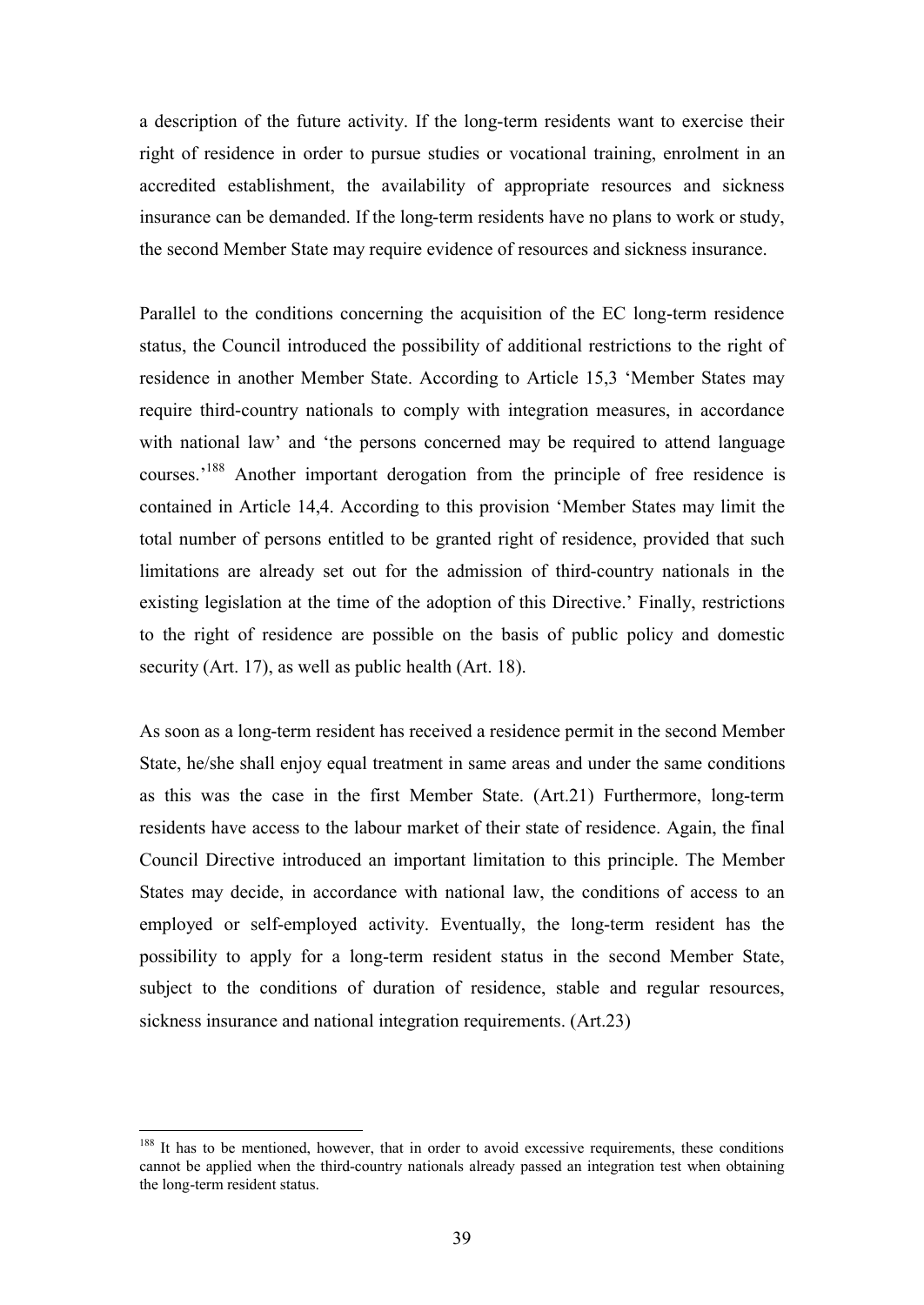a description of the future activity. If the long-term residents want to exercise their right of residence in order to pursue studies or vocational training, enrolment in an accredited establishment, the availability of appropriate resources and sickness insurance can be demanded. If the long-term residents have no plans to work or study, the second Member State may require evidence of resources and sickness insurance.

Parallel to the conditions concerning the acquisition of the EC long-term residence status, the Council introduced the possibility of additional restrictions to the right of residence in another Member State. According to Article 15,3 'Member States may require third-country nationals to comply with integration measures, in accordance with national law' and 'the persons concerned may be required to attend language courses.'<sup>188</sup> Another important derogation from the principle of free residence is contained in Article 14,4. According to this provision 'Member States may limit the total number of persons entitled to be granted right of residence, provided that such limitations are already set out for the admission of third-country nationals in the existing legislation at the time of the adoption of this Directive.' Finally, restrictions to the right of residence are possible on the basis of public policy and domestic security (Art. 17), as well as public health (Art. 18).

As soon as a long-term resident has received a residence permit in the second Member State, he/she shall enjoy equal treatment in same areas and under the same conditions as this was the case in the first Member State. (Art.21) Furthermore, long-term residents have access to the labour market of their state of residence. Again, the final Council Directive introduced an important limitation to this principle. The Member States may decide, in accordance with national law, the conditions of access to an employed or self-employed activity. Eventually, the long-term resident has the possibility to apply for a long-term resident status in the second Member State, subject to the conditions of duration of residence, stable and regular resources, sickness insurance and national integration requirements. (Art.23)

<sup>&</sup>lt;sup>188</sup> It has to be mentioned, however, that in order to avoid excessive requirements, these conditions cannot be applied when the third-country nationals already passed an integration test when obtaining the long-term resident status.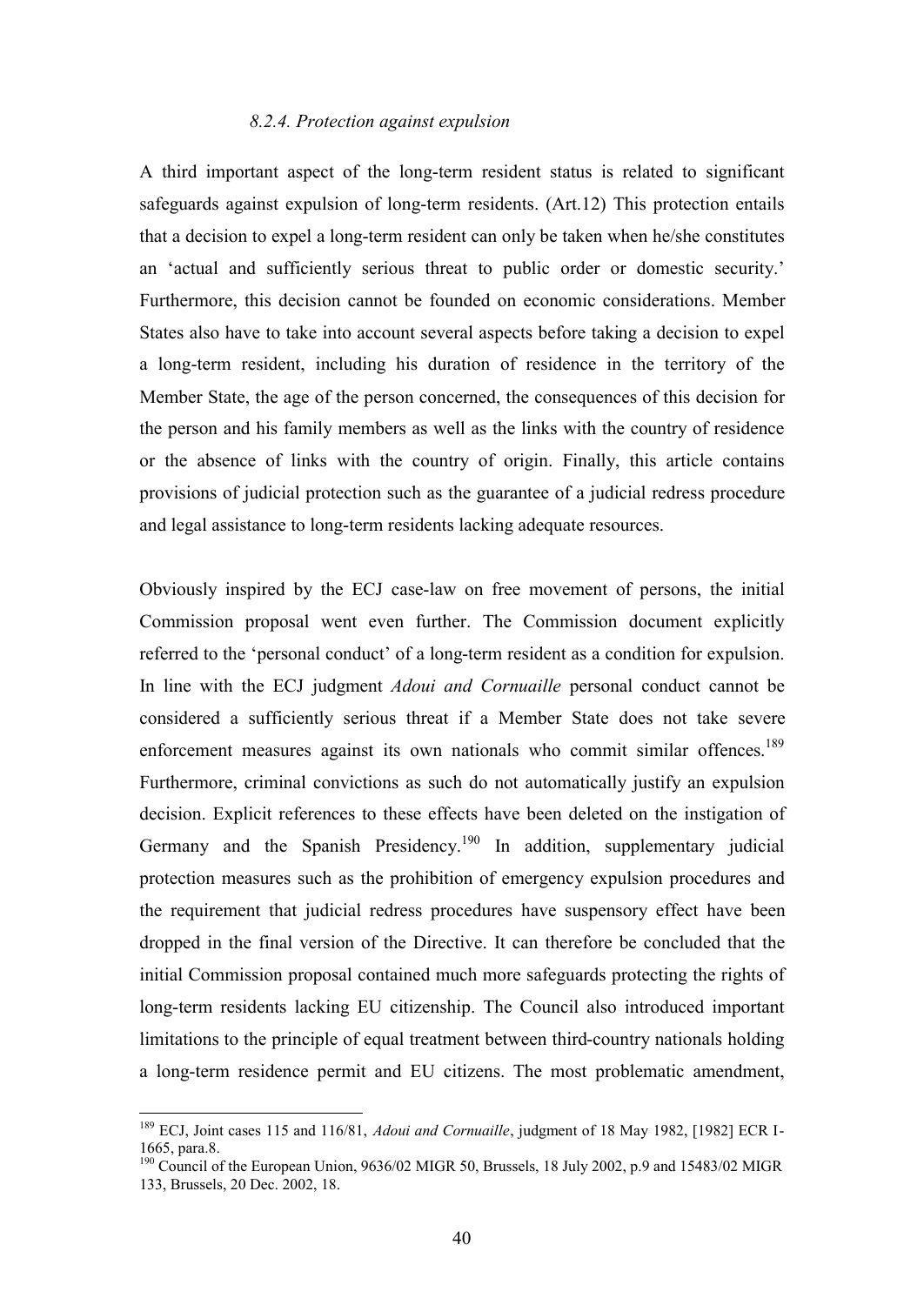#### *8.2.4. Protection against expulsion*

A third important aspect of the long-term resident status is related to significant safeguards against expulsion of long-term residents. (Art.12) This protection entails that a decision to expel a long-term resident can only be taken when he/she constitutes an 'actual and sufficiently serious threat to public order or domestic security.' Furthermore, this decision cannot be founded on economic considerations. Member States also have to take into account several aspects before taking a decision to expel a long-term resident, including his duration of residence in the territory of the Member State, the age of the person concerned, the consequences of this decision for the person and his family members as well as the links with the country of residence or the absence of links with the country of origin. Finally, this article contains provisions of judicial protection such as the guarantee of a judicial redress procedure and legal assistance to long-term residents lacking adequate resources.

Obviously inspired by the ECJ case-law on free movement of persons, the initial Commission proposal went even further. The Commission document explicitly referred to the 'personal conduct' of a long-term resident as a condition for expulsion. In line with the ECJ judgment *Adoui and Cornuaille* personal conduct cannot be considered a sufficiently serious threat if a Member State does not take severe enforcement measures against its own nationals who commit similar offences.<sup>189</sup> Furthermore, criminal convictions as such do not automatically justify an expulsion decision. Explicit references to these effects have been deleted on the instigation of Germany and the Spanish Presidency.<sup>190</sup> In addition, supplementary judicial protection measures such as the prohibition of emergency expulsion procedures and the requirement that judicial redress procedures have suspensory effect have been dropped in the final version of the Directive. It can therefore be concluded that the initial Commission proposal contained much more safeguards protecting the rights of long-term residents lacking EU citizenship. The Council also introduced important limitations to the principle of equal treatment between third-country nationals holding a long-term residence permit and EU citizens. The most problematic amendment,

<sup>189</sup> ECJ, Joint cases 115 and 116/81, *Adoui and Cornuaille*, judgment of 18 May 1982, [1982] ECR I-1665, para.8.

<sup>&</sup>lt;sup>190</sup> Council of the European Union, 9636/02 MIGR 50, Brussels, 18 July 2002, p.9 and 15483/02 MIGR 133, Brussels, 20 Dec. 2002, 18.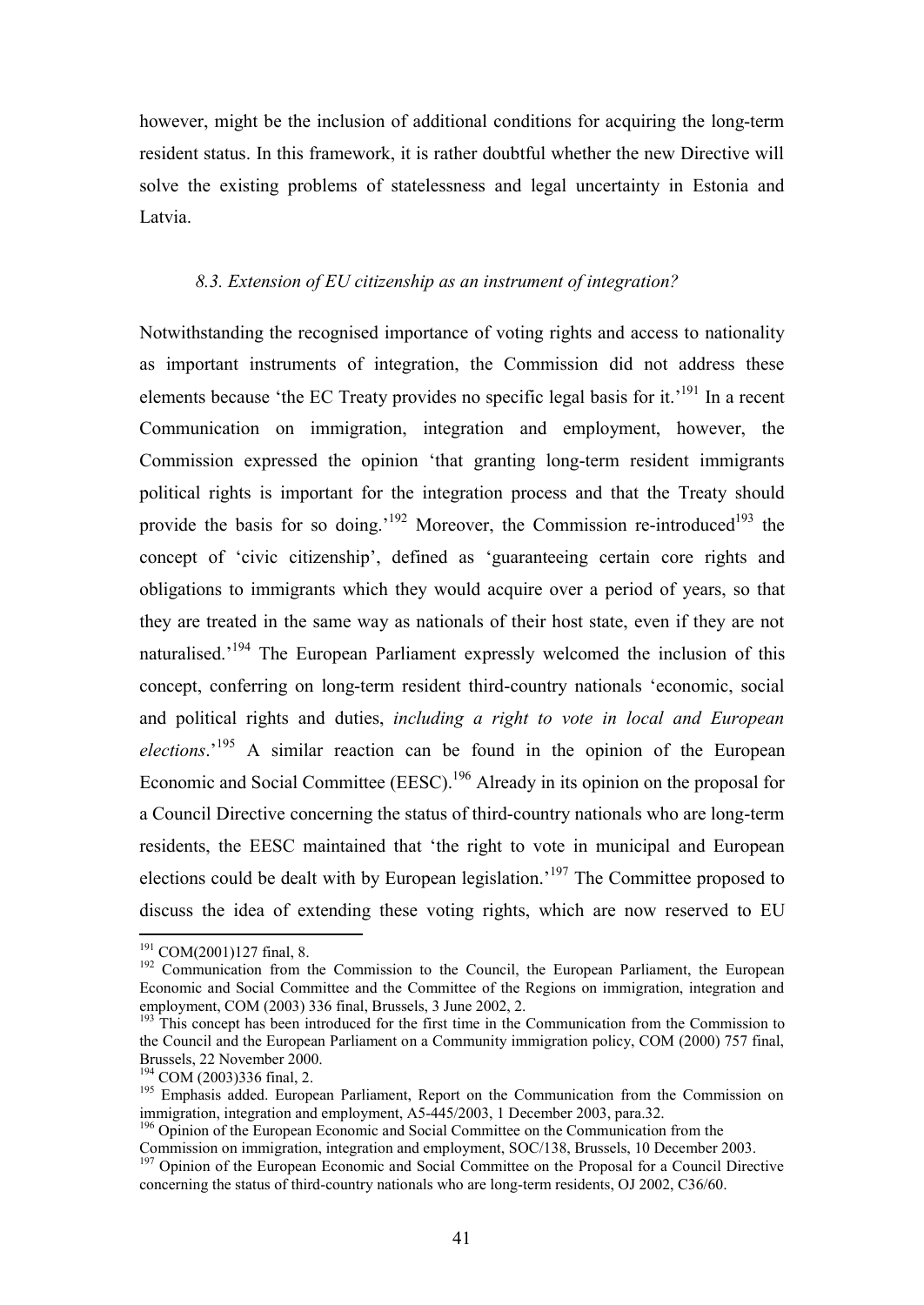however, might be the inclusion of additional conditions for acquiring the long-term resident status. In this framework, it is rather doubtful whether the new Directive will solve the existing problems of statelessness and legal uncertainty in Estonia and Latvia.

### *8.3. Extension of EU citizenship as an instrument of integration?*

Notwithstanding the recognised importance of voting rights and access to nationality as important instruments of integration, the Commission did not address these elements because 'the EC Treaty provides no specific legal basis for it.'<sup>191</sup> In a recent Communication on immigration, integration and employment, however, the Commission expressed the opinion 'that granting long-term resident immigrants political rights is important for the integration process and that the Treaty should provide the basis for so doing.<sup>'192</sup> Moreover, the Commission re-introduced<sup>193</sup> the concept of 'civic citizenship', defined as 'guaranteeing certain core rights and obligations to immigrants which they would acquire over a period of years, so that they are treated in the same way as nationals of their host state, even if they are not naturalised.<sup>'194</sup> The European Parliament expressly welcomed the inclusion of this concept, conferring on long-term resident third-country nationals 'economic, social and political rights and duties, *including a right to vote in local and European elections*.'<sup>195</sup> A similar reaction can be found in the opinion of the European Economic and Social Committee (EESC).<sup>196</sup> Already in its opinion on the proposal for a Council Directive concerning the status of third-country nationals who are long-term residents, the EESC maintained that 'the right to vote in municipal and European elections could be dealt with by European legislation.'<sup>197</sup> The Committee proposed to discuss the idea of extending these voting rights, which are now reserved to EU

 $191$  COM(2001)127 final, 8.

<sup>&</sup>lt;sup>192</sup> Communication from the Commission to the Council, the European Parliament, the European Economic and Social Committee and the Committee of the Regions on immigration, integration and employment, COM (2003) 336 final, Brussels, 3 June 2002, 2.

<sup>&</sup>lt;sup>193</sup> This concept has been introduced for the first time in the Communication from the Commission to the Council and the European Parliament on a Community immigration policy, COM (2000) 757 final, Brussels, 22 November 2000.

<sup>194</sup> COM (2003)336 final, 2.

<sup>&</sup>lt;sup>195</sup> Emphasis added. European Parliament, Report on the Communication from the Commission on immigration, integration and employment, A5-445/2003, 1 December 2003, para.32.

<sup>&</sup>lt;sup>196</sup> Opinion of the European Economic and Social Committee on the Communication from the Commission on immigration, integration and employment, SOC/138, Brussels, 10 December 2003.

<sup>&</sup>lt;sup>197</sup> Opinion of the European Economic and Social Committee on the Proposal for a Council Directive concerning the status of third-country nationals who are long-term residents, OJ 2002, C36/60.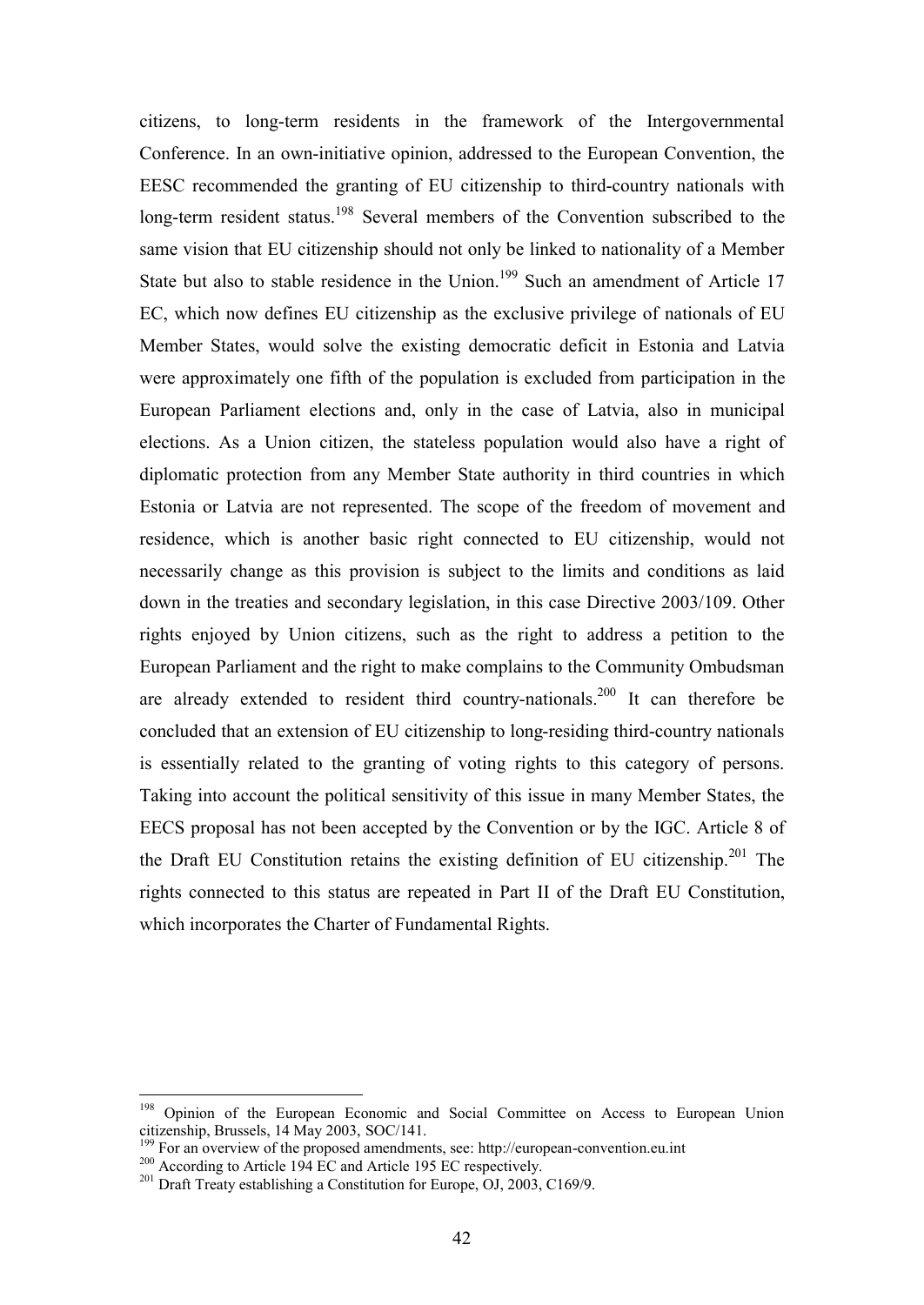citizens, to long-term residents in the framework of the Intergovernmental Conference. In an own-initiative opinion, addressed to the European Convention, the EESC recommended the granting of EU citizenship to third-country nationals with long-term resident status.<sup>198</sup> Several members of the Convention subscribed to the same vision that EU citizenship should not only be linked to nationality of a Member State but also to stable residence in the Union.<sup>199</sup> Such an amendment of Article 17 EC, which now defines EU citizenship as the exclusive privilege of nationals of EU Member States, would solve the existing democratic deficit in Estonia and Latvia were approximately one fifth of the population is excluded from participation in the European Parliament elections and, only in the case of Latvia, also in municipal elections. As a Union citizen, the stateless population would also have a right of diplomatic protection from any Member State authority in third countries in which Estonia or Latvia are not represented. The scope of the freedom of movement and residence, which is another basic right connected to EU citizenship, would not necessarily change as this provision is subject to the limits and conditions as laid down in the treaties and secondary legislation, in this case Directive 2003/109. Other rights enjoyed by Union citizens, such as the right to address a petition to the European Parliament and the right to make complains to the Community Ombudsman are already extended to resident third country-nationals.<sup>200</sup> It can therefore be concluded that an extension of EU citizenship to long-residing third-country nationals is essentially related to the granting of voting rights to this category of persons. Taking into account the political sensitivity of this issue in many Member States, the EECS proposal has not been accepted by the Convention or by the IGC. Article 8 of the Draft EU Constitution retains the existing definition of EU citizenship.<sup>201</sup> The rights connected to this status are repeated in Part II of the Draft EU Constitution, which incorporates the Charter of Fundamental Rights.

<sup>&</sup>lt;sup>198</sup> Opinion of the European Economic and Social Committee on Access to European Union citizenship, Brussels, 14 May 2003, SOC/141.

<sup>&</sup>lt;sup>9</sup> For an overview of the proposed amendments, see: http://european-convention.eu.int

<sup>&</sup>lt;sup>200</sup> According to Article 194 EC and Article 195 EC respectively.

<sup>&</sup>lt;sup>201</sup> Draft Treaty establishing a Constitution for Europe, OJ, 2003, C169/9.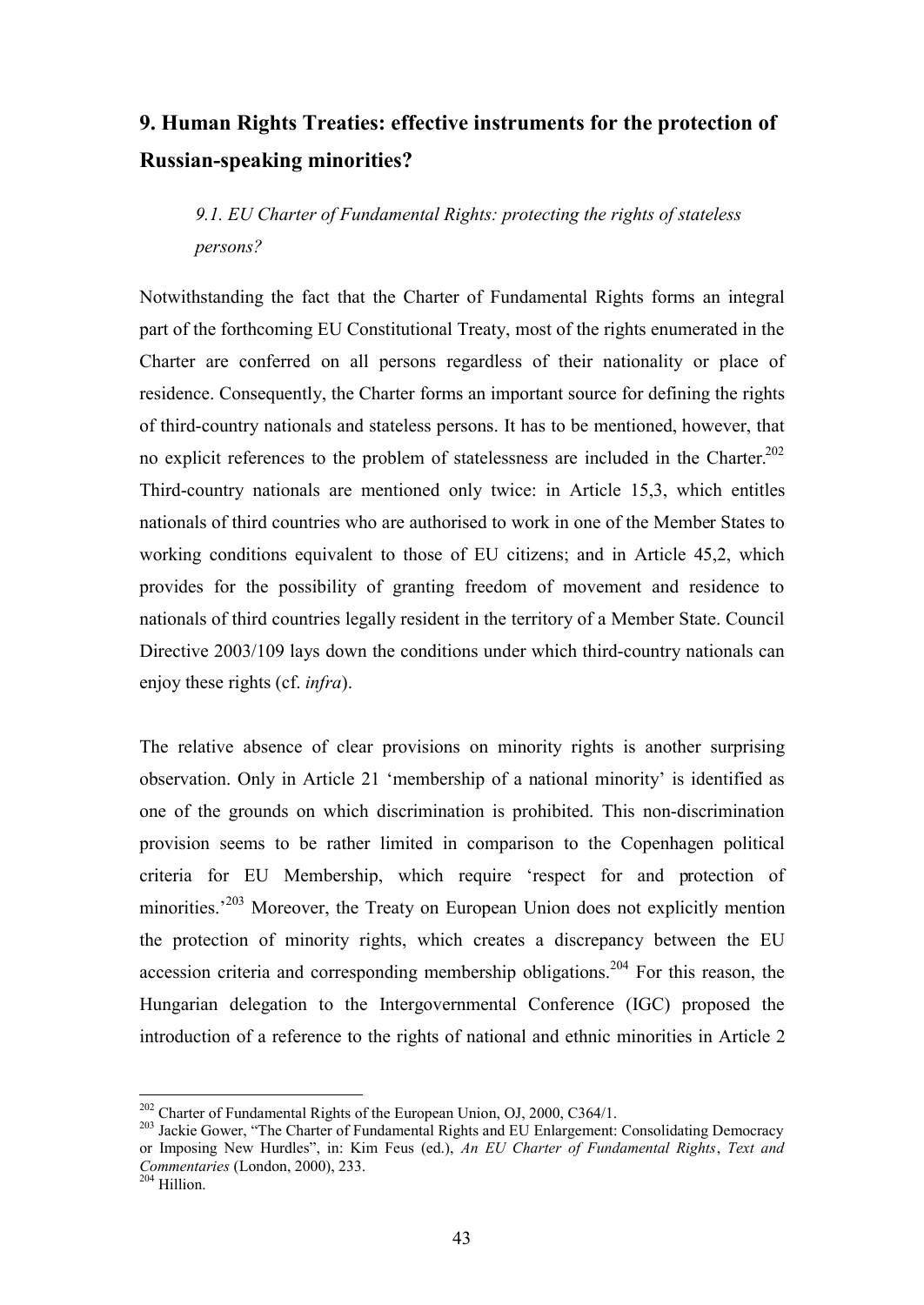# **9. Human Rights Treaties: effective instruments for the protection of Russian-speaking minorities?**

*9.1. EU Charter of Fundamental Rights: protecting the rights of stateless persons?* 

Notwithstanding the fact that the Charter of Fundamental Rights forms an integral part of the forthcoming EU Constitutional Treaty, most of the rights enumerated in the Charter are conferred on all persons regardless of their nationality or place of residence. Consequently, the Charter forms an important source for defining the rights of third-country nationals and stateless persons. It has to be mentioned, however, that no explicit references to the problem of statelessness are included in the Charter.<sup>202</sup> Third-country nationals are mentioned only twice: in Article 15,3, which entitles nationals of third countries who are authorised to work in one of the Member States to working conditions equivalent to those of EU citizens; and in Article 45,2, which provides for the possibility of granting freedom of movement and residence to nationals of third countries legally resident in the territory of a Member State. Council Directive 2003/109 lays down the conditions under which third-country nationals can enjoy these rights (cf. *infra*).

The relative absence of clear provisions on minority rights is another surprising observation. Only in Article 21 'membership of a national minority' is identified as one of the grounds on which discrimination is prohibited. This non-discrimination provision seems to be rather limited in comparison to the Copenhagen political criteria for EU Membership, which require 'respect for and protection of minorities.<sup>203</sup> Moreover, the Treaty on European Union does not explicitly mention the protection of minority rights, which creates a discrepancy between the EU accession criteria and corresponding membership obligations.<sup>204</sup> For this reason, the Hungarian delegation to the Intergovernmental Conference (IGC) proposed the introduction of a reference to the rights of national and ethnic minorities in Article 2

<sup>&</sup>lt;sup>202</sup> Charter of Fundamental Rights of the European Union, OJ, 2000, C364/1.

<sup>&</sup>lt;sup>203</sup> Jackie Gower, "The Charter of Fundamental Rights and EU Enlargement: Consolidating Democracy or Imposing New Hurdles", in: Kim Feus (ed.), *An EU Charter of Fundamental Rights*, *Text and Commentaries* (London, 2000), 233.

<sup>204</sup> Hillion.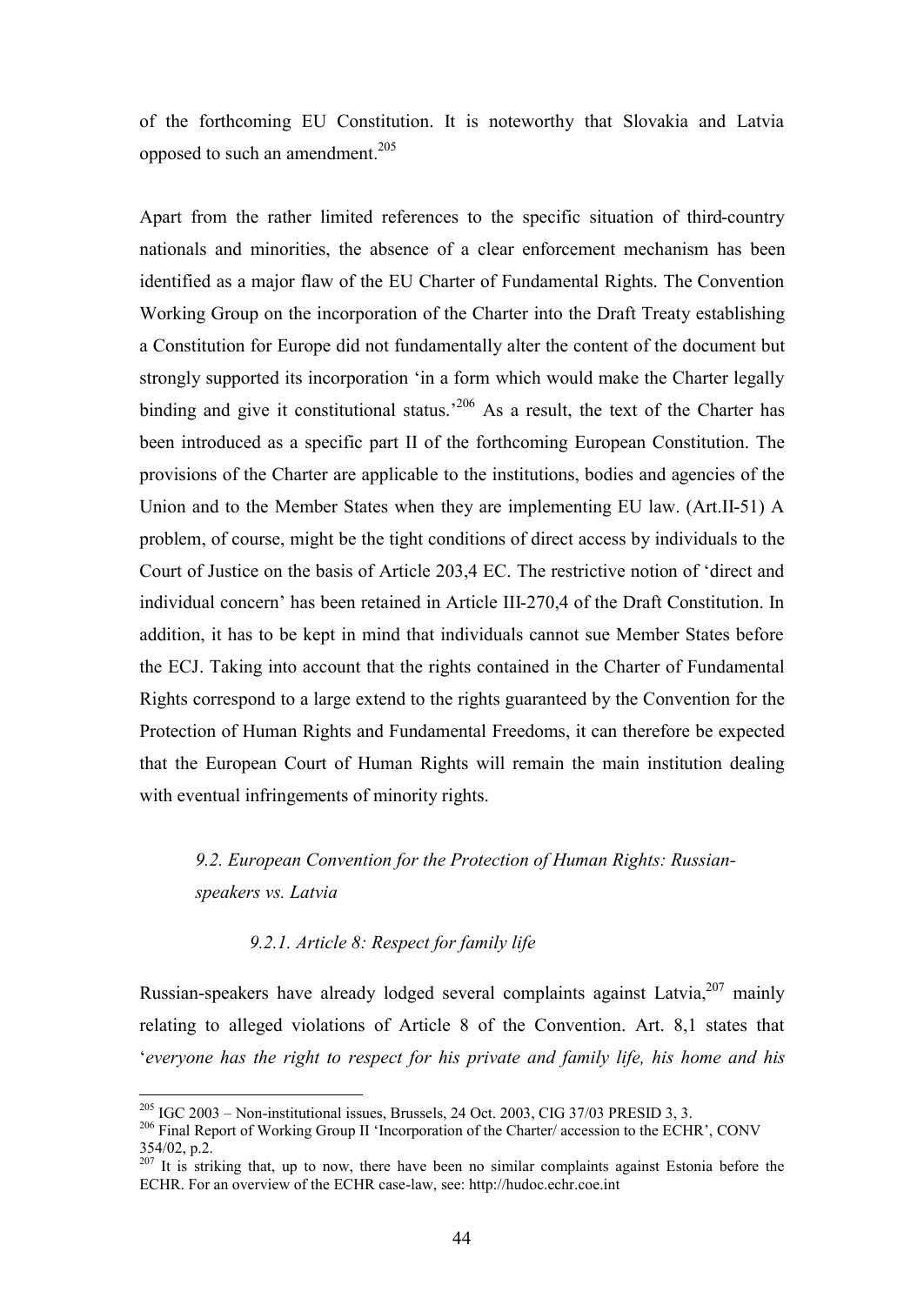of the forthcoming EU Constitution. It is noteworthy that Slovakia and Latvia opposed to such an amendment.<sup>205</sup>

Apart from the rather limited references to the specific situation of third-country nationals and minorities, the absence of a clear enforcement mechanism has been identified as a major flaw of the EU Charter of Fundamental Rights. The Convention Working Group on the incorporation of the Charter into the Draft Treaty establishing a Constitution for Europe did not fundamentally alter the content of the document but strongly supported its incorporation 'in a form which would make the Charter legally binding and give it constitutional status.<sup>206</sup> As a result, the text of the Charter has been introduced as a specific part II of the forthcoming European Constitution. The provisions of the Charter are applicable to the institutions, bodies and agencies of the Union and to the Member States when they are implementing EU law. (Art.II-51) A problem, of course, might be the tight conditions of direct access by individuals to the Court of Justice on the basis of Article 203,4 EC. The restrictive notion of 'direct and individual concern' has been retained in Article III-270,4 of the Draft Constitution. In addition, it has to be kept in mind that individuals cannot sue Member States before the ECJ. Taking into account that the rights contained in the Charter of Fundamental Rights correspond to a large extend to the rights guaranteed by the Convention for the Protection of Human Rights and Fundamental Freedoms, it can therefore be expected that the European Court of Human Rights will remain the main institution dealing with eventual infringements of minority rights.

# *9.2. European Convention for the Protection of Human Rights: Russianspeakers vs. Latvia*

#### *9.2.1. Article 8: Respect for family life*

Russian-speakers have already lodged several complaints against Latvia,  $207$  mainly relating to alleged violations of Article 8 of the Convention. Art. 8,1 states that '*everyone has the right to respect for his private and family life, his home and his* 

 $205$  IGC 2003 – Non-institutional issues, Brussels, 24 Oct. 2003, CIG 37/03 PRESID 3, 3.

<sup>&</sup>lt;sup>206</sup> Final Report of Working Group II 'Incorporation of the Charter/ accession to the ECHR', CONV 354/02, p.2.

 $207$  It is striking that, up to now, there have been no similar complaints against Estonia before the ECHR. For an overview of the ECHR case-law, see: http://hudoc.echr.coe.int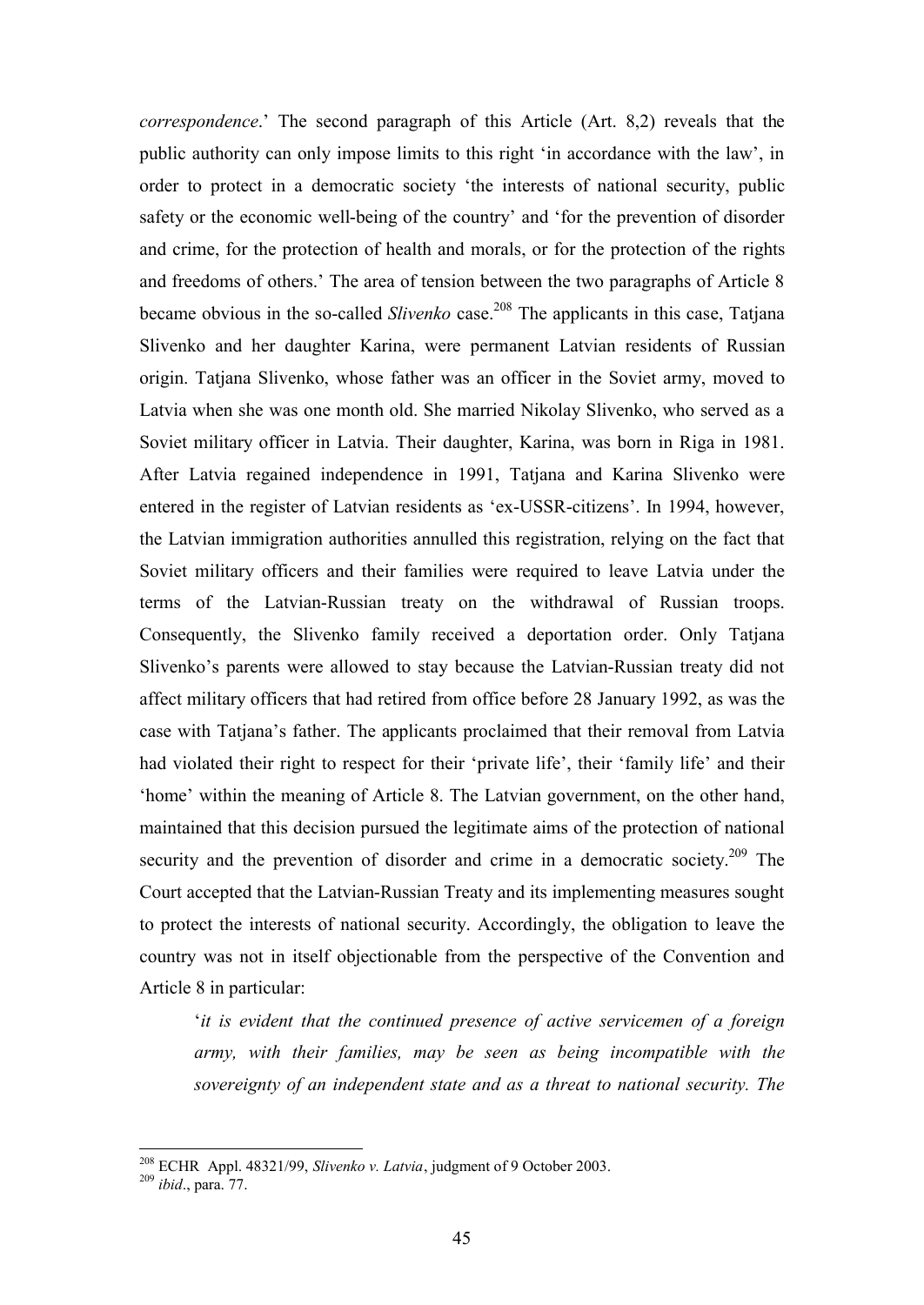*correspondence*.' The second paragraph of this Article (Art. 8,2) reveals that the public authority can only impose limits to this right 'in accordance with the law', in order to protect in a democratic society 'the interests of national security, public safety or the economic well-being of the country' and 'for the prevention of disorder and crime, for the protection of health and morals, or for the protection of the rights and freedoms of others.' The area of tension between the two paragraphs of Article 8 became obvious in the so-called *Slivenko* case.<sup>208</sup> The applicants in this case, Tatjana Slivenko and her daughter Karina, were permanent Latvian residents of Russian origin. Tatjana Slivenko, whose father was an officer in the Soviet army, moved to Latvia when she was one month old. She married Nikolay Slivenko, who served as a Soviet military officer in Latvia. Their daughter, Karina, was born in Riga in 1981. After Latvia regained independence in 1991, Tatjana and Karina Slivenko were entered in the register of Latvian residents as 'ex-USSR-citizens'. In 1994, however, the Latvian immigration authorities annulled this registration, relying on the fact that Soviet military officers and their families were required to leave Latvia under the terms of the Latvian-Russian treaty on the withdrawal of Russian troops. Consequently, the Slivenko family received a deportation order. Only Tatjana Slivenko's parents were allowed to stay because the Latvian-Russian treaty did not affect military officers that had retired from office before 28 January 1992, as was the case with Tatjana's father. The applicants proclaimed that their removal from Latvia had violated their right to respect for their 'private life', their 'family life' and their 'home' within the meaning of Article 8. The Latvian government, on the other hand, maintained that this decision pursued the legitimate aims of the protection of national security and the prevention of disorder and crime in a democratic society.<sup>209</sup> The Court accepted that the Latvian-Russian Treaty and its implementing measures sought to protect the interests of national security. Accordingly, the obligation to leave the country was not in itself objectionable from the perspective of the Convention and Article 8 in particular:

'*it is evident that the continued presence of active servicemen of a foreign army, with their families, may be seen as being incompatible with the sovereignty of an independent state and as a threat to national security. The* 

<sup>208</sup> ECHR Appl. 48321/99, *Slivenko v. Latvia*, judgment of 9 October 2003.

<sup>209</sup> *ibid*., para. 77.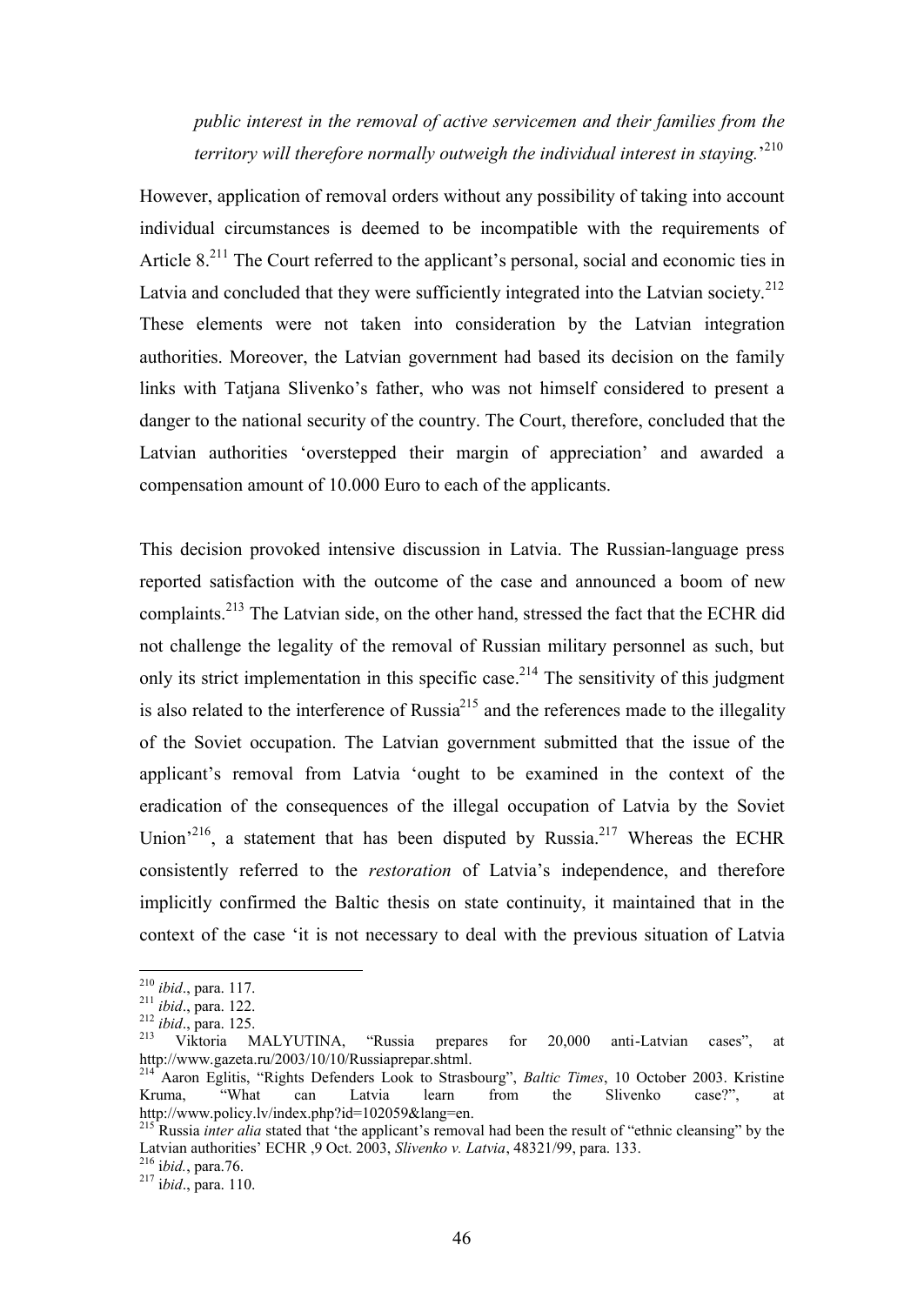*public interest in the removal of active servicemen and their families from the territory will therefore normally outweigh the individual interest in staying.*' 210

However, application of removal orders without any possibility of taking into account individual circumstances is deemed to be incompatible with the requirements of Article 8.<sup>211</sup> The Court referred to the applicant's personal, social and economic ties in Latvia and concluded that they were sufficiently integrated into the Latvian society.<sup>212</sup> These elements were not taken into consideration by the Latvian integration authorities. Moreover, the Latvian government had based its decision on the family links with Tatjana Slivenko's father, who was not himself considered to present a danger to the national security of the country. The Court, therefore, concluded that the Latvian authorities 'overstepped their margin of appreciation' and awarded a compensation amount of 10.000 Euro to each of the applicants.

This decision provoked intensive discussion in Latvia. The Russian-language press reported satisfaction with the outcome of the case and announced a boom of new complaints.<sup>213</sup> The Latvian side, on the other hand, stressed the fact that the ECHR did not challenge the legality of the removal of Russian military personnel as such, but only its strict implementation in this specific case.<sup>214</sup> The sensitivity of this judgment is also related to the interference of Russia<sup>215</sup> and the references made to the illegality of the Soviet occupation. The Latvian government submitted that the issue of the applicant's removal from Latvia 'ought to be examined in the context of the eradication of the consequences of the illegal occupation of Latvia by the Soviet Union<sup>216</sup>, a statement that has been disputed by Russia.<sup>217</sup> Whereas the ECHR consistently referred to the *restoration* of Latvia's independence, and therefore implicitly confirmed the Baltic thesis on state continuity, it maintained that in the context of the case 'it is not necessary to deal with the previous situation of Latvia

<sup>210</sup> *ibid*., para. 117.

<sup>211</sup> *ibid*., para. 122.

<sup>212</sup> *ibid*., para. 125.

 $213$  Viktoria MALYUTINA, "Russia prepares for 20,000 anti-Latvian cases", at http://www.gazeta.ru/2003/10/10/Russiaprepar.shtml.

<sup>&</sup>lt;sup>214</sup> Aaron Eglitis, "Rights Defenders Look to Strasbourg", *Baltic Times*, 10 October 2003. Kristine Kruma, "What can Latvia learn from the Slivenko case?", at Kruma, "What can Latvia learn from the Slivenko case?", at http://www.policy.lv/index.php?id=102059&lang=en.

<sup>&</sup>lt;sup>215</sup> Russia *inter alia* stated that 'the applicant's removal had been the result of "ethnic cleansing" by the Latvian authorities' ECHR ,9 Oct. 2003, *Slivenko v. Latvia*, 48321/99, para. 133.

<sup>216</sup> i*bid.*, para.76.

<sup>217</sup> i*bid*., para. 110.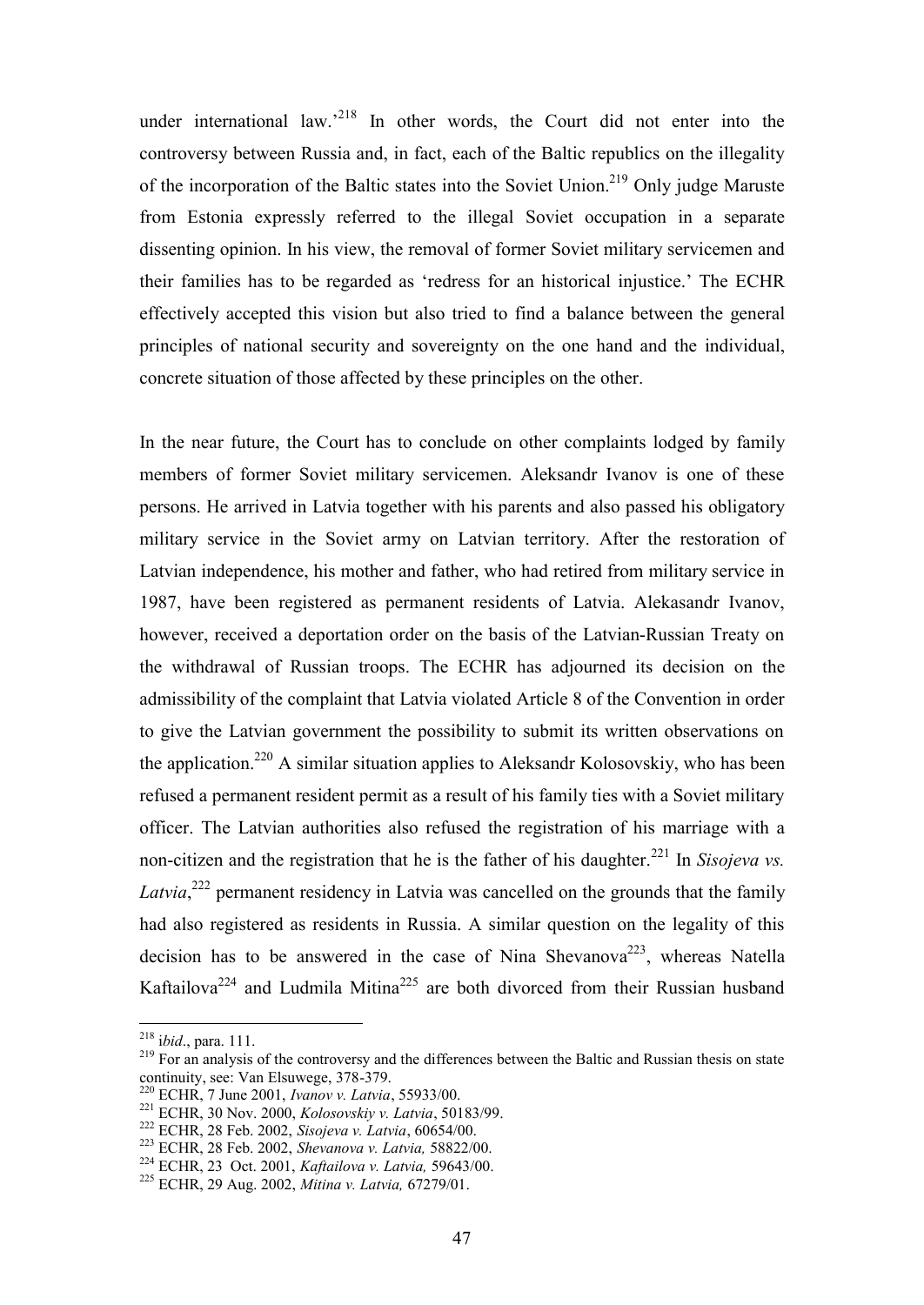under international law.<sup>218</sup> In other words, the Court did not enter into the controversy between Russia and, in fact, each of the Baltic republics on the illegality of the incorporation of the Baltic states into the Soviet Union.<sup>219</sup> Only judge Maruste from Estonia expressly referred to the illegal Soviet occupation in a separate dissenting opinion. In his view, the removal of former Soviet military servicemen and their families has to be regarded as 'redress for an historical injustice.' The ECHR effectively accepted this vision but also tried to find a balance between the general principles of national security and sovereignty on the one hand and the individual, concrete situation of those affected by these principles on the other.

In the near future, the Court has to conclude on other complaints lodged by family members of former Soviet military servicemen. Aleksandr Ivanov is one of these persons. He arrived in Latvia together with his parents and also passed his obligatory military service in the Soviet army on Latvian territory. After the restoration of Latvian independence, his mother and father, who had retired from military service in 1987, have been registered as permanent residents of Latvia. Alekasandr Ivanov, however, received a deportation order on the basis of the Latvian-Russian Treaty on the withdrawal of Russian troops. The ECHR has adjourned its decision on the admissibility of the complaint that Latvia violated Article 8 of the Convention in order to give the Latvian government the possibility to submit its written observations on the application.<sup>220</sup> A similar situation applies to Aleksandr Kolosovskiy, who has been refused a permanent resident permit as a result of his family ties with a Soviet military officer. The Latvian authorities also refused the registration of his marriage with a non-citizen and the registration that he is the father of his daughter.<sup>221</sup> In *Sisojeva vs.* Latvia,<sup>222</sup> permanent residency in Latvia was cancelled on the grounds that the family had also registered as residents in Russia. A similar question on the legality of this decision has to be answered in the case of Nina Shevanova<sup>223</sup>, whereas Natella Kaftailova<sup>224</sup> and Ludmila Mitina<sup>225</sup> are both divorced from their Russian husband

<sup>218</sup> i*bid*., para. 111.

<sup>&</sup>lt;sup>219</sup> For an analysis of the controversy and the differences between the Baltic and Russian thesis on state continuity, see: Van Elsuwege, 378-379.

<sup>220</sup> ECHR, 7 June 2001, *Ivanov v. Latvia*, 55933/00.

<sup>221</sup> ECHR, 30 Nov. 2000, *Kolosovskiy v. Latvia*, 50183/99.

<sup>222</sup> ECHR, 28 Feb. 2002, *Sisojeva v. Latvia*, 60654/00.

<sup>223</sup> ECHR, 28 Feb. 2002, *Shevanova v. Latvia,* 58822/00.

<sup>224</sup> ECHR, 23 Oct. 2001, *Kaftailova v. Latvia,* 59643/00.

<sup>225</sup> ECHR, 29 Aug. 2002, *Mitina v. Latvia,* 67279/01.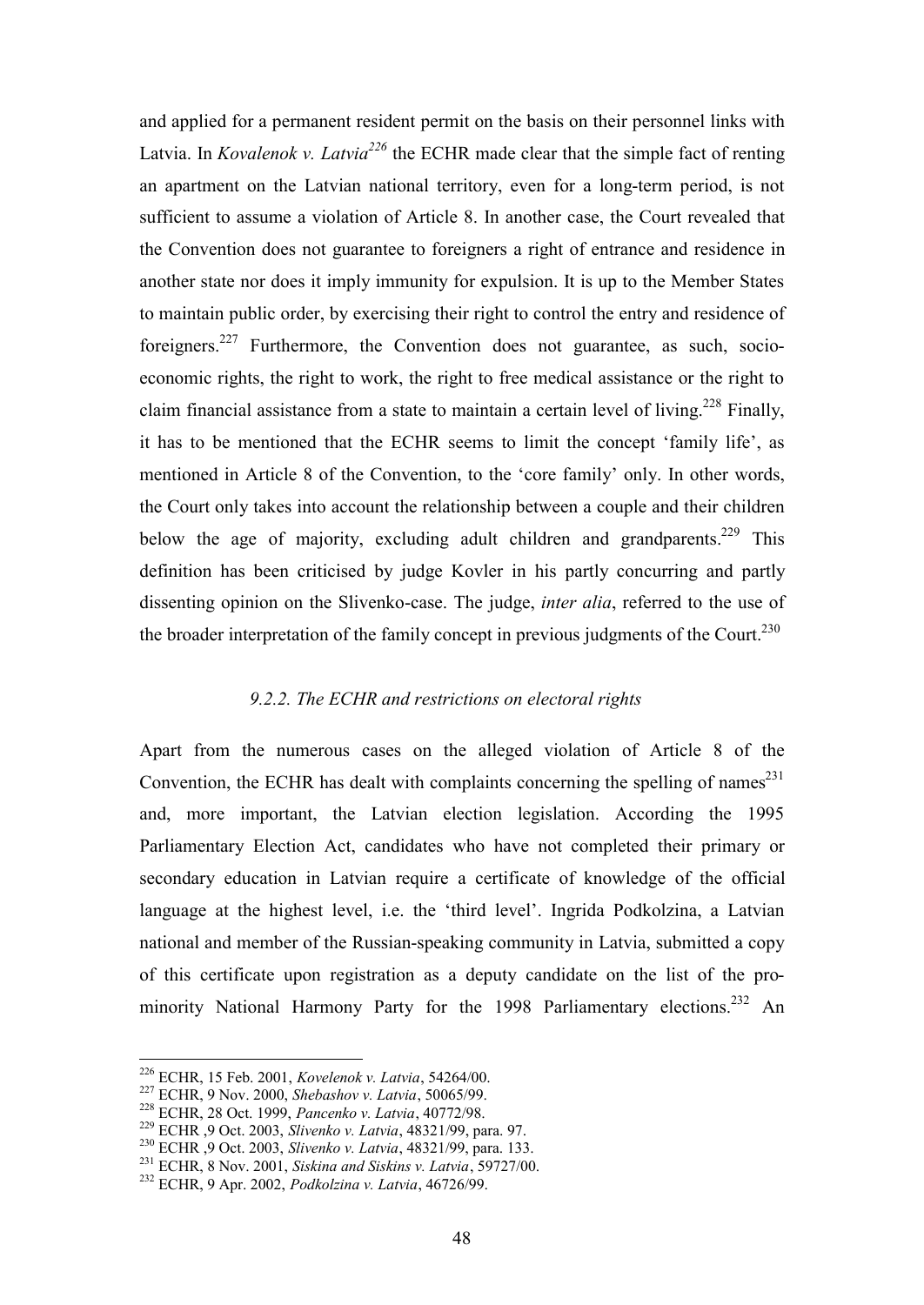and applied for a permanent resident permit on the basis on their personnel links with Latvia. In *Kovalenok v. Latvia<sup>226</sup>* the ECHR made clear that the simple fact of renting an apartment on the Latvian national territory, even for a long-term period, is not sufficient to assume a violation of Article 8. In another case, the Court revealed that the Convention does not guarantee to foreigners a right of entrance and residence in another state nor does it imply immunity for expulsion. It is up to the Member States to maintain public order, by exercising their right to control the entry and residence of foreigners.<sup>227</sup> Furthermore, the Convention does not guarantee, as such, socioeconomic rights, the right to work, the right to free medical assistance or the right to claim financial assistance from a state to maintain a certain level of living.<sup>228</sup> Finally, it has to be mentioned that the ECHR seems to limit the concept 'family life', as mentioned in Article 8 of the Convention, to the 'core family' only. In other words, the Court only takes into account the relationship between a couple and their children below the age of majority, excluding adult children and grandparents.<sup>229</sup> This definition has been criticised by judge Kovler in his partly concurring and partly dissenting opinion on the Slivenko-case. The judge, *inter alia*, referred to the use of the broader interpretation of the family concept in previous judgments of the Court.<sup>230</sup>

#### *9.2.2. The ECHR and restrictions on electoral rights*

Apart from the numerous cases on the alleged violation of Article 8 of the Convention, the ECHR has dealt with complaints concerning the spelling of names<sup>231</sup> and, more important, the Latvian election legislation. According the 1995 Parliamentary Election Act, candidates who have not completed their primary or secondary education in Latvian require a certificate of knowledge of the official language at the highest level, i.e. the 'third level'. Ingrida Podkolzina, a Latvian national and member of the Russian-speaking community in Latvia, submitted a copy of this certificate upon registration as a deputy candidate on the list of the prominority National Harmony Party for the 1998 Parliamentary elections.<sup>232</sup> An

 $\overline{a}$ 

<sup>230</sup> ECHR ,9 Oct. 2003, *Slivenko v. Latvia*, 48321/99, para. 133.

<sup>226</sup> ECHR, 15 Feb. 2001, *Kovelenok v. Latvia*, 54264/00.

<sup>227</sup> ECHR, 9 Nov. 2000, *Shebashov v. Latvia*, 50065/99.

<sup>228</sup> ECHR, 28 Oct. 1999, *Pancenko v. Latvia*, 40772/98.

<sup>229</sup> ECHR ,9 Oct. 2003, *Slivenko v. Latvia*, 48321/99, para. 97.

<sup>231</sup> ECHR, 8 Nov. 2001, *Siskina and Siskins v. Latvia*, 59727/00.

<sup>232</sup> ECHR, 9 Apr. 2002, *Podkolzina v. Latvia*, 46726/99.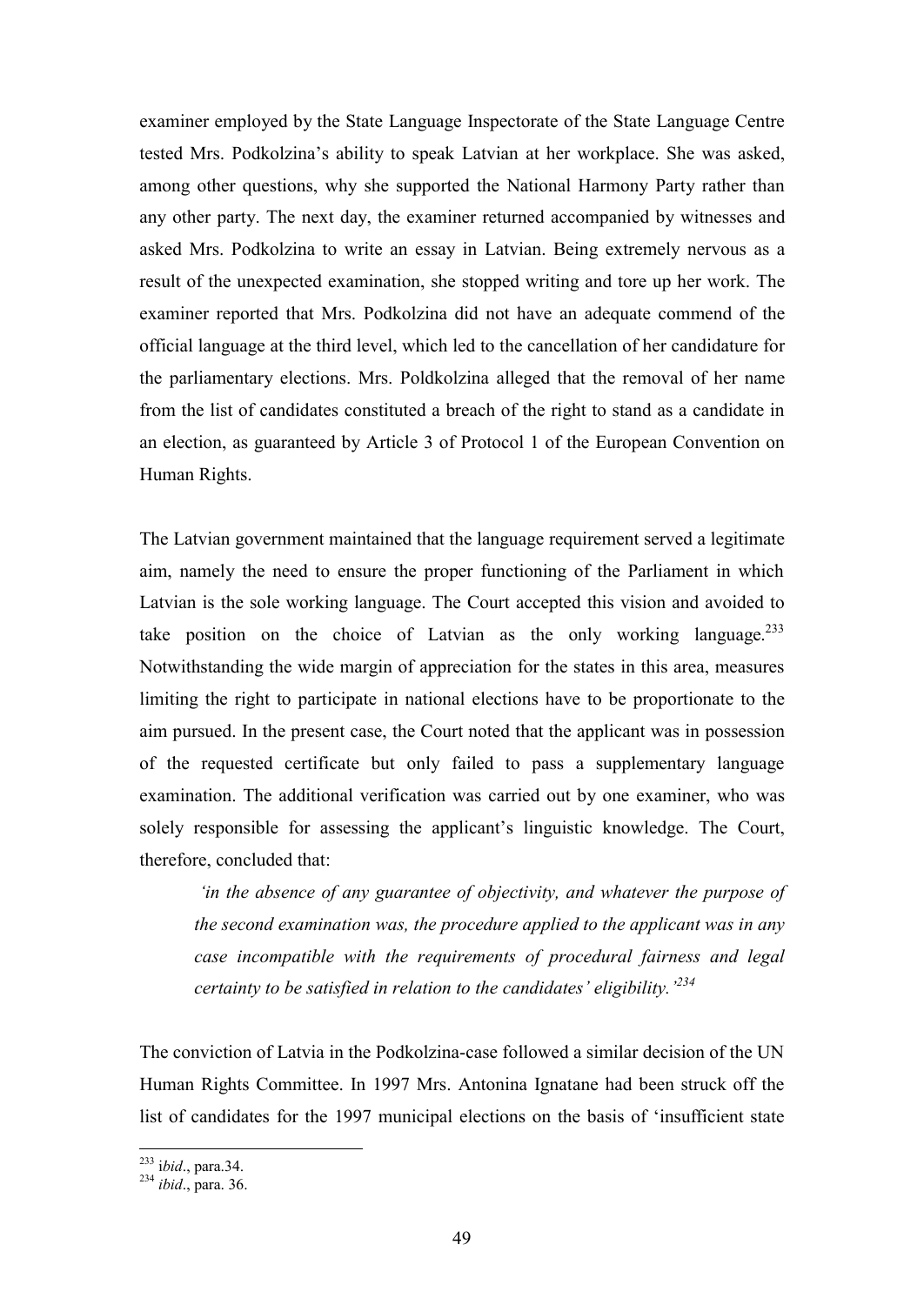examiner employed by the State Language Inspectorate of the State Language Centre tested Mrs. Podkolzina's ability to speak Latvian at her workplace. She was asked, among other questions, why she supported the National Harmony Party rather than any other party. The next day, the examiner returned accompanied by witnesses and asked Mrs. Podkolzina to write an essay in Latvian. Being extremely nervous as a result of the unexpected examination, she stopped writing and tore up her work. The examiner reported that Mrs. Podkolzina did not have an adequate commend of the official language at the third level, which led to the cancellation of her candidature for the parliamentary elections. Mrs. Poldkolzina alleged that the removal of her name from the list of candidates constituted a breach of the right to stand as a candidate in an election, as guaranteed by Article 3 of Protocol 1 of the European Convention on Human Rights.

The Latvian government maintained that the language requirement served a legitimate aim, namely the need to ensure the proper functioning of the Parliament in which Latvian is the sole working language. The Court accepted this vision and avoided to take position on the choice of Latvian as the only working language.<sup>233</sup> Notwithstanding the wide margin of appreciation for the states in this area, measures limiting the right to participate in national elections have to be proportionate to the aim pursued. In the present case, the Court noted that the applicant was in possession of the requested certificate but only failed to pass a supplementary language examination. The additional verification was carried out by one examiner, who was solely responsible for assessing the applicant's linguistic knowledge. The Court, therefore, concluded that:

 *'in the absence of any guarantee of objectivity, and whatever the purpose of the second examination was, the procedure applied to the applicant was in any case incompatible with the requirements of procedural fairness and legal certainty to be satisfied in relation to the candidates' eligibility.'<sup>234</sup>*

The conviction of Latvia in the Podkolzina-case followed a similar decision of the UN Human Rights Committee. In 1997 Mrs. Antonina Ignatane had been struck off the list of candidates for the 1997 municipal elections on the basis of 'insufficient state

<sup>233</sup> i*bid*., para.34.

<sup>234</sup> *ibid*., para. 36.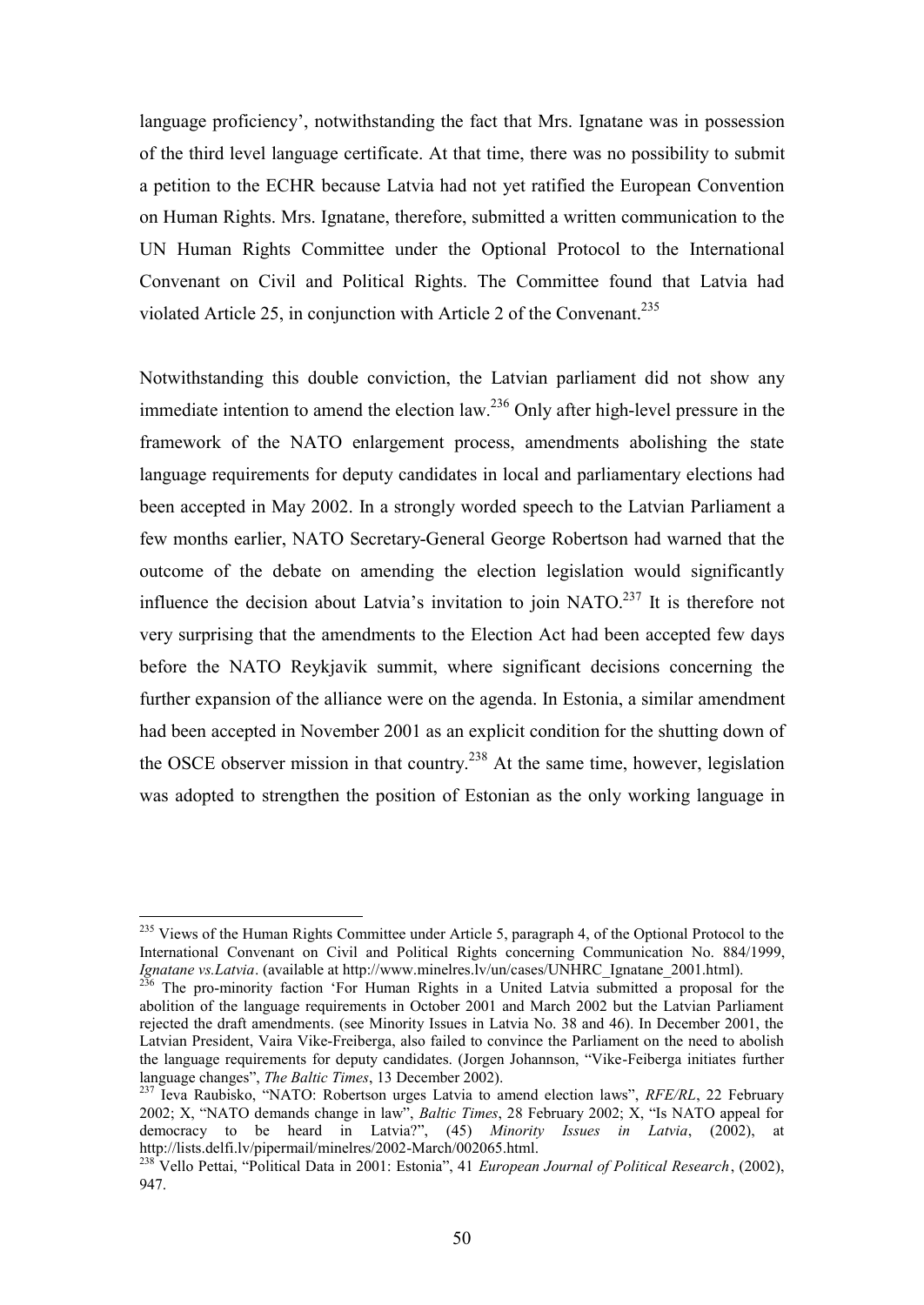language proficiency', notwithstanding the fact that Mrs. Ignatane was in possession of the third level language certificate. At that time, there was no possibility to submit a petition to the ECHR because Latvia had not yet ratified the European Convention on Human Rights. Mrs. Ignatane, therefore, submitted a written communication to the UN Human Rights Committee under the Optional Protocol to the International Convenant on Civil and Political Rights. The Committee found that Latvia had violated Article 25, in conjunction with Article 2 of the Convenant.<sup>235</sup>

Notwithstanding this double conviction, the Latvian parliament did not show any immediate intention to amend the election law.<sup>236</sup> Only after high-level pressure in the framework of the NATO enlargement process, amendments abolishing the state language requirements for deputy candidates in local and parliamentary elections had been accepted in May 2002. In a strongly worded speech to the Latvian Parliament a few months earlier, NATO Secretary-General George Robertson had warned that the outcome of the debate on amending the election legislation would significantly influence the decision about Latvia's invitation to join  $NATO<sup>237</sup>$  It is therefore not very surprising that the amendments to the Election Act had been accepted few days before the NATO Reykjavik summit, where significant decisions concerning the further expansion of the alliance were on the agenda. In Estonia, a similar amendment had been accepted in November 2001 as an explicit condition for the shutting down of the OSCE observer mission in that country.<sup>238</sup> At the same time, however, legislation was adopted to strengthen the position of Estonian as the only working language in

<sup>&</sup>lt;sup>235</sup> Views of the Human Rights Committee under Article 5, paragraph 4, of the Optional Protocol to the International Convenant on Civil and Political Rights concerning Communication No. 884/1999, *Ignatane vs.Latvia*. (available at http://www.minelres.lv/un/cases/UNHRC\_Ignatane\_2001.html).

 $2^{36}$  The pro-minority faction 'For Human Rights in a United Latvia submitted a proposal for the abolition of the language requirements in October 2001 and March 2002 but the Latvian Parliament rejected the draft amendments. (see Minority Issues in Latvia No. 38 and 46). In December 2001, the Latvian President, Vaira Vike-Freiberga, also failed to convince the Parliament on the need to abolish the language requirements for deputy candidates. (Jorgen Johannson, "Vike-Feiberga initiates further language changes", *The Baltic Times*, 13 December 2002).

<sup>237</sup> Ieva Raubisko, "NATO: Robertson urges Latvia to amend election laws", *RFE/RL*, 22 February 2002; X, "NATO demands change in law", *Baltic Times*, 28 February 2002; X, "Is NATO appeal for democracy to be heard in Latvia?", (45) *Minority Issues in Latvia*, (2002), at http://lists.delfi.lv/pipermail/minelres/2002-March/002065.html.

<sup>238</sup> Vello Pettai, "Political Data in 2001: Estonia", 41 *European Journal of Political Research*, (2002), 947.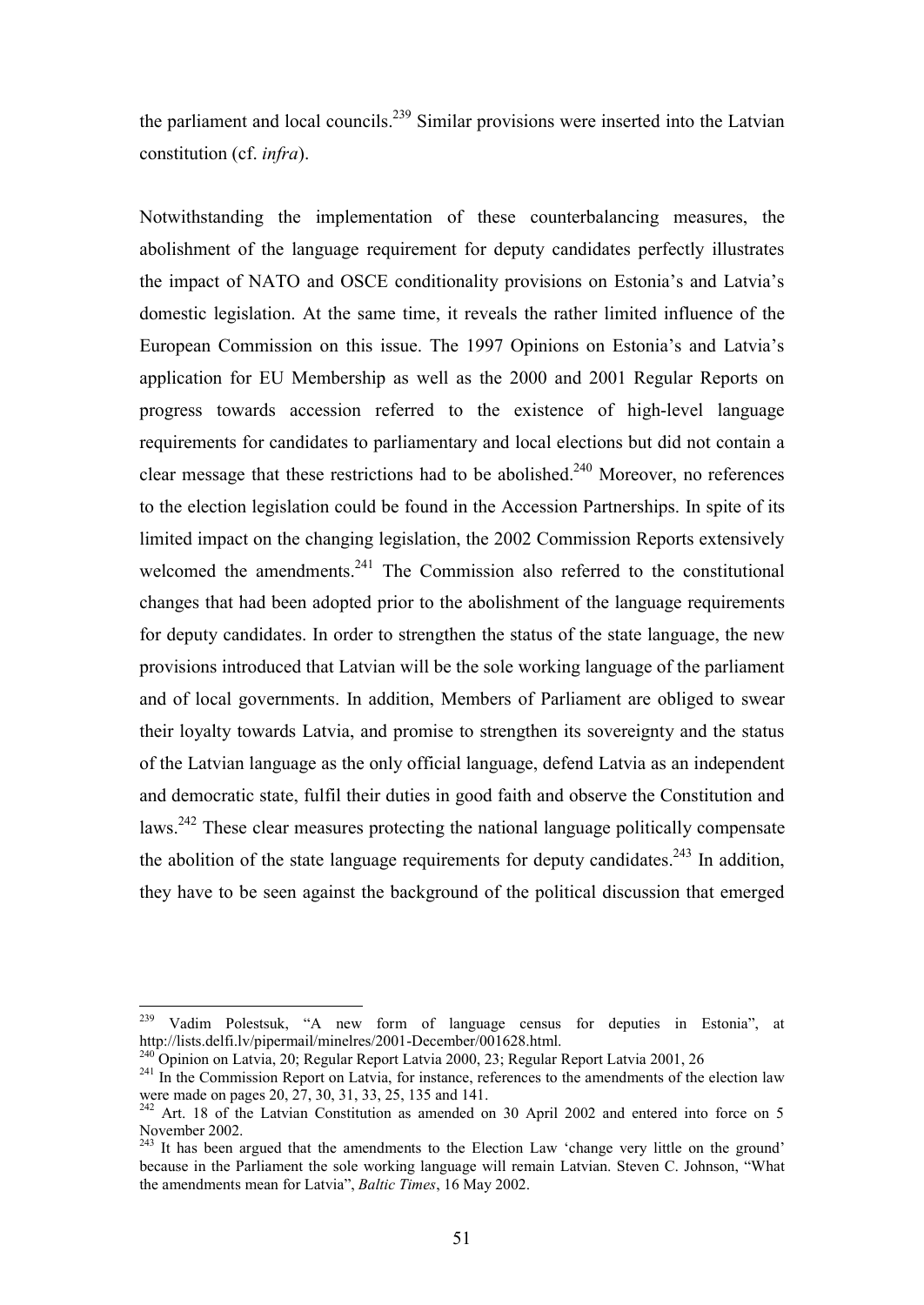the parliament and local councils.<sup>239</sup> Similar provisions were inserted into the Latvian constitution (cf. *infra*).

Notwithstanding the implementation of these counterbalancing measures, the abolishment of the language requirement for deputy candidates perfectly illustrates the impact of NATO and OSCE conditionality provisions on Estonia's and Latvia's domestic legislation. At the same time, it reveals the rather limited influence of the European Commission on this issue. The 1997 Opinions on Estonia's and Latvia's application for EU Membership as well as the 2000 and 2001 Regular Reports on progress towards accession referred to the existence of high-level language requirements for candidates to parliamentary and local elections but did not contain a clear message that these restrictions had to be abolished.<sup>240</sup> Moreover, no references to the election legislation could be found in the Accession Partnerships. In spite of its limited impact on the changing legislation, the 2002 Commission Reports extensively welcomed the amendments. $241$  The Commission also referred to the constitutional changes that had been adopted prior to the abolishment of the language requirements for deputy candidates. In order to strengthen the status of the state language, the new provisions introduced that Latvian will be the sole working language of the parliament and of local governments. In addition, Members of Parliament are obliged to swear their loyalty towards Latvia, and promise to strengthen its sovereignty and the status of the Latvian language as the only official language, defend Latvia as an independent and democratic state, fulfil their duties in good faith and observe the Constitution and laws.<sup>242</sup> These clear measures protecting the national language politically compensate the abolition of the state language requirements for deputy candidates.<sup>243</sup> In addition, they have to be seen against the background of the political discussion that emerged

<sup>239</sup> Vadim Polestsuk, "A new form of language census for deputies in Estonia", at http://lists.delfi.lv/pipermail/minelres/2001-December/001628.html.

<sup>&</sup>lt;sup>240</sup> Opinion on Latvia, 20; Regular Report Latvia 2000, 23; Regular Report Latvia 2001, 26

<sup>&</sup>lt;sup>241</sup> In the Commission Report on Latvia, for instance, references to the amendments of the election law were made on pages 20, 27, 30, 31, 33, 25, 135 and 141.

 $242$  Art. 18 of the Latvian Constitution as amended on 30 April 2002 and entered into force on 5 November 2002.

<sup>&</sup>lt;sup>243</sup> It has been argued that the amendments to the Election Law 'change very little on the ground' because in the Parliament the sole working language will remain Latvian. Steven C. Johnson, "What the amendments mean for Latvia", *Baltic Times*, 16 May 2002.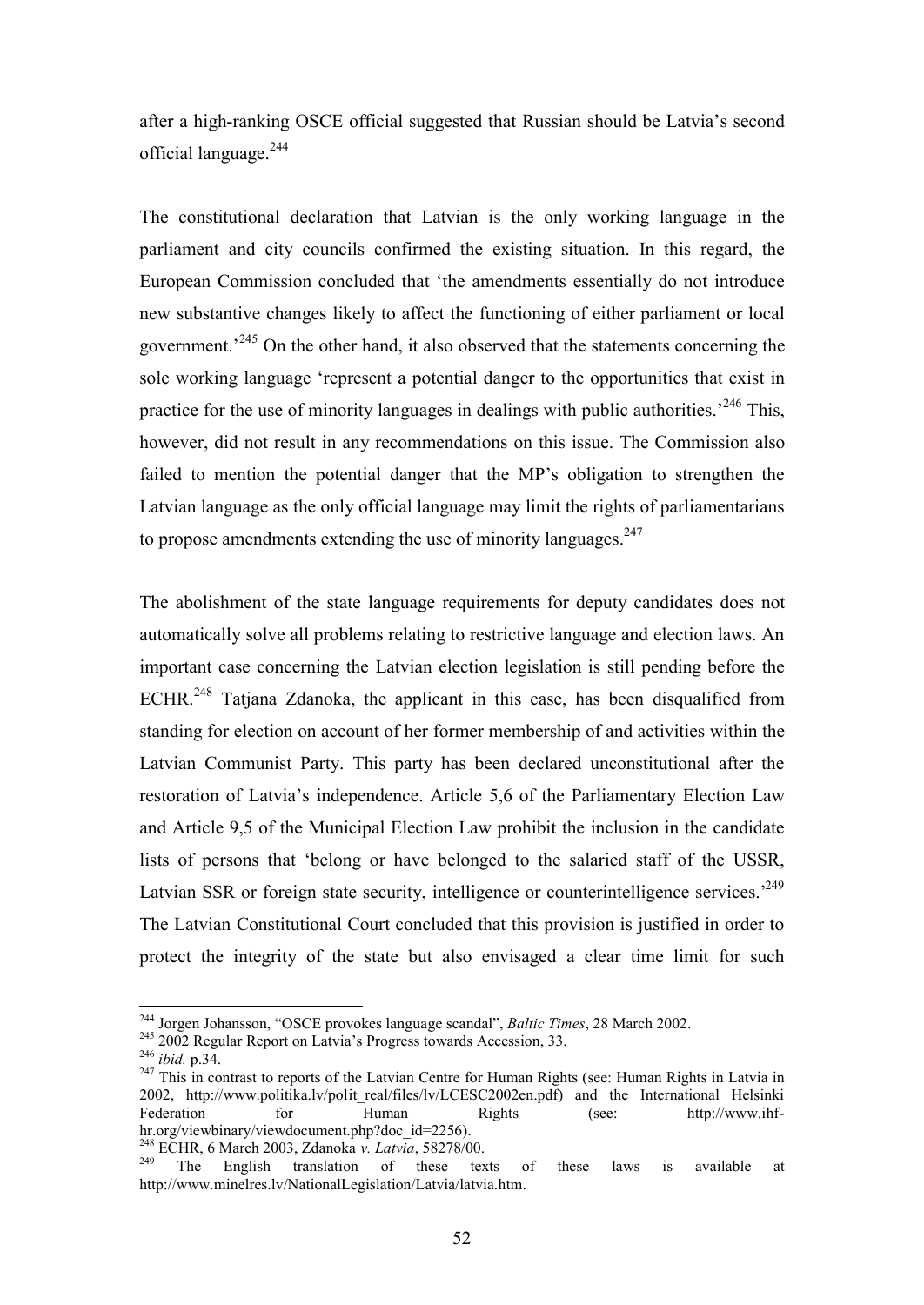after a high-ranking OSCE official suggested that Russian should be Latvia's second official language.<sup>244</sup>

The constitutional declaration that Latvian is the only working language in the parliament and city councils confirmed the existing situation. In this regard, the European Commission concluded that 'the amendments essentially do not introduce new substantive changes likely to affect the functioning of either parliament or local government.<sup>245</sup> On the other hand, it also observed that the statements concerning the sole working language 'represent a potential danger to the opportunities that exist in practice for the use of minority languages in dealings with public authorities.<sup>246</sup> This, however, did not result in any recommendations on this issue. The Commission also failed to mention the potential danger that the MP's obligation to strengthen the Latvian language as the only official language may limit the rights of parliamentarians to propose amendments extending the use of minority languages. $247$ 

The abolishment of the state language requirements for deputy candidates does not automatically solve all problems relating to restrictive language and election laws. An important case concerning the Latvian election legislation is still pending before the ECHR.<sup>248</sup> Tatjana Zdanoka, the applicant in this case, has been disqualified from standing for election on account of her former membership of and activities within the Latvian Communist Party. This party has been declared unconstitutional after the restoration of Latvia's independence. Article 5,6 of the Parliamentary Election Law and Article 9,5 of the Municipal Election Law prohibit the inclusion in the candidate lists of persons that 'belong or have belonged to the salaried staff of the USSR, Latvian SSR or foreign state security, intelligence or counterintelligence services.<sup>249</sup> The Latvian Constitutional Court concluded that this provision is justified in order to protect the integrity of the state but also envisaged a clear time limit for such

<sup>244</sup> Jorgen Johansson, "OSCE provokes language scandal", *Baltic Times*, 28 March 2002.

<sup>245</sup> 2002 Regular Report on Latvia's Progress towards Accession, 33.

<sup>246</sup> *ibid.* p.34.

<sup>&</sup>lt;sup>247</sup> This in contrast to reports of the Latvian Centre for Human Rights (see: Human Rights in Latvia in 2002, http://www.politika.lv/polit real/files/lv/LCESC2002en.pdf) and the International Helsinki Federation for Human Rights (see: http://www.ihfhr.org/viewbinary/viewdocument.php?doc\_id=2256).

<sup>&</sup>lt;sup>248</sup> ECHR, 6 March 2003, Zdanoka *v. Latvia*, 58278/00.

The English translation of these texts of these laws is available at http://www.minelres.lv/NationalLegislation/Latvia/latvia.htm.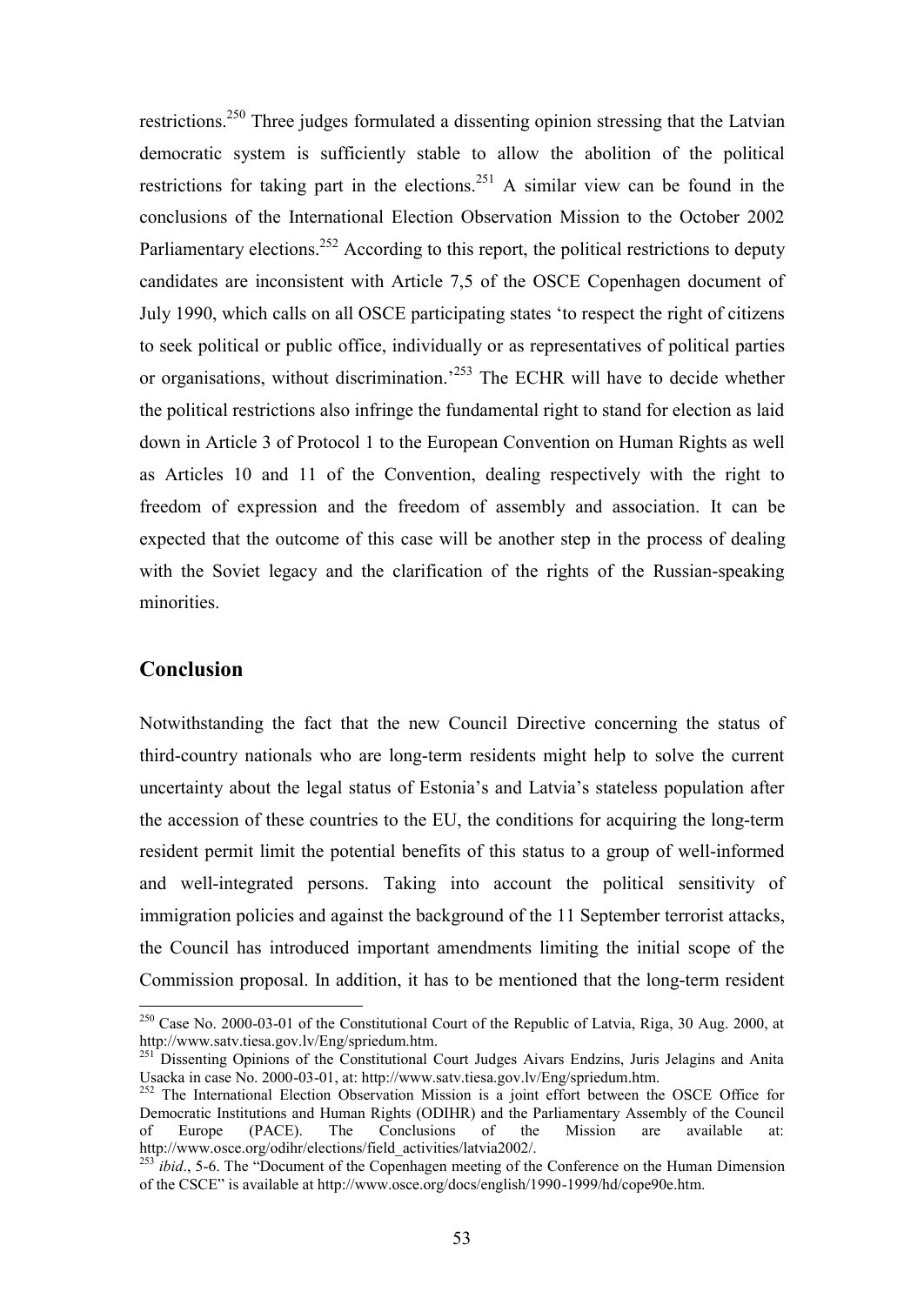restrictions.<sup>250</sup> Three judges formulated a dissenting opinion stressing that the Latvian democratic system is sufficiently stable to allow the abolition of the political restrictions for taking part in the elections.<sup>251</sup> A similar view can be found in the conclusions of the International Election Observation Mission to the October 2002 Parliamentary elections.<sup>252</sup> According to this report, the political restrictions to deputy candidates are inconsistent with Article 7,5 of the OSCE Copenhagen document of July 1990, which calls on all OSCE participating states 'to respect the right of citizens to seek political or public office, individually or as representatives of political parties or organisations, without discrimination.'<sup>253</sup> The ECHR will have to decide whether the political restrictions also infringe the fundamental right to stand for election as laid down in Article 3 of Protocol 1 to the European Convention on Human Rights as well as Articles 10 and 11 of the Convention, dealing respectively with the right to freedom of expression and the freedom of assembly and association. It can be expected that the outcome of this case will be another step in the process of dealing with the Soviet legacy and the clarification of the rights of the Russian-speaking minorities.

# **Conclusion**

 $\overline{a}$ 

Notwithstanding the fact that the new Council Directive concerning the status of third-country nationals who are long-term residents might help to solve the current uncertainty about the legal status of Estonia's and Latvia's stateless population after the accession of these countries to the EU, the conditions for acquiring the long-term resident permit limit the potential benefits of this status to a group of well-informed and well-integrated persons. Taking into account the political sensitivity of immigration policies and against the background of the 11 September terrorist attacks, the Council has introduced important amendments limiting the initial scope of the Commission proposal. In addition, it has to be mentioned that the long-term resident

 $^{250}$  Case No. 2000-03-01 of the Constitutional Court of the Republic of Latvia, Riga, 30 Aug. 2000, at http://www.satv.tiesa.gov.lv/Eng/spriedum.htm.

<sup>&</sup>lt;sup>251</sup> Dissenting Opinions of the Constitutional Court Judges Aivars Endzins, Juris Jelagins and Anita Usacka in case No. 2000-03-01, at: http://www.satv.tiesa.gov.lv/Eng/spriedum.htm.

<sup>&</sup>lt;sup>252</sup> The International Election Observation Mission is a joint effort between the OSCE Office for Democratic Institutions and Human Rights (ODIHR) and the Parliamentary Assembly of the Council of Europe (PACE). The Conclusions of the Mission are available http://www.osce.org/odihr/elections/field\_activities/latvia2002/.

<sup>&</sup>lt;sup>253</sup>*ibid.*, 5-6. The "Document of the Copenhagen meeting of the Conference on the Human Dimension of the CSCE" is available at http://www.osce.org/docs/english/1990-1999/hd/cope90e.htm.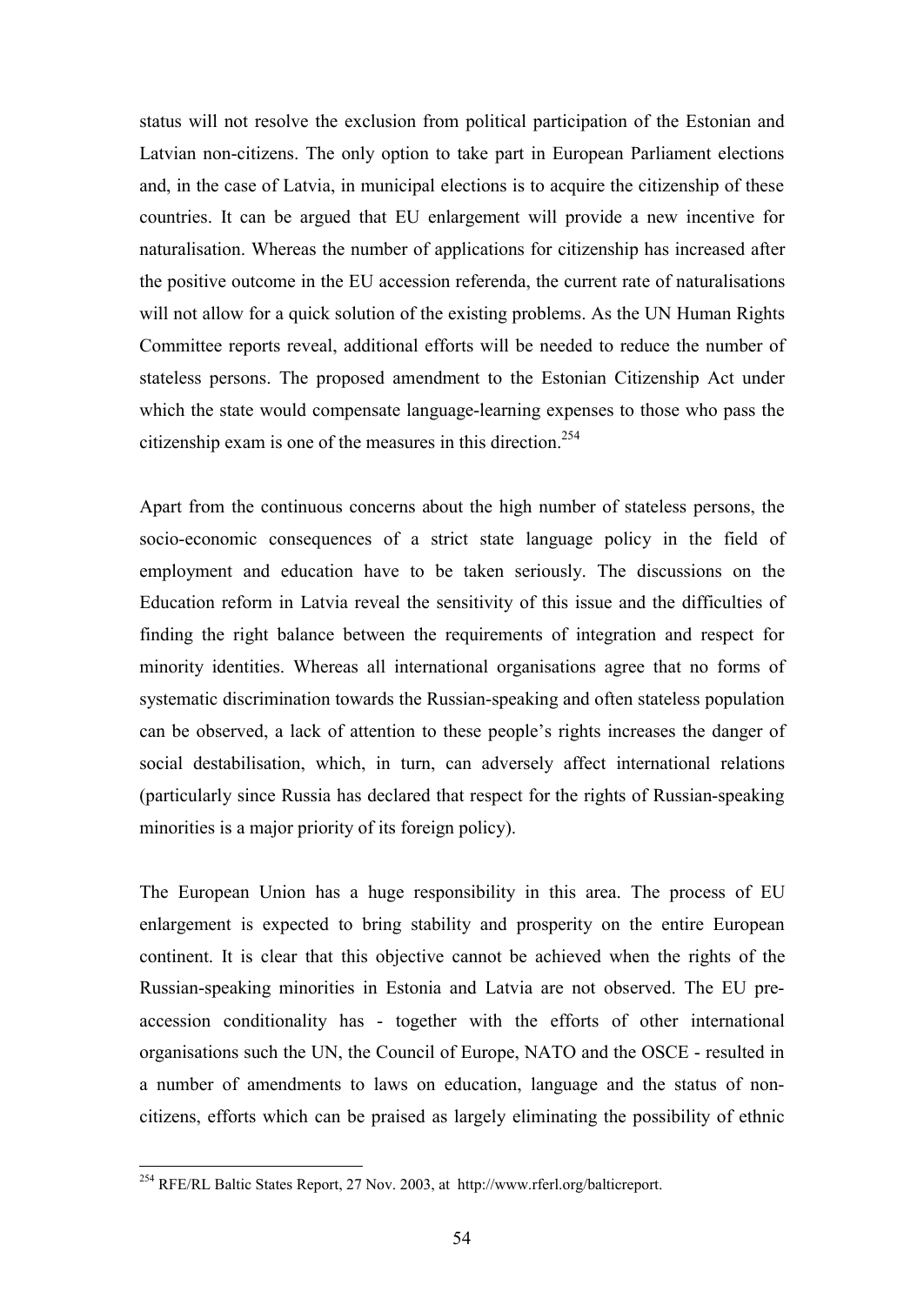status will not resolve the exclusion from political participation of the Estonian and Latvian non-citizens. The only option to take part in European Parliament elections and, in the case of Latvia, in municipal elections is to acquire the citizenship of these countries. It can be argued that EU enlargement will provide a new incentive for naturalisation. Whereas the number of applications for citizenship has increased after the positive outcome in the EU accession referenda, the current rate of naturalisations will not allow for a quick solution of the existing problems. As the UN Human Rights Committee reports reveal, additional efforts will be needed to reduce the number of stateless persons. The proposed amendment to the Estonian Citizenship Act under which the state would compensate language-learning expenses to those who pass the citizenship exam is one of the measures in this direction.<sup>254</sup>

Apart from the continuous concerns about the high number of stateless persons, the socio-economic consequences of a strict state language policy in the field of employment and education have to be taken seriously. The discussions on the Education reform in Latvia reveal the sensitivity of this issue and the difficulties of finding the right balance between the requirements of integration and respect for minority identities. Whereas all international organisations agree that no forms of systematic discrimination towards the Russian-speaking and often stateless population can be observed, a lack of attention to these people's rights increases the danger of social destabilisation, which, in turn, can adversely affect international relations (particularly since Russia has declared that respect for the rights of Russian-speaking minorities is a major priority of its foreign policy).

The European Union has a huge responsibility in this area. The process of EU enlargement is expected to bring stability and prosperity on the entire European continent. It is clear that this objective cannot be achieved when the rights of the Russian-speaking minorities in Estonia and Latvia are not observed. The EU preaccession conditionality has - together with the efforts of other international organisations such the UN, the Council of Europe, NATO and the OSCE - resulted in a number of amendments to laws on education, language and the status of noncitizens, efforts which can be praised as largely eliminating the possibility of ethnic

<sup>&</sup>lt;sup>254</sup> RFE/RL Baltic States Report, 27 Nov. 2003, at http://www.rferl.org/balticreport.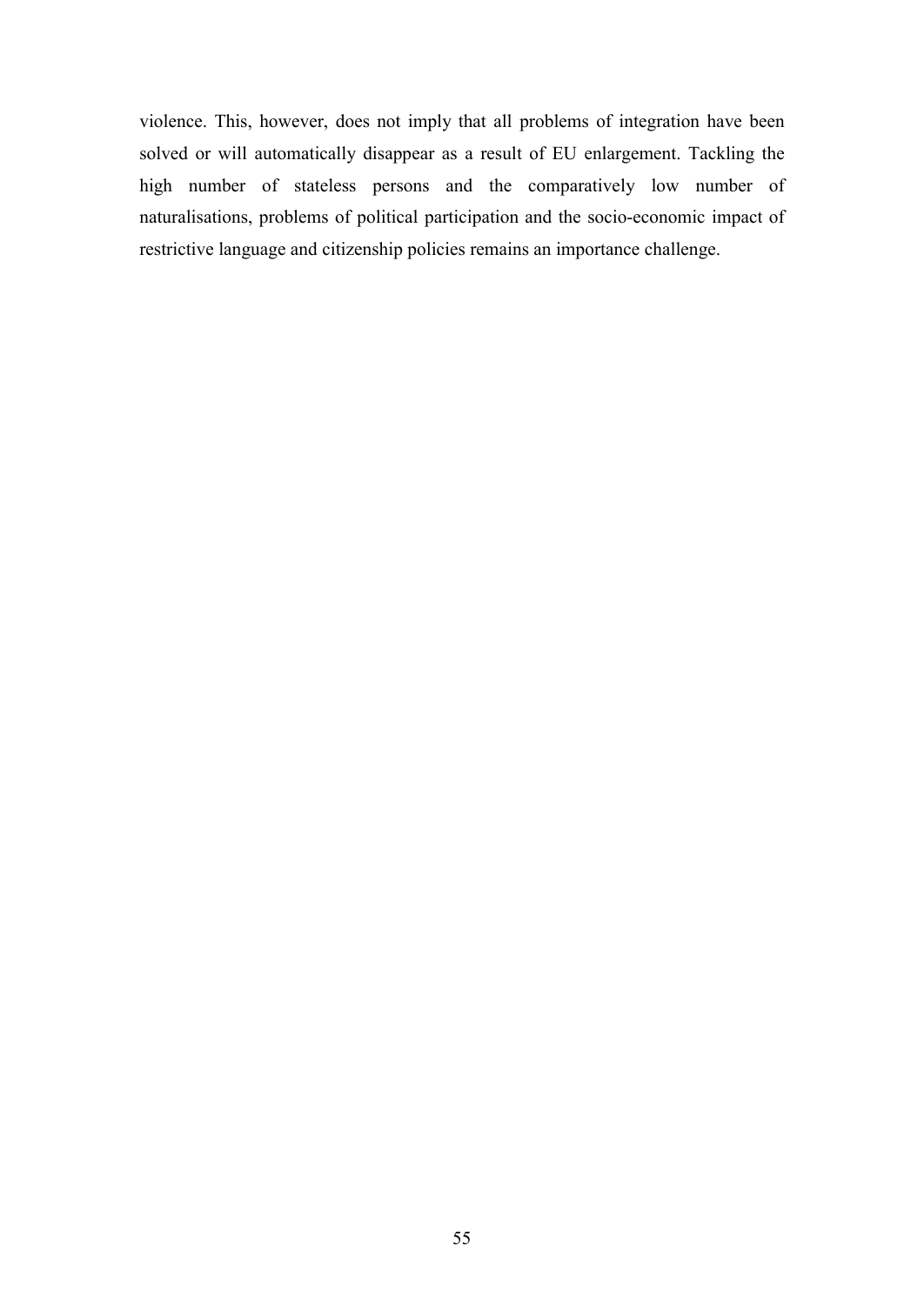violence. This, however, does not imply that all problems of integration have been solved or will automatically disappear as a result of EU enlargement. Tackling the high number of stateless persons and the comparatively low number of naturalisations, problems of political participation and the socio-economic impact of restrictive language and citizenship policies remains an importance challenge.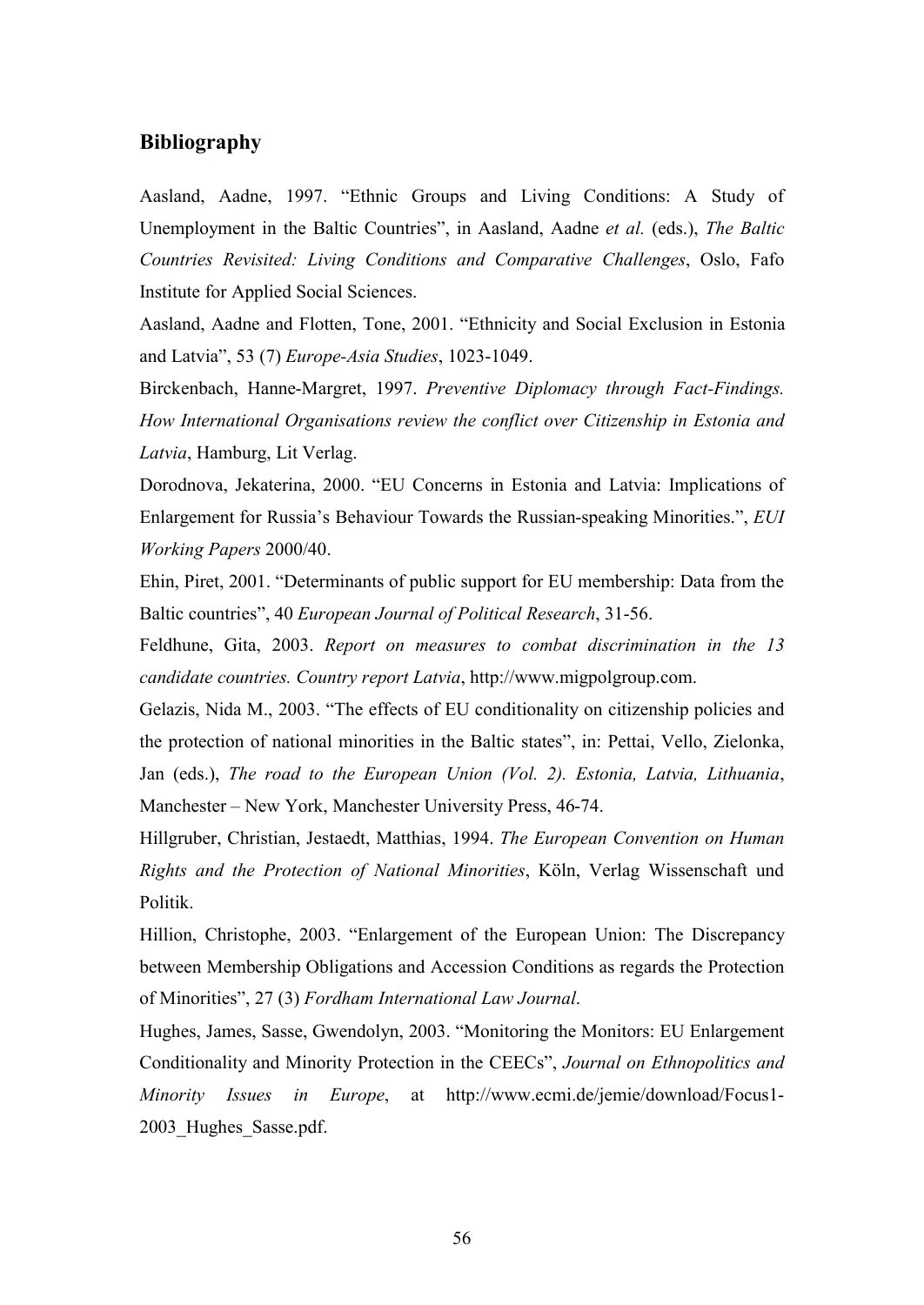# **Bibliography**

Aasland, Aadne, 1997. "Ethnic Groups and Living Conditions: A Study of Unemployment in the Baltic Countries", in Aasland, Aadne *et al.* (eds.), *The Baltic Countries Revisited: Living Conditions and Comparative Challenges*, Oslo, Fafo Institute for Applied Social Sciences.

Aasland, Aadne and Flotten, Tone, 2001. "Ethnicity and Social Exclusion in Estonia and Latvia", 53 (7) *Europe-Asia Studies*, 1023-1049.

Birckenbach, Hanne-Margret, 1997. *Preventive Diplomacy through Fact-Findings. How International Organisations review the conflict over Citizenship in Estonia and Latvia*, Hamburg, Lit Verlag.

Dorodnova, Jekaterina, 2000. "EU Concerns in Estonia and Latvia: Implications of Enlargement for Russia's Behaviour Towards the Russian-speaking Minorities.", *EUI Working Papers* 2000/40.

Ehin, Piret, 2001. "Determinants of public support for EU membership: Data from the Baltic countries", 40 *European Journal of Political Research*, 31-56.

Feldhune, Gita, 2003. *Report on measures to combat discrimination in the 13 candidate countries. Country report Latvia*, http://www.migpolgroup.com.

Gelazis, Nida M., 2003. "The effects of EU conditionality on citizenship policies and the protection of national minorities in the Baltic states", in: Pettai, Vello, Zielonka, Jan (eds.), *The road to the European Union (Vol. 2). Estonia, Latvia, Lithuania*, Manchester – New York, Manchester University Press, 46-74.

Hillgruber, Christian, Jestaedt, Matthias, 1994. *The European Convention on Human Rights and the Protection of National Minorities*, Köln, Verlag Wissenschaft und Politik.

Hillion, Christophe, 2003. "Enlargement of the European Union: The Discrepancy between Membership Obligations and Accession Conditions as regards the Protection of Minorities", 27 (3) *Fordham International Law Journal*.

Hughes, James, Sasse, Gwendolyn, 2003. "Monitoring the Monitors: EU Enlargement Conditionality and Minority Protection in the CEECs", *Journal on Ethnopolitics and Minority Issues in Europe*, at http://www.ecmi.de/jemie/download/Focus1- 2003\_Hughes\_Sasse.pdf.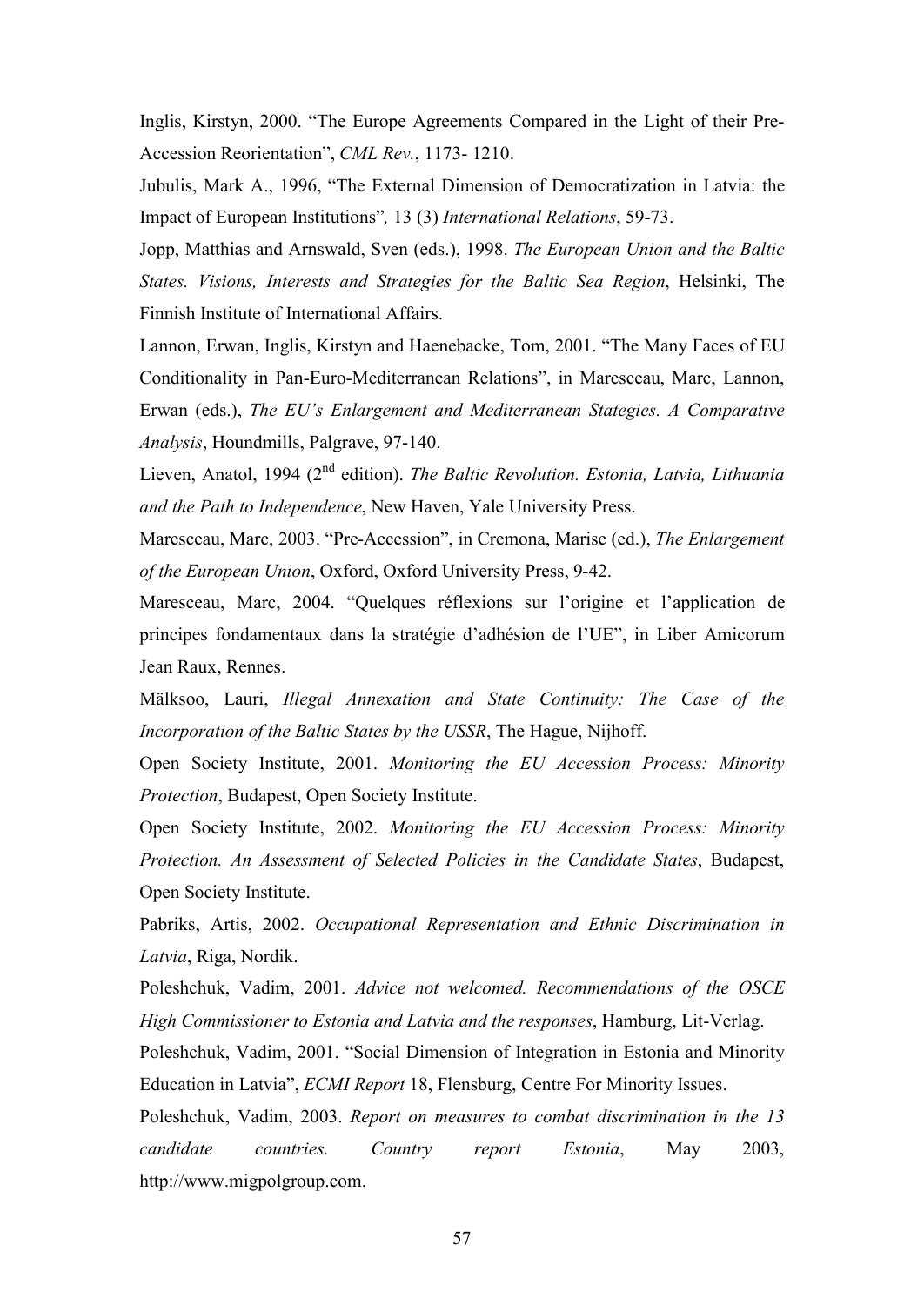Inglis, Kirstyn, 2000. "The Europe Agreements Compared in the Light of their Pre-Accession Reorientation", *CML Rev.*, 1173- 1210.

Jubulis, Mark A., 1996, "The External Dimension of Democratization in Latvia: the Impact of European Institutions"*,* 13 (3) *International Relations*, 59-73.

Jopp, Matthias and Arnswald, Sven (eds.), 1998. *The European Union and the Baltic States. Visions, Interests and Strategies for the Baltic Sea Region*, Helsinki, The Finnish Institute of International Affairs.

Lannon, Erwan, Inglis, Kirstyn and Haenebacke, Tom, 2001. "The Many Faces of EU Conditionality in Pan-Euro-Mediterranean Relations", in Maresceau, Marc, Lannon, Erwan (eds.), *The EU's Enlargement and Mediterranean Stategies. A Comparative Analysis*, Houndmills, Palgrave, 97-140.

Lieven, Anatol, 1994 (2nd edition). *The Baltic Revolution. Estonia, Latvia, Lithuania and the Path to Independence*, New Haven, Yale University Press.

Maresceau, Marc, 2003. "Pre-Accession", in Cremona, Marise (ed.), *The Enlargement of the European Union*, Oxford, Oxford University Press, 9-42.

Maresceau, Marc, 2004. "Quelques réflexions sur l'origine et l'application de principes fondamentaux dans la stratégie d'adhésion de l'UE", in Liber Amicorum Jean Raux, Rennes.

Mälksoo, Lauri, *Illegal Annexation and State Continuity: The Case of the Incorporation of the Baltic States by the USSR*, The Hague, Nijhoff.

Open Society Institute, 2001. *Monitoring the EU Accession Process: Minority Protection*, Budapest, Open Society Institute.

Open Society Institute, 2002. *Monitoring the EU Accession Process: Minority Protection. An Assessment of Selected Policies in the Candidate States*, Budapest, Open Society Institute.

Pabriks, Artis, 2002. *Occupational Representation and Ethnic Discrimination in Latvia*, Riga, Nordik.

Poleshchuk, Vadim, 2001. *Advice not welcomed. Recommendations of the OSCE High Commissioner to Estonia and Latvia and the responses*, Hamburg, Lit-Verlag.

Poleshchuk, Vadim, 2001. "Social Dimension of Integration in Estonia and Minority Education in Latvia", *ECMI Report* 18, Flensburg, Centre For Minority Issues.

Poleshchuk, Vadim, 2003. *Report on measures to combat discrimination in the 13 candidate countries. Country report Estonia*, May 2003, http://www.migpolgroup.com.